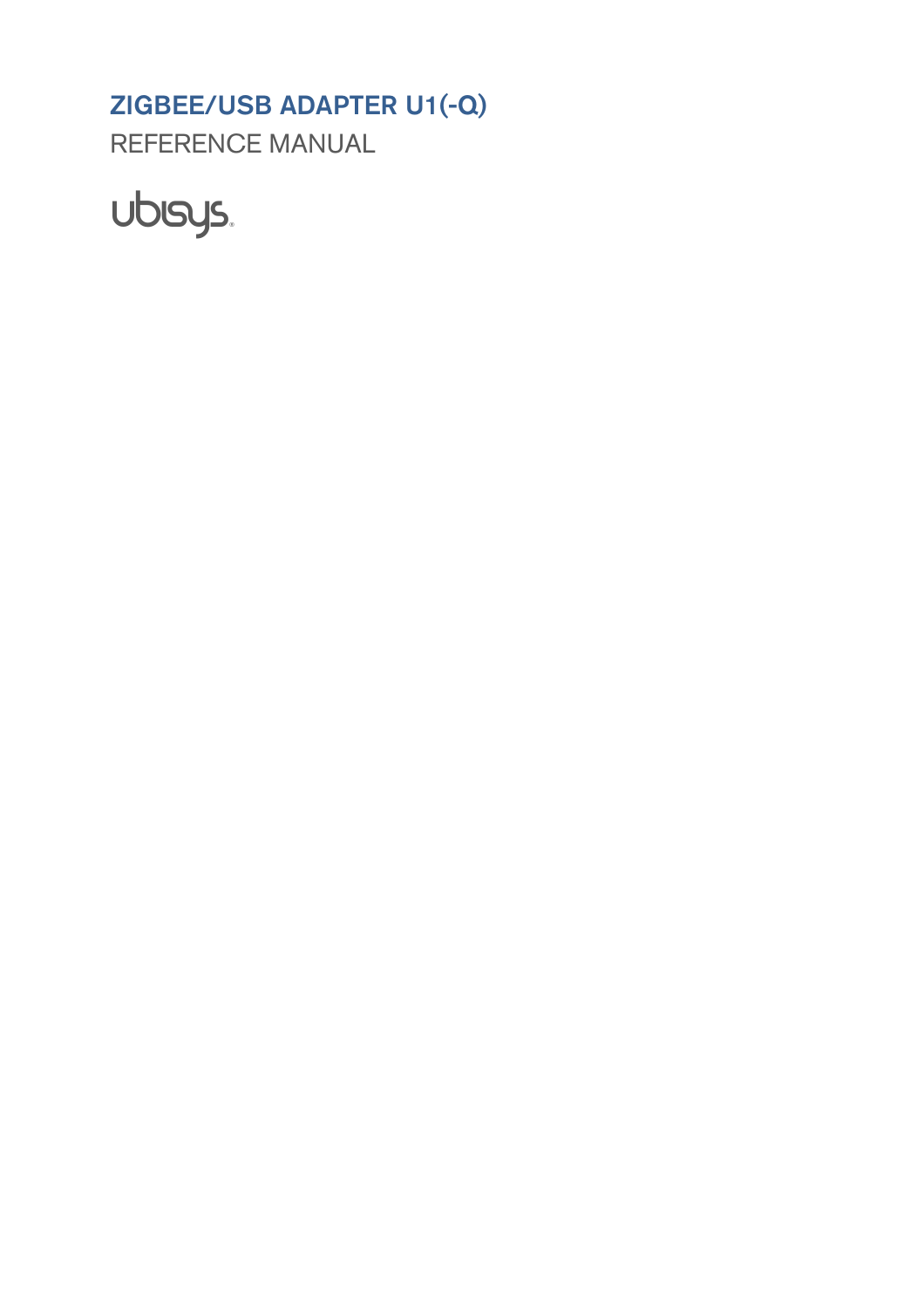# ZIGBEE/USB ADAPTER U1(-Q)

REFERENCE MANUAL

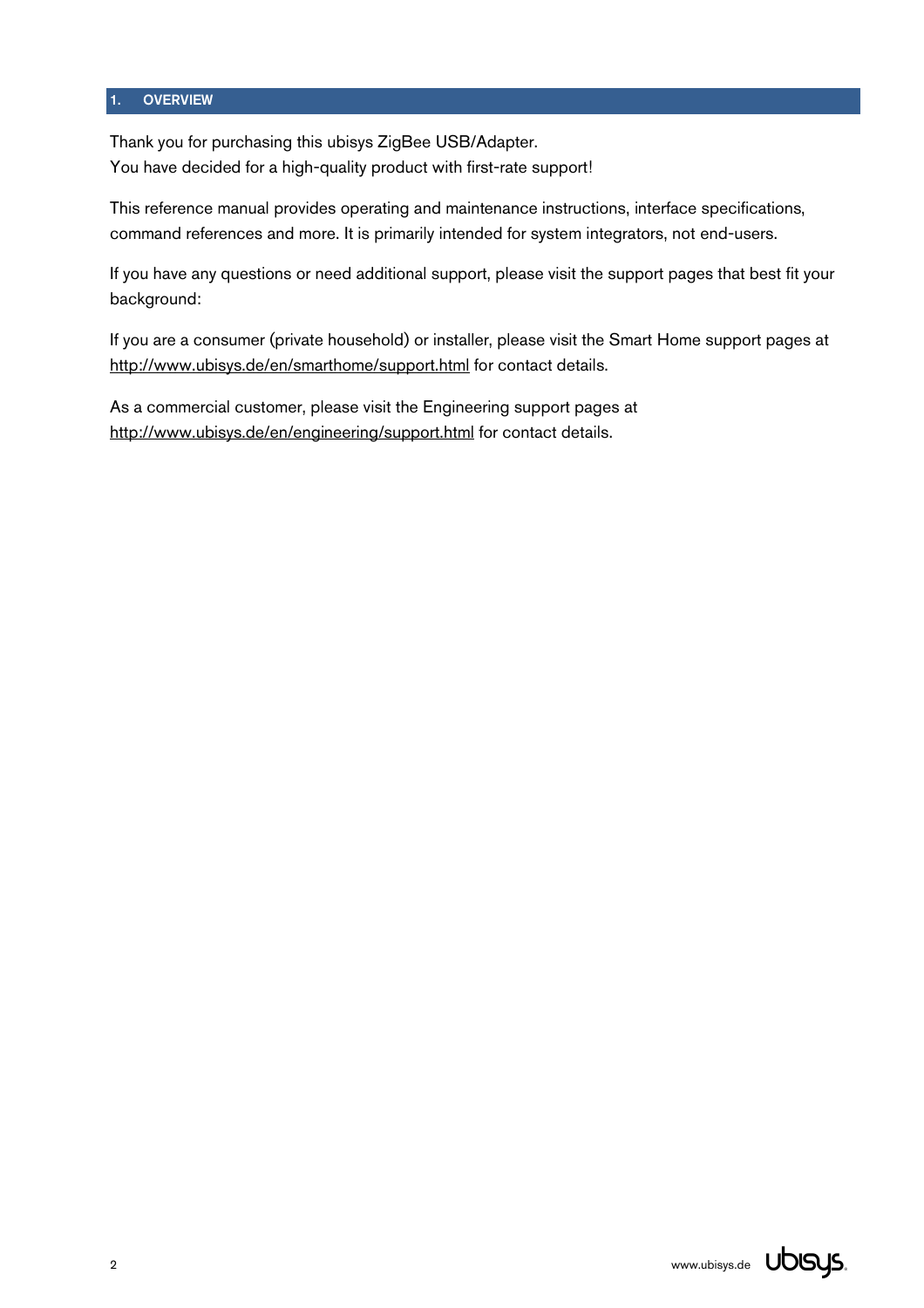# 1. OVERVIEW

Thank you for purchasing this ubisys ZigBee USB/Adapter. You have decided for a high-quality product with first-rate support!

This reference manual provides operating and maintenance instructions, interface specifications, command references and more. It is primarily intended for system integrators, not end-users.

If you have any questions or need additional support, please visit the support pages that best fit your background:

If you are a consumer (private household) or installer, please visit the Smart Home support pages at <http://www.ubisys.de/en/smarthome/support.html> for contact details.

As a commercial customer, please visit the Engineering support pages at <http://www.ubisys.de/en/engineering/support.html> for contact details.

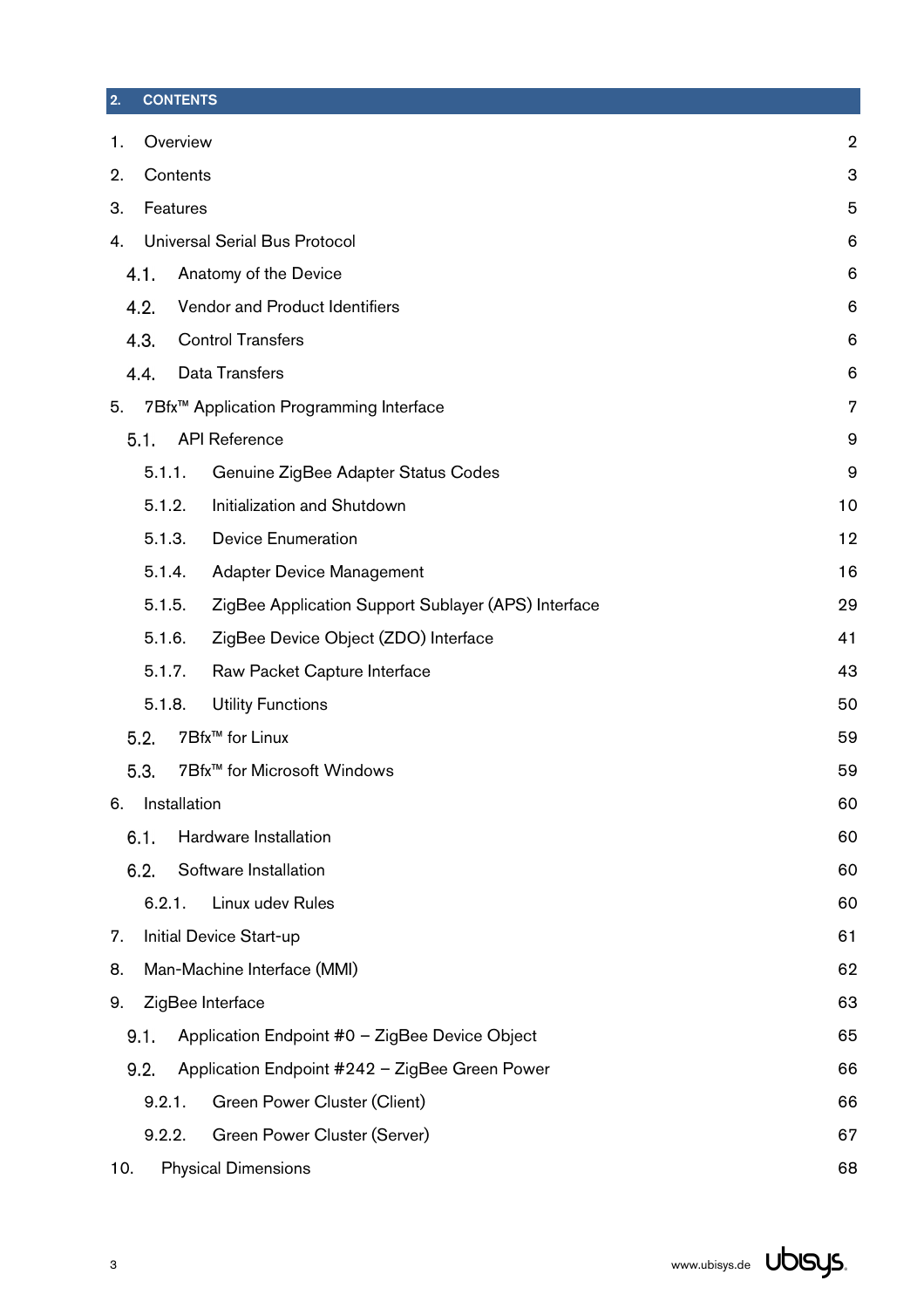# 2. CONTENTS

| Overview<br>1.                                                | $\overline{2}$ |
|---------------------------------------------------------------|----------------|
| 2.<br>Contents                                                | 3              |
| Features<br>З.                                                | 5              |
| <b>Universal Serial Bus Protocol</b><br>4.                    | 6              |
| 4.1.<br>Anatomy of the Device                                 | 6              |
| 4.2.<br>Vendor and Product Identifiers                        | 6              |
| 4.3.<br><b>Control Transfers</b>                              | 6              |
| 4.4.<br><b>Data Transfers</b>                                 | 6              |
| 7Bfx <sup>™</sup> Application Programming Interface<br>5.     | 7              |
| <b>API Reference</b><br>5.1.                                  | 9              |
| 5.1.1.<br>Genuine ZigBee Adapter Status Codes                 | 9              |
| 5.1.2.<br>Initialization and Shutdown                         | 10             |
| 5.1.3.<br><b>Device Enumeration</b>                           | 12             |
| 5.1.4.<br><b>Adapter Device Management</b>                    | 16             |
| ZigBee Application Support Sublayer (APS) Interface<br>5.1.5. | 29             |
| ZigBee Device Object (ZDO) Interface<br>5.1.6.                | 41             |
| 5.1.7.<br>Raw Packet Capture Interface                        | 43             |
| <b>Utility Functions</b><br>5.1.8.                            | 50             |
| 7Bfx <sup>™</sup> for Linux<br>5.2.                           | 59             |
| 7Bfx <sup>™</sup> for Microsoft Windows<br>5.3.               | 59             |
| Installation<br>6.                                            | 60             |
| Hardware Installation<br>6.1.                                 | 60             |
| Software Installation<br>6.2.                                 | 60             |
| 6.2.1.<br>Linux udev Rules                                    | 60             |
| Initial Device Start-up<br>7.                                 | 61             |
| Man-Machine Interface (MMI)<br>8.                             | 62             |
| ZigBee Interface<br>9.                                        | 63             |
| Application Endpoint #0 - ZigBee Device Object<br>9.1.        | 65             |
| Application Endpoint #242 - ZigBee Green Power<br>9.2.        | 66             |
| 9.2.1.<br>Green Power Cluster (Client)                        | 66             |
| 9.2.2.<br>Green Power Cluster (Server)                        | 67             |
| <b>Physical Dimensions</b><br>10.                             | 68             |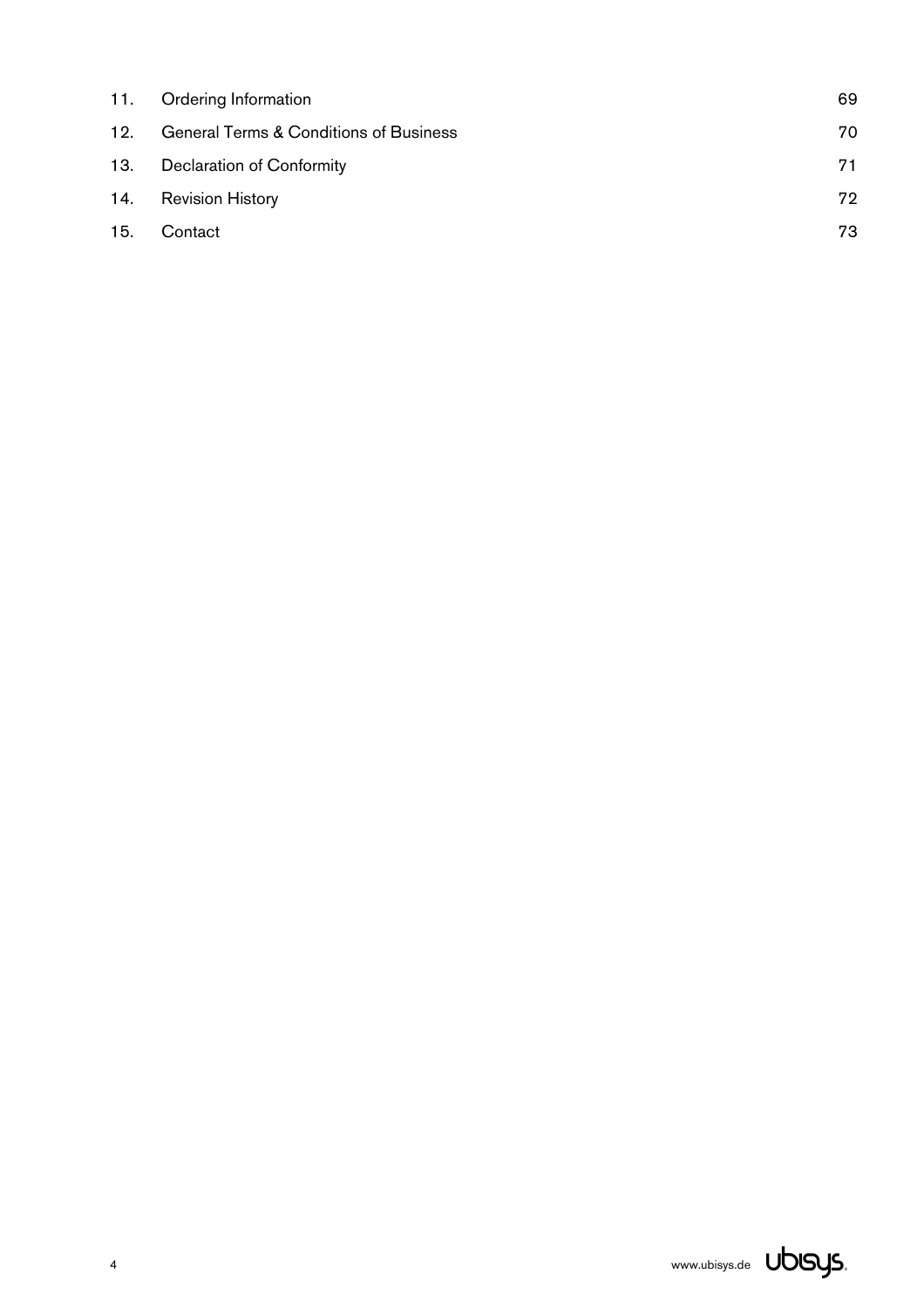|     | 11. Ordering Information                          | 69 |
|-----|---------------------------------------------------|----|
| 12. | <b>General Terms &amp; Conditions of Business</b> | 70 |
| 13. | <b>Declaration of Conformity</b>                  | 71 |
| 14. | <b>Revision History</b>                           | 72 |
| 15. | Contact                                           | 73 |
|     |                                                   |    |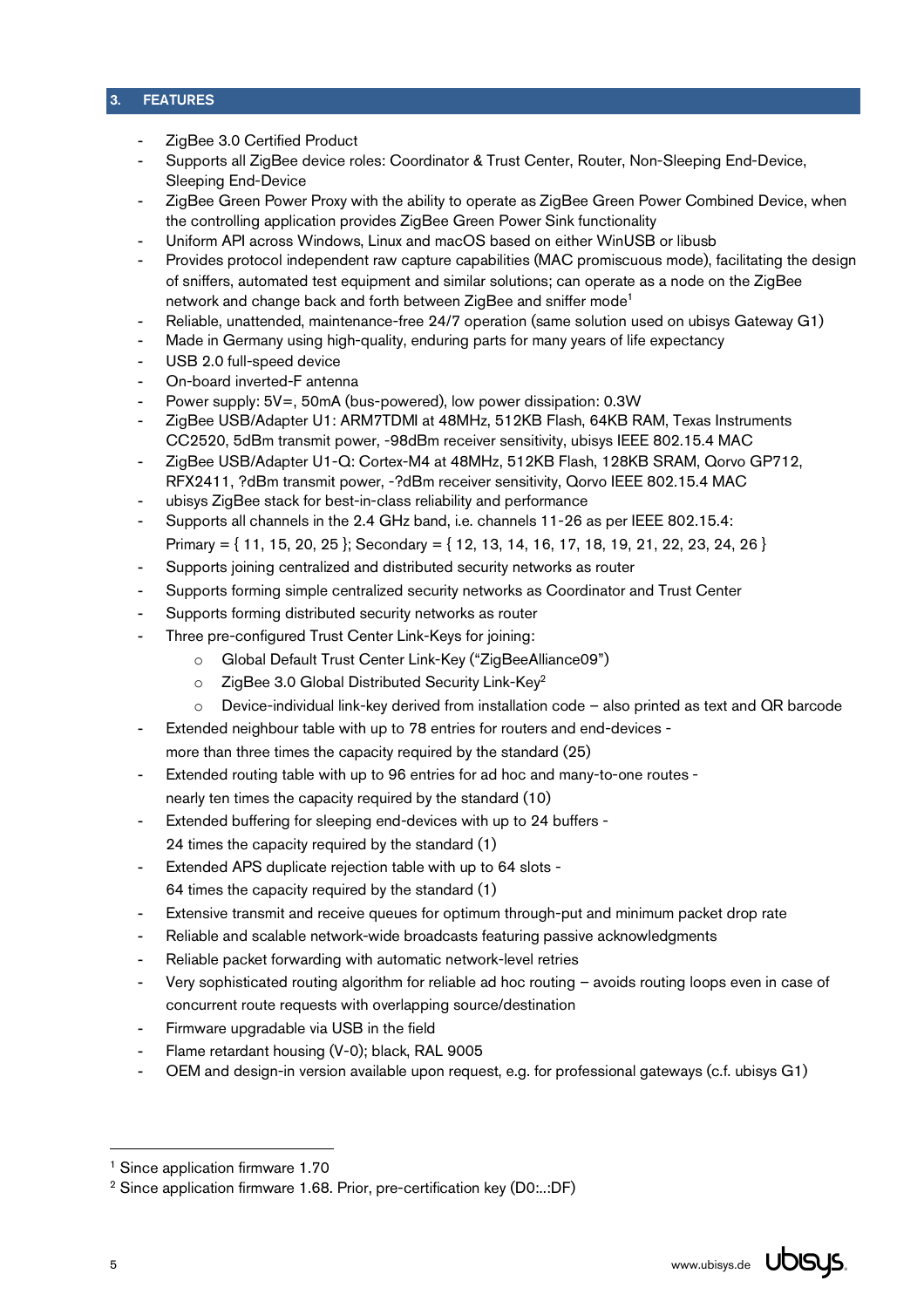### 3. FEATURES

- ZigBee 3.0 Certified Product
- Supports all ZigBee device roles: Coordinator & Trust Center, Router, Non-Sleeping End-Device, Sleeping End-Device
- ZigBee Green Power Proxy with the ability to operate as ZigBee Green Power Combined Device, when the controlling application provides ZigBee Green Power Sink functionality
- Uniform API across Windows, Linux and macOS based on either WinUSB or libusb
- Provides protocol independent raw capture capabilities (MAC promiscuous mode), facilitating the design of sniffers, automated test equipment and similar solutions; can operate as a node on the ZigBee network and change back and forth between ZigBee and sniffer mode<sup>1</sup>
- Reliable, unattended, maintenance-free 24/7 operation (same solution used on ubisys Gateway G1)
- Made in Germany using high-quality, enduring parts for many years of life expectancy
- USB 2.0 full-speed device
- On-board inverted-F antenna
- Power supply: 5V=, 50mA (bus-powered), low power dissipation: 0.3W
- ZigBee USB/Adapter U1: ARM7TDMI at 48MHz, 512KB Flash, 64KB RAM, Texas Instruments CC2520, 5dBm transmit power, -98dBm receiver sensitivity, ubisys IEEE 802.15.4 MAC
- ZigBee USB/Adapter U1-Q: Cortex-M4 at 48MHz, 512KB Flash, 128KB SRAM, Qorvo GP712, RFX2411, ?dBm transmit power, -?dBm receiver sensitivity, Qorvo IEEE 802.15.4 MAC
- ubisys ZigBee stack for best-in-class reliability and performance
- Supports all channels in the 2.4 GHz band, i.e. channels 11-26 as per IEEE 802.15.4:
- Primary = { 11, 15, 20, 25 }; Secondary = { 12, 13, 14, 16, 17, 18, 19, 21, 22, 23, 24, 26 }
- Supports joining centralized and distributed security networks as router
- Supports forming simple centralized security networks as Coordinator and Trust Center
- Supports forming distributed security networks as router
- Three pre-configured Trust Center Link-Keys for joining:
	- o Global Default Trust Center Link-Key ("ZigBeeAlliance09")
	- $\circ$  ZigBee 3.0 Global Distributed Security Link-Key<sup>2</sup>
	- $\circ$  Device-individual link-key derived from installation code also printed as text and QR barcode
- Extended neighbour table with up to 78 entries for routers and end-devices more than three times the capacity required by the standard (25)
- Extended routing table with up to 96 entries for ad hoc and many-to-one routes nearly ten times the capacity required by the standard (10)
- Extended buffering for sleeping end-devices with up to 24 buffers 24 times the capacity required by the standard (1)
- Extended APS duplicate rejection table with up to 64 slots -64 times the capacity required by the standard (1)
- Extensive transmit and receive queues for optimum through-put and minimum packet drop rate
- Reliable and scalable network-wide broadcasts featuring passive acknowledgments
- Reliable packet forwarding with automatic network-level retries
- Very sophisticated routing algorithm for reliable ad hoc routing avoids routing loops even in case of concurrent route requests with overlapping source/destination
- Firmware upgradable via USB in the field
- Flame retardant housing (V-0); black, RAL 9005
- OEM and design-in version available upon request, e.g. for professional gateways (c.f. ubisys G1)

 $\overline{a}$ 

<sup>&</sup>lt;sup>1</sup> Since application firmware 1.70

<sup>&</sup>lt;sup>2</sup> Since application firmware 1.68. Prior, pre-certification key (D0:..:DF)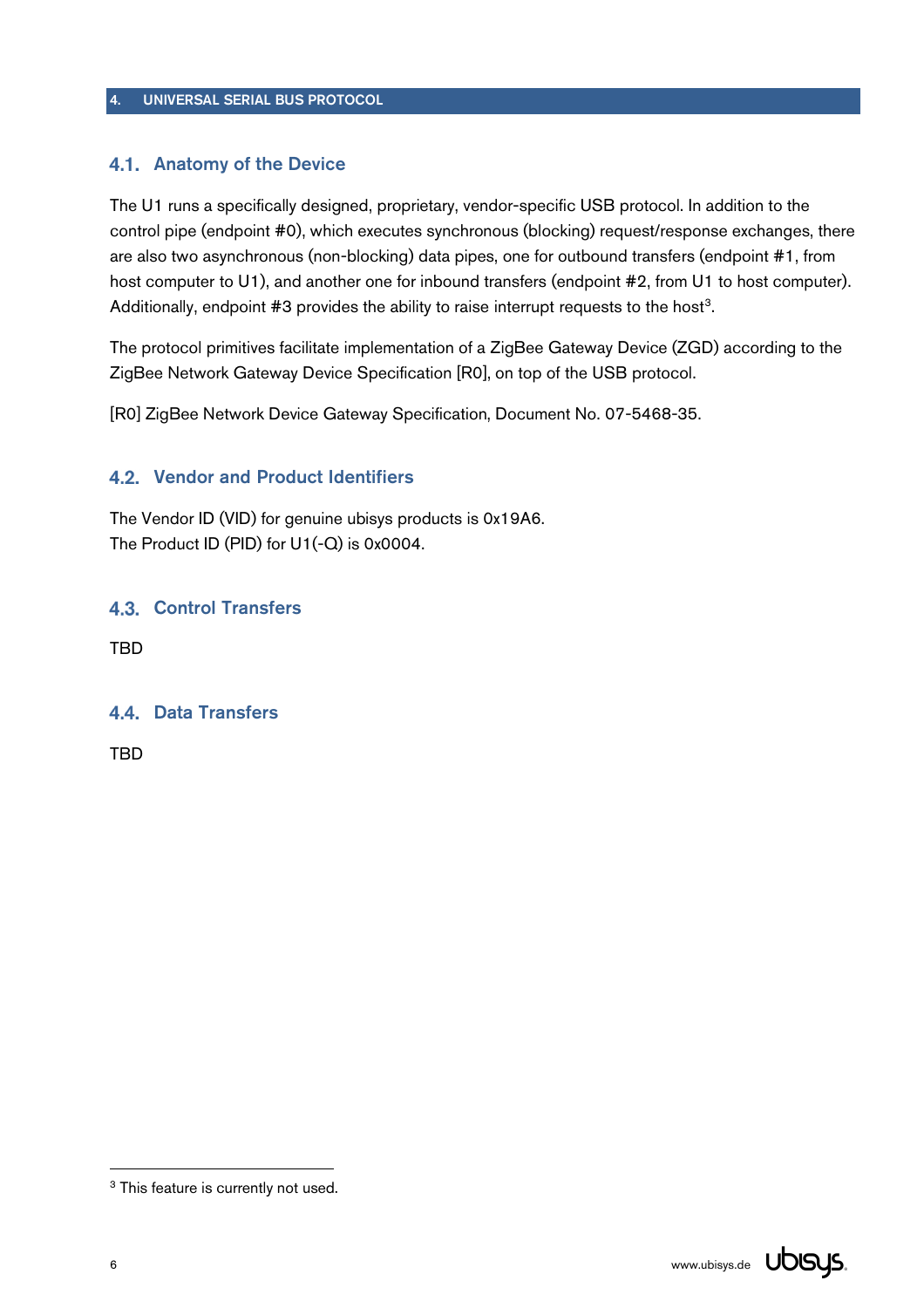#### 4. UNIVERSAL SERIAL BUS PROTOCOL

# 4.1. Anatomy of the Device

The U1 runs a specifically designed, proprietary, vendor-specific USB protocol. In addition to the control pipe (endpoint #0), which executes synchronous (blocking) request/response exchanges, there are also two asynchronous (non-blocking) data pipes, one for outbound transfers (endpoint #1, from host computer to U1), and another one for inbound transfers (endpoint #2, from U1 to host computer). Additionally, endpoint  $#3$  provides the ability to raise interrupt requests to the host<sup>3</sup>.

The protocol primitives facilitate implementation of a ZigBee Gateway Device (ZGD) according to the ZigBee Network Gateway Device Specification [R0], on top of the USB protocol.

[R0] ZigBee Network Device Gateway Specification, Document No. 07-5468-35.

# 4.2. Vendor and Product Identifiers

The Vendor ID (VID) for genuine ubisys products is 0x19A6. The Product ID (PID) for U1(-Q) is 0x0004.

# **4.3. Control Transfers**

TBD

# 4.4. Data Transfers

TBD

-

<sup>&</sup>lt;sup>3</sup> This feature is currently not used.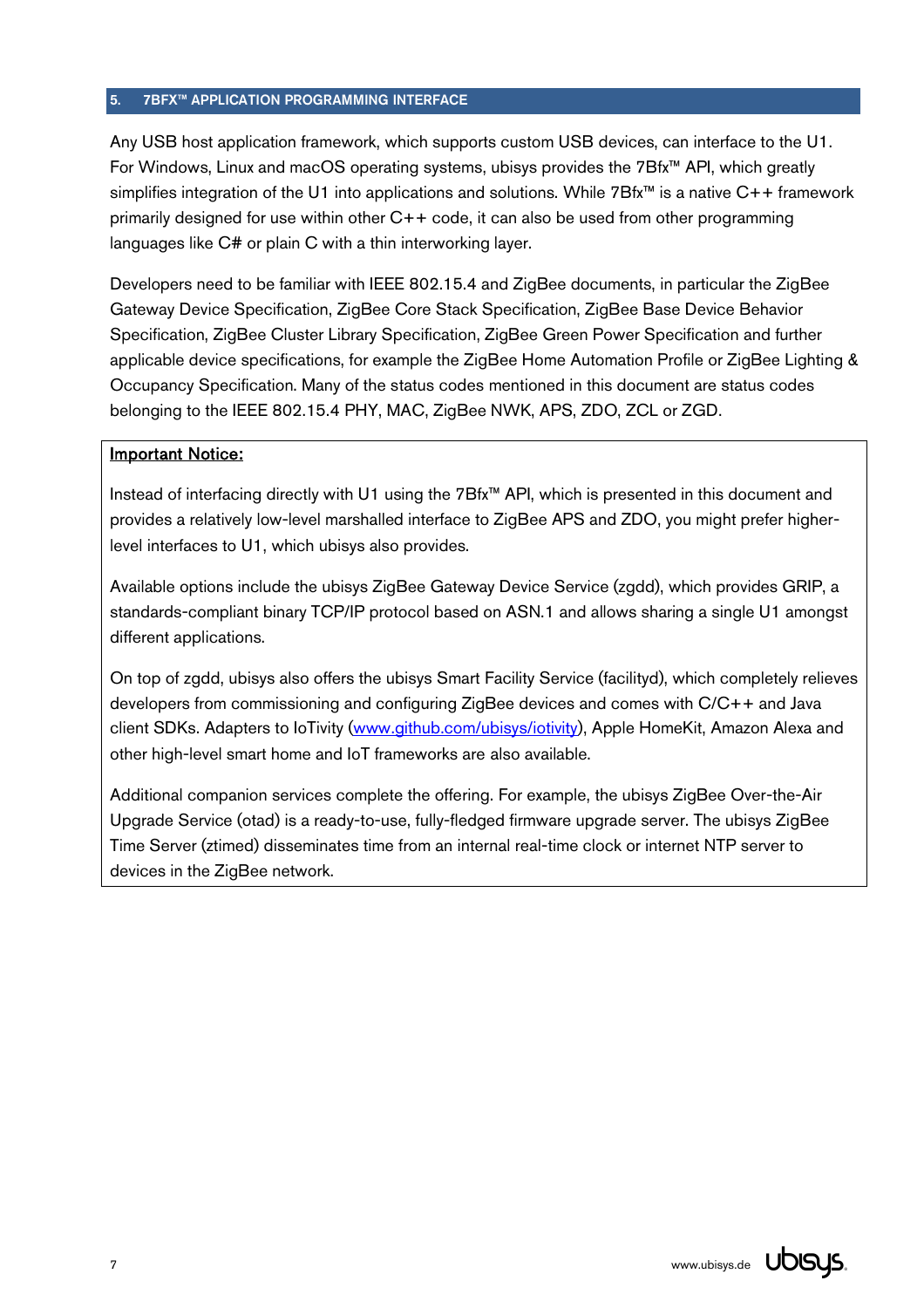#### 5. 7BFX™ APPLICATION PROGRAMMING INTERFACE

Any USB host application framework, which supports custom USB devices, can interface to the U1. For Windows, Linux and macOS operating systems, ubisys provides the 7Bfx™ API, which greatly simplifies integration of the U1 into applications and solutions. While 7Bfx<sup>™</sup> is a native C++ framework primarily designed for use within other C++ code, it can also be used from other programming languages like C# or plain C with a thin interworking layer.

Developers need to be familiar with IEEE 802.15.4 and ZigBee documents, in particular the ZigBee Gateway Device Specification, ZigBee Core Stack Specification, ZigBee Base Device Behavior Specification, ZigBee Cluster Library Specification, ZigBee Green Power Specification and further applicable device specifications, for example the ZigBee Home Automation Profile or ZigBee Lighting & Occupancy Specification. Many of the status codes mentioned in this document are status codes belonging to the IEEE 802.15.4 PHY, MAC, ZigBee NWK, APS, ZDO, ZCL or ZGD.

### **Important Notice:**

Instead of interfacing directly with U1 using the 7Bfx™ API, which is presented in this document and provides a relatively low-level marshalled interface to ZigBee APS and ZDO, you might prefer higherlevel interfaces to U1, which ubisys also provides.

Available options include the ubisys ZigBee Gateway Device Service (zgdd), which provides GRIP, a standards-compliant binary TCP/IP protocol based on ASN.1 and allows sharing a single U1 amongst different applications.

On top of zgdd, ubisys also offers the ubisys Smart Facility Service (facilityd), which completely relieves developers from commissioning and configuring ZigBee devices and comes with C/C++ and Java client SDKs. Adapters to IoTivity ([www.github.com/ubisys/iotivity\),](http://www.github.com/ubisys/iotivity),) Apple HomeKit, Amazon Alexa and other high-level smart home and IoT frameworks are also available.

Additional companion services complete the offering. For example, the ubisys ZigBee Over-the-Air Upgrade Service (otad) is a ready-to-use, fully-fledged firmware upgrade server. The ubisys ZigBee Time Server (ztimed) disseminates time from an internal real-time clock or internet NTP server to devices in the ZigBee network.

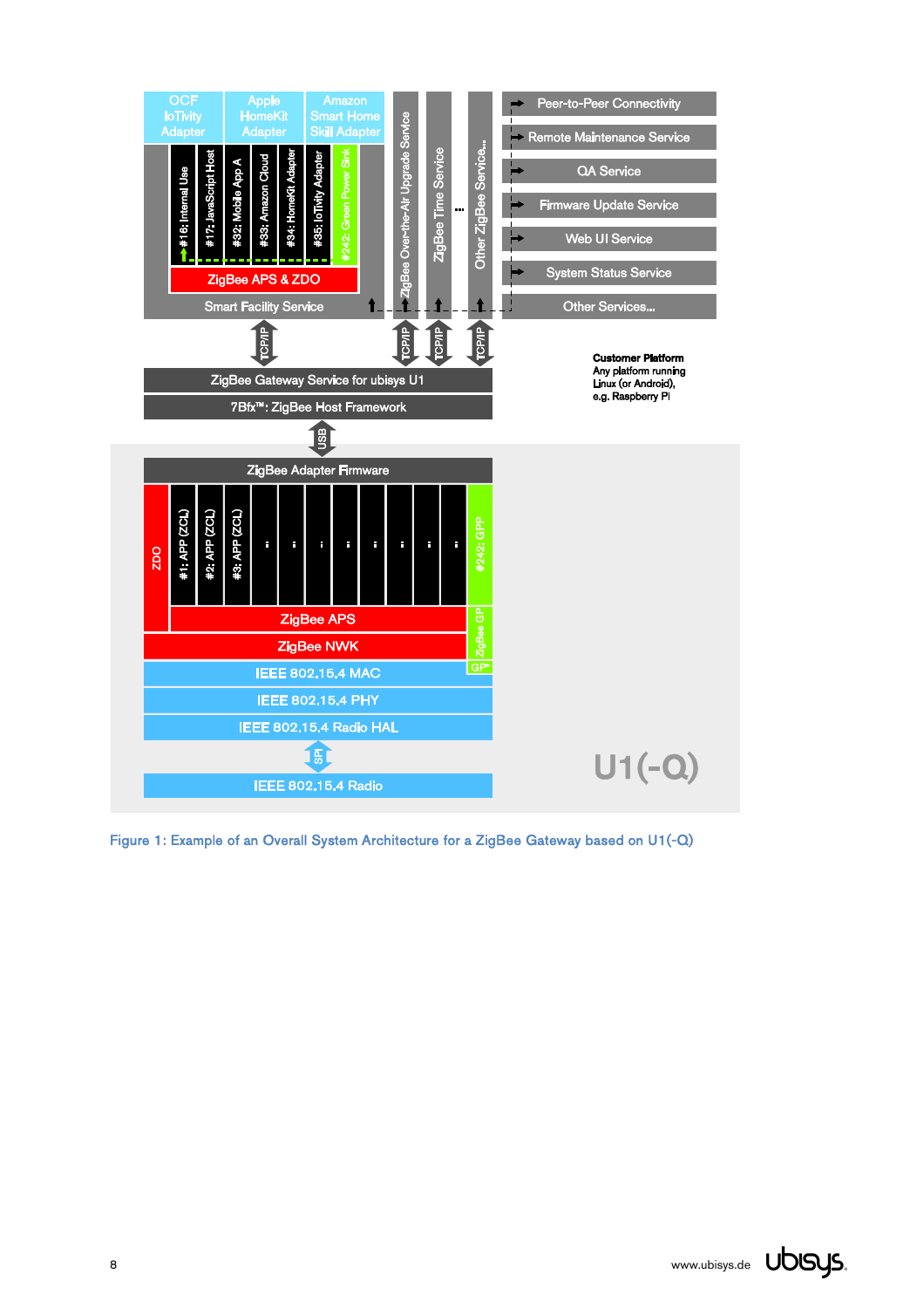

**Figure 1: Example of an Overall System Architecture for a ZigBee Gateway based on U1(-Q)** 

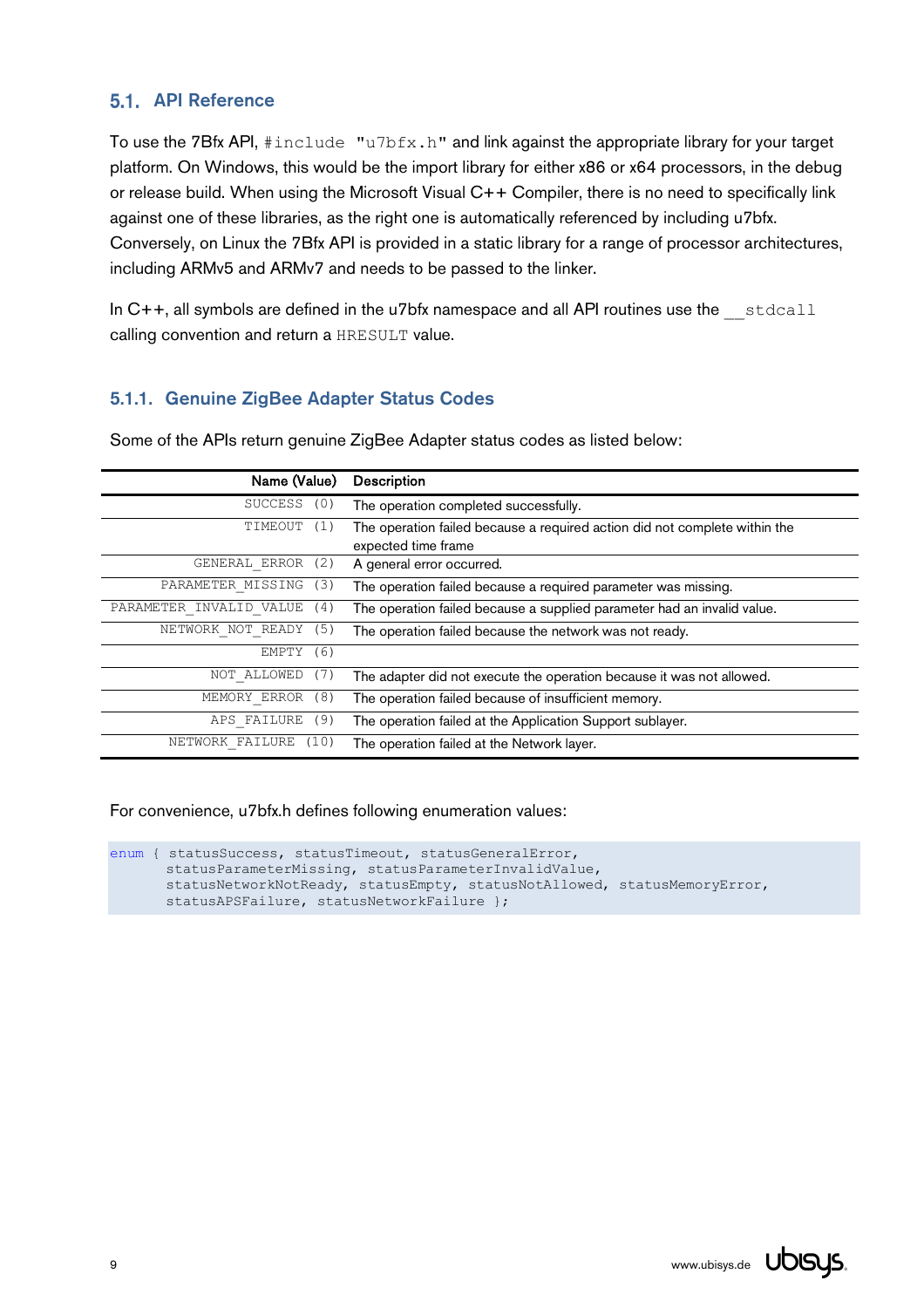# 5.1. API Reference

To use the 7Bfx API, #include "u7bfx.h" and link against the appropriate library for your target platform. On Windows, this would be the import library for either x86 or x64 processors, in the debug or release build. When using the Microsoft Visual C++ Compiler, there is no need to specifically link against one of these libraries, as the right one is automatically referenced by including u7bfx. Conversely, on Linux the 7Bfx API is provided in a static library for a range of processor architectures, including ARMv5 and ARMv7 and needs to be passed to the linker.

In  $C++$ , all symbols are defined in the u7bfx namespace and all API routines use the stdcall calling convention and return a HRESULT value.

# 5.1.1. Genuine ZigBee Adapter Status Codes

| Name (Value)                   | <b>Description</b>                                                                                |
|--------------------------------|---------------------------------------------------------------------------------------------------|
| <b>SUCCESS</b><br>(0)          | The operation completed successfully.                                                             |
| TIMEOUT<br>(1)                 | The operation failed because a required action did not complete within the<br>expected time frame |
| GENERAL ERROR<br>(2)           | A general error occurred.                                                                         |
| PARAMETER MISSING<br>(3)       | The operation failed because a required parameter was missing.                                    |
| PARAMETER INVALID VALUE<br>(4) | The operation failed because a supplied parameter had an invalid value.                           |
| NETWORK NOT READY<br>(5)       | The operation failed because the network was not ready.                                           |
| EMPTY<br>(6)                   |                                                                                                   |
| NOT ALLOWED<br>(7)             | The adapter did not execute the operation because it was not allowed.                             |
| MEMORY ERROR<br>(8)            | The operation failed because of insufficient memory.                                              |
| APS FAILURE<br>(9)             | The operation failed at the Application Support sublayer.                                         |
| (10)<br>NETWORK FAILURE        | The operation failed at the Network layer.                                                        |

Some of the APIs return genuine ZigBee Adapter status codes as listed below:

For convenience, u7bfx.h defines following enumeration values:

```
enum { statusSuccess, statusTimeout, statusGeneralError,
      statusParameterMissing, statusParameterInvalidValue,
      statusNetworkNotReady, statusEmpty, statusNotAllowed, statusMemoryError,
      statusAPSFailure, statusNetworkFailure };
```
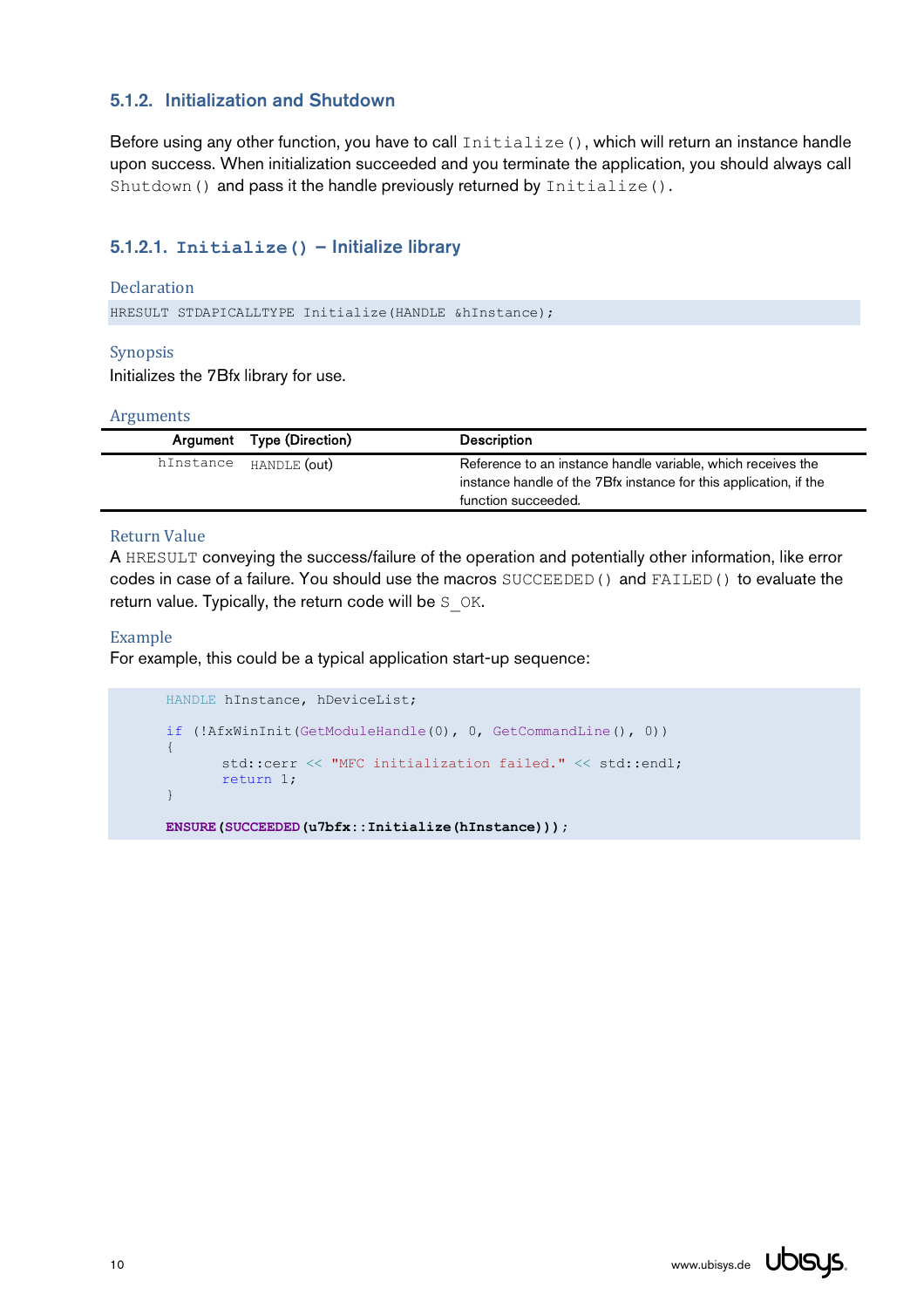# 5.1.2. Initialization and Shutdown

Before using any other function, you have to call  $Initialize()$ , which will return an instance handle upon success. When initialization succeeded and you terminate the application, you should always call Shutdown() and pass it the handle previously returned by Initialize().

# 5.1.2.1. **Initialize()** – Initialize library

#### Declaration

HRESULT STDAPICALLTYPE Initialize(HANDLE &hInstance);

### Synopsis

Initializes the 7Bfx library for use.

#### Arguments

| Argument Type (Direction) | <b>Description</b>                                                                                                                                       |
|---------------------------|----------------------------------------------------------------------------------------------------------------------------------------------------------|
| hInstance HANDLE (out)    | Reference to an instance handle variable, which receives the<br>instance handle of the 7Bfx instance for this application, if the<br>function succeeded. |

### Return Value

A HRESULT conveying the success/failure of the operation and potentially other information, like error codes in case of a failure. You should use the macros SUCCEEDED() and FAILED() to evaluate the return value. Typically, the return code will be S OK.

### Example

For example, this could be a typical application start-up sequence:

```
HANDLE hInstance, hDeviceList;
if (!AfxWinInit(GetModuleHandle(0), 0, GetCommandLine(), 0))
{
      std::cerr << "MFC initialization failed." << std::endl;
      return 1;
}
```
**ENSURE(SUCCEEDED(u7bfx::Initialize(hInstance)));**

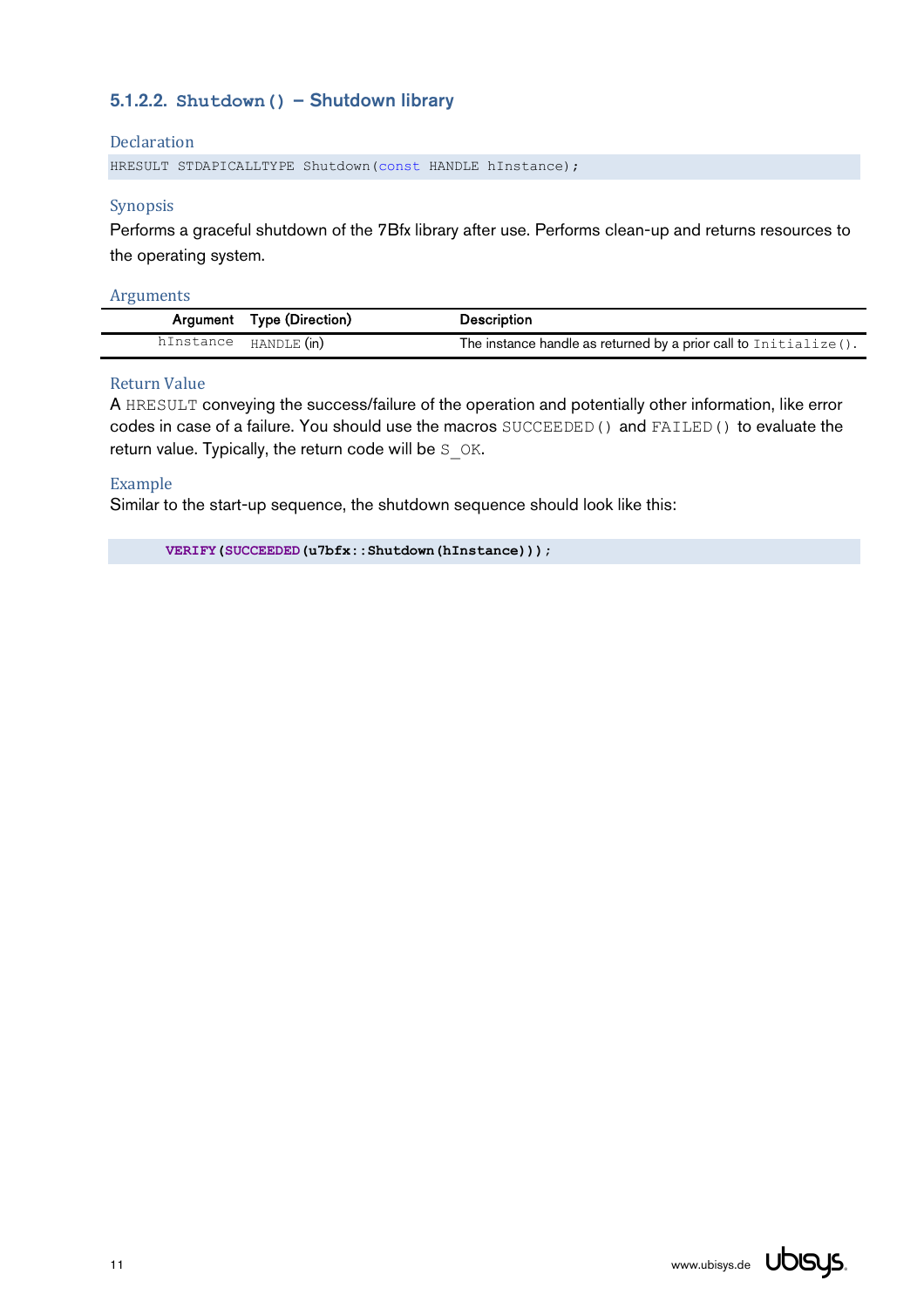# 5.1.2.2. **Shutdown()** – Shutdown library

#### Declaration

HRESULT STDAPICALLTYPE Shutdown(const HANDLE hInstance);

### Synopsis

Performs a graceful shutdown of the 7Bfx library after use. Performs clean-up and returns resources to the operating system.

### Arguments

|                       | Argument Type (Direction) | <b>Description</b>                                                  |
|-----------------------|---------------------------|---------------------------------------------------------------------|
| hInstance HANDLE (in) |                           | The instance handle as returned by a prior call to $Initialize()$ . |

### Return Value

A HRESULT conveying the success/failure of the operation and potentially other information, like error codes in case of a failure. You should use the macros SUCCEEDED() and FAILED() to evaluate the return value. Typically, the return code will be S OK.

### Example

Similar to the start-up sequence, the shutdown sequence should look like this:

**VERIFY(SUCCEEDED(u7bfx::Shutdown(hInstance)));**

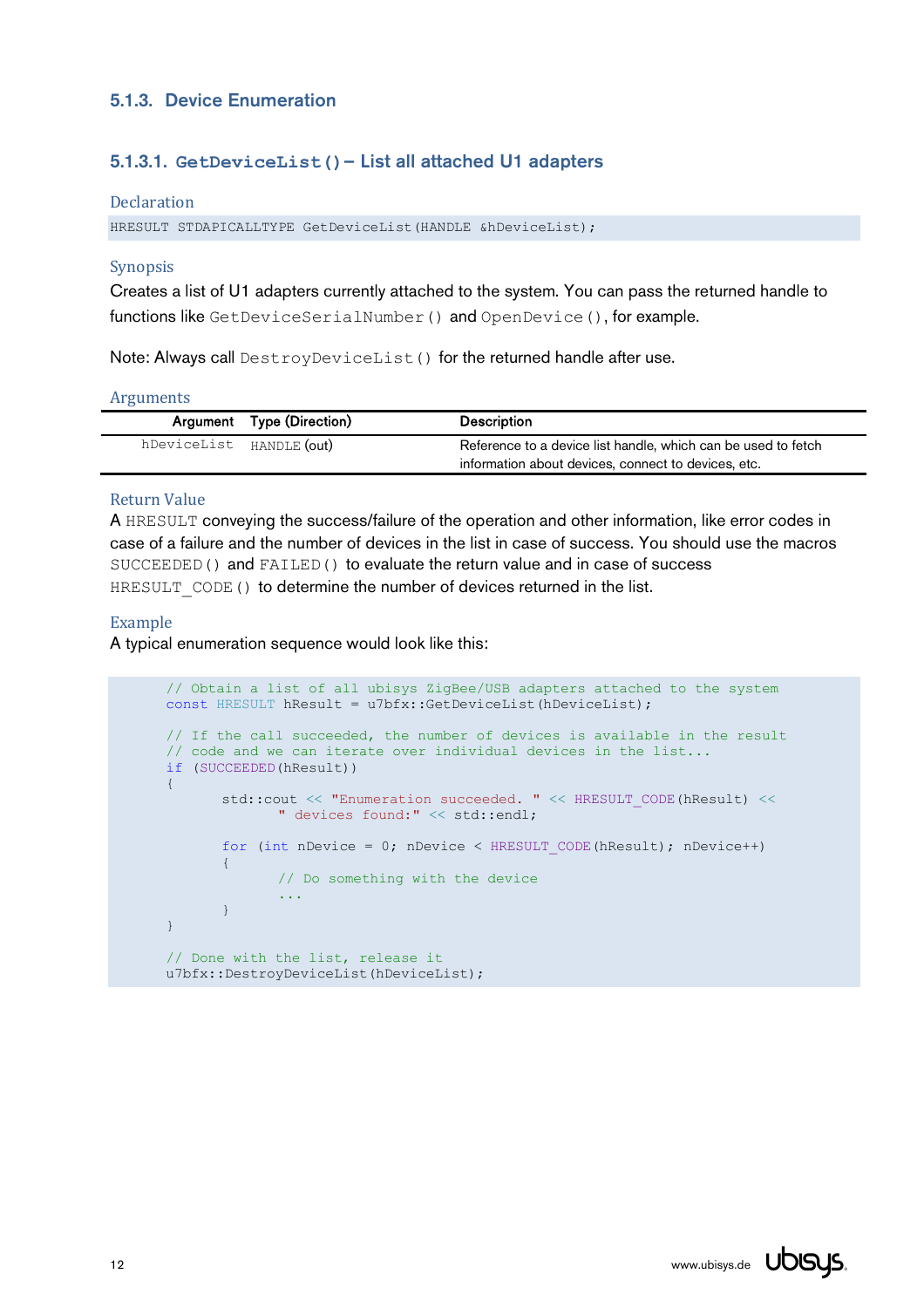# 5.1.3. Device Enumeration

# 5.1.3.1. **GetDeviceList()**– List all attached U1 adapters

#### Declaration

HRESULT STDAPICALLTYPE GetDeviceList(HANDLE &hDeviceList);

### Synopsis

Creates a list of U1 adapters currently attached to the system. You can pass the returned handle to functions like GetDeviceSerialNumber() and OpenDevice(), for example.

Note: Always call DestroyDeviceList() for the returned handle after use.

### Arguments

|  | Argument Type (Direction) | <b>Description</b>                                                                                                   |
|--|---------------------------|----------------------------------------------------------------------------------------------------------------------|
|  | hDeviceList HANDLE (out)  | Reference to a device list handle, which can be used to fetch<br>information about devices, connect to devices, etc. |

### Return Value

A HRESULT conveying the success/failure of the operation and other information, like error codes in case of a failure and the number of devices in the list in case of success. You should use the macros SUCCEEDED() and FAILED() to evaluate the return value and in case of success HRESULT CODE() to determine the number of devices returned in the list.

### Example

A typical enumeration sequence would look like this:

```
// Obtain a list of all ubisys ZigBee/USB adapters attached to the system
const HRESULT hResult = u7bfx::GetDeviceList(hDeviceList);
// If the call succeeded, the number of devices is available in the result
// code and we can iterate over individual devices in the list...
if (SUCCEEDED(hResult))
{
      std::cout << "Enumeration succeeded. " << HRESULT CODE(hResult) <<
             " devices found:" << std::endl;
      for (int nDevice = 0; nDevice < HRESULT CODE(hResult); nDevice++)
      {
             // Do something with the device
             ...
      }
}
// Done with the list, release it
u7bfx::DestroyDeviceList(hDeviceList);
```
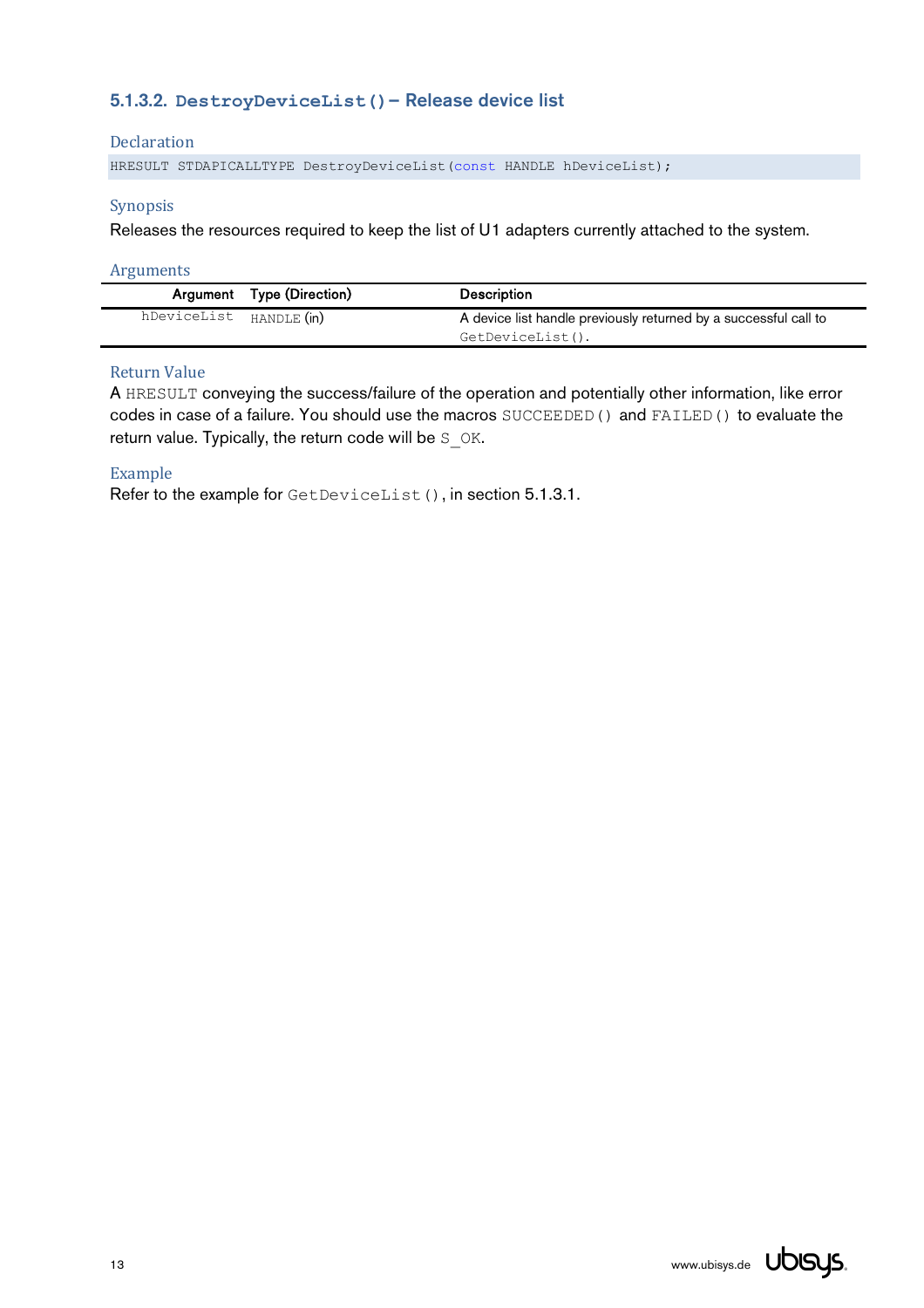# 5.1.3.2. **DestroyDeviceList()**– Release device list

#### Declaration

HRESULT STDAPICALLTYPE DestroyDeviceList(const HANDLE hDeviceList);

#### Synopsis

Releases the resources required to keep the list of U1 adapters currently attached to the system.

### Arguments

|                         | Argument Type (Direction) | <b>Description</b>                                               |
|-------------------------|---------------------------|------------------------------------------------------------------|
| hDeviceList HANDLE (in) |                           | A device list handle previously returned by a successful call to |
|                         |                           | GetDeviceList().                                                 |

## Return Value

A HRESULT conveying the success/failure of the operation and potentially other information, like error codes in case of a failure. You should use the macros SUCCEEDED() and FAILED() to evaluate the return value. Typically, the return code will be S OK.

### Example

Refer to the example for GetDeviceList(), in section 5.1.3.1.

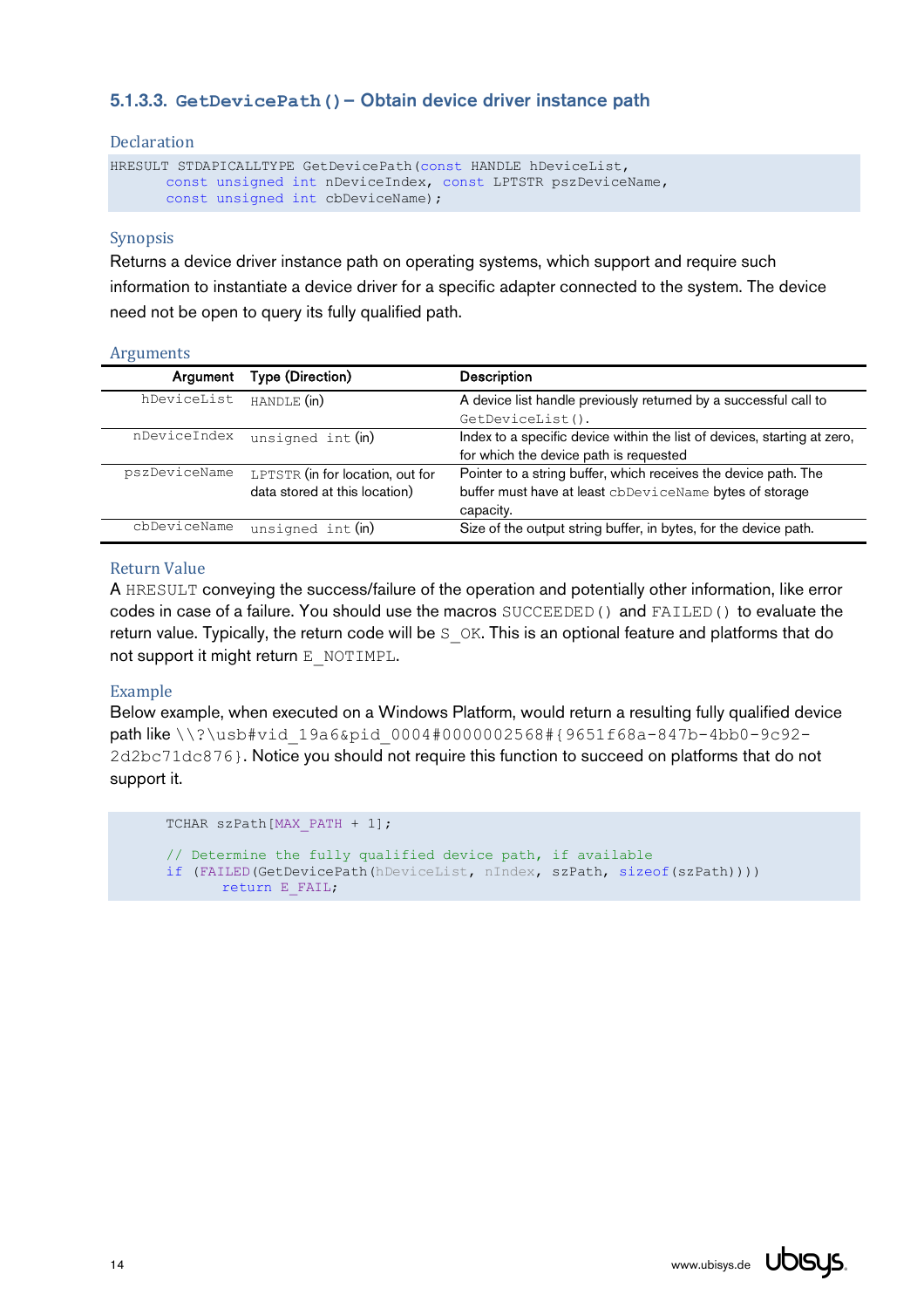# 5.1.3.3. **GetDevicePath()**– Obtain device driver instance path

#### Declaration

```
HRESULT STDAPICALLTYPE GetDevicePath(const HANDLE hDeviceList,
      const unsigned int nDeviceIndex, const LPTSTR pszDeviceName, 
      const unsigned int cbDeviceName);
```
#### Synopsis

Returns a device driver instance path on operating systems, which support and require such information to instantiate a device driver for a specific adapter connected to the system. The device need not be open to query its fully qualified path.

#### Arguments

| Argument      | Type (Direction)                 | <b>Description</b>                                                       |
|---------------|----------------------------------|--------------------------------------------------------------------------|
| hDeviceList   | HANDLE (in)                      | A device list handle previously returned by a successful call to         |
|               |                                  | GetDeviceList().                                                         |
| nDeviceIndex  | unsigned int (in)                | Index to a specific device within the list of devices, starting at zero, |
|               |                                  | for which the device path is requested                                   |
| pszDeviceName | LPTSTR (in for location, out for | Pointer to a string buffer, which receives the device path. The          |
|               | data stored at this location)    | buffer must have at least cbDeviceName bytes of storage                  |
|               |                                  | capacity.                                                                |
| cbDeviceName  | unsigned int (in)                | Size of the output string buffer, in bytes, for the device path.         |

### Return Value

A HRESULT conveying the success/failure of the operation and potentially other information, like error codes in case of a failure. You should use the macros SUCCEEDED() and FAILED() to evaluate the return value. Typically, the return code will be S OK. This is an optional feature and platforms that do not support it might return E\_NOTIMPL.

### Example

Below example, when executed on a Windows Platform, would return a resulting fully qualified device path like \\?\usb#vid 19a6&pid 0004#0000002568#{9651f68a-847b-4bb0-9c92-2d2bc71dc876}. Notice you should not require this function to succeed on platforms that do not support it.

```
TCHAR szPath[MAX PATH + 1];
// Determine the fully qualified device path, if available
if (FAILED(GetDevicePath(hDeviceList, nIndex, szPath, sizeof(szPath))))
      return E_FAIL;
```
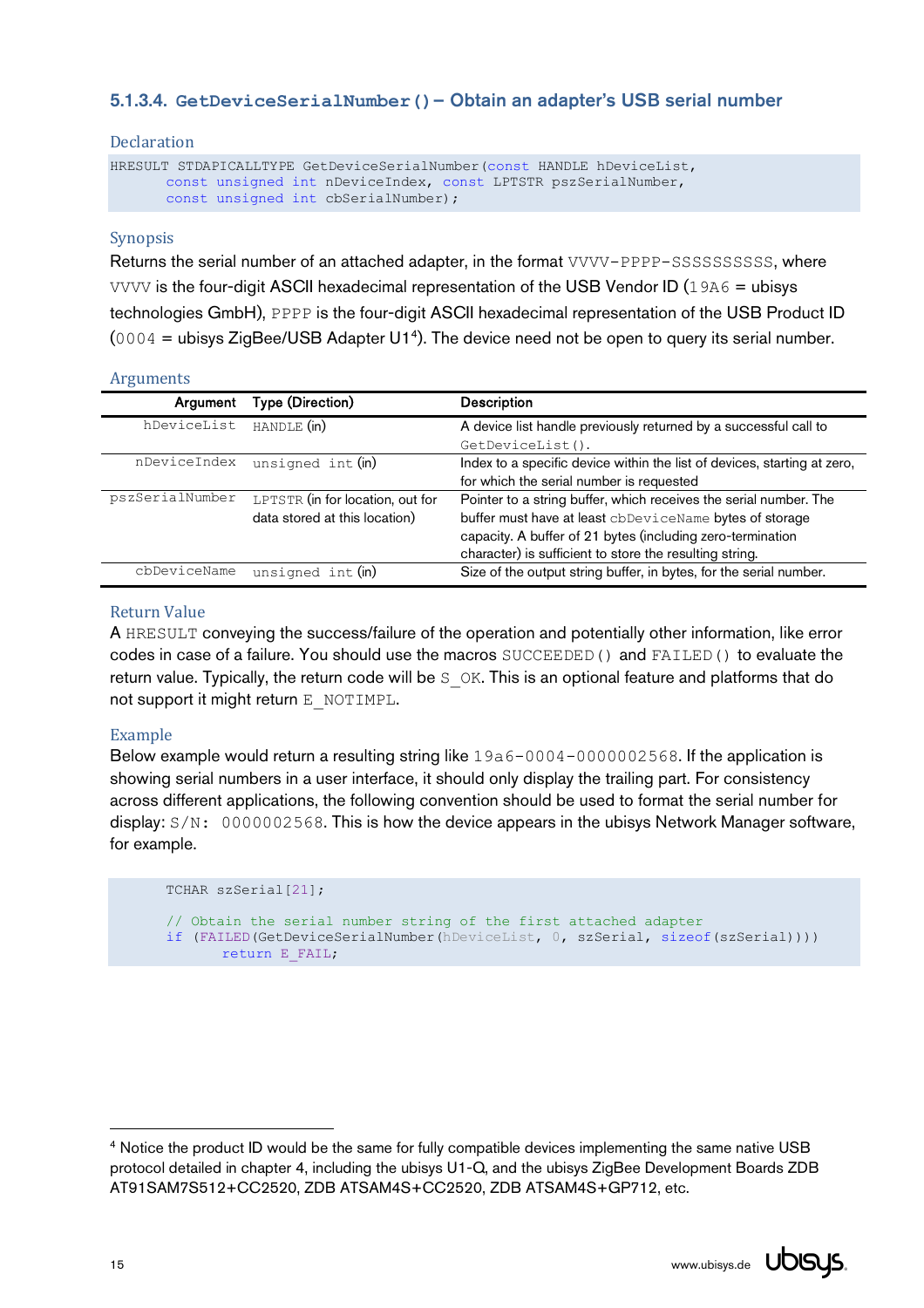# 5.1.3.4. **GetDeviceSerialNumber()**– Obtain an adapter's USB serial number

#### Declaration

```
HRESULT STDAPICALLTYPE GetDeviceSerialNumber(const HANDLE hDeviceList,
      const unsigned int nDeviceIndex, const LPTSTR pszSerialNumber, 
      const unsigned int cbSerialNumber);
```
### Synopsis

Returns the serial number of an attached adapter, in the format VVVV-PPPP-SSSSSSSSSS, where VVVV is the four-digit ASCII hexadecimal representation of the USB Vendor ID (19A6 = ubisys technologies GmbH), PPPP is the four-digit ASCII hexadecimal representation of the USB Product ID  $(0004 =$  ubisys ZigBee/USB Adapter U1<sup>4</sup>). The device need not be open to query its serial number.

#### Arguments

| Argument        | Type (Direction)                 | <b>Description</b>                                                       |
|-----------------|----------------------------------|--------------------------------------------------------------------------|
| hDeviceList     | HANDLE (in)                      | A device list handle previously returned by a successful call to         |
|                 |                                  | GetDeviceList().                                                         |
| nDeviceIndex    | unsigned int (in)                | Index to a specific device within the list of devices, starting at zero, |
|                 |                                  | for which the serial number is requested                                 |
| pszSerialNumber | LPTSTR (in for location, out for | Pointer to a string buffer, which receives the serial number. The        |
|                 | data stored at this location)    | buffer must have at least cbDeviceName bytes of storage                  |
|                 |                                  | capacity. A buffer of 21 bytes (including zero-termination               |
|                 |                                  | character) is sufficient to store the resulting string.                  |
| cbDeviceName    | unsigned int (in)                | Size of the output string buffer, in bytes, for the serial number.       |

### Return Value

A HRESULT conveying the success/failure of the operation and potentially other information, like error codes in case of a failure. You should use the macros SUCCEEDED() and FAILED() to evaluate the return value. Typically, the return code will be S OK. This is an optional feature and platforms that do not support it might return E\_NOTIMPL.

### Example

Below example would return a resulting string like 19a6-0004-0000002568. If the application is showing serial numbers in a user interface, it should only display the trailing part. For consistency across different applications, the following convention should be used to format the serial number for display: S/N: 0000002568. This is how the device appears in the ubisys Network Manager software, for example.

#### TCHAR szSerial[21];

// Obtain the serial number string of the first attached adapter if (FAILED(GetDeviceSerialNumber(hDeviceList, 0, szSerial, sizeof(szSerial)))) return E\_FAIL;

<sup>4</sup> Notice the product ID would be the same for fully compatible devices implementing the same native USB protocol detailed in chapter 4, including the ubisys U1-Q, and the ubisys ZigBee Development Boards ZDB AT91SAM7S512+CC2520, ZDB ATSAM4S+CC2520, ZDB ATSAM4S+GP712, etc.



-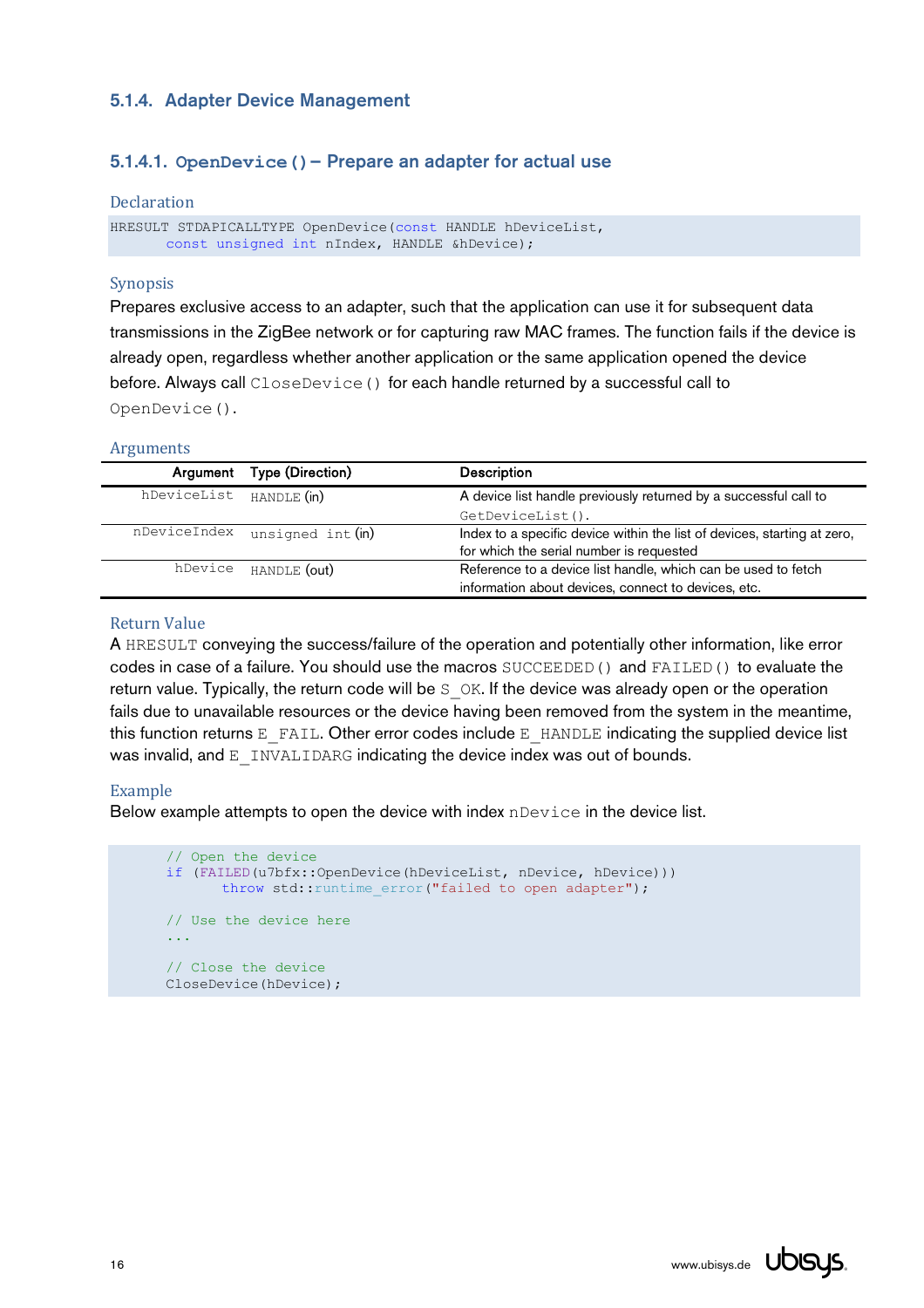# 5.1.4. Adapter Device Management

### 5.1.4.1. **OpenDevice()**– Prepare an adapter for actual use

#### **Declaration**

HRESULT STDAPICALLTYPE OpenDevice(const HANDLE hDeviceList, const unsigned int nIndex, HANDLE &hDevice);

#### Synopsis

Prepares exclusive access to an adapter, such that the application can use it for subsequent data transmissions in the ZigBee network or for capturing raw MAC frames. The function fails if the device is already open, regardless whether another application or the same application opened the device before. Always call CloseDevice() for each handle returned by a successful call to OpenDevice().

#### Arguments

| Argument     | Type (Direction)  | <b>Description</b>                                                       |
|--------------|-------------------|--------------------------------------------------------------------------|
| hDeviceList  | HANDLE (in)       | A device list handle previously returned by a successful call to         |
|              |                   | GetDeviceList().                                                         |
| nDeviceIndex | unsigned int (in) | Index to a specific device within the list of devices, starting at zero, |
|              |                   | for which the serial number is requested                                 |
| hDevice      | HANDLE (out)      | Reference to a device list handle, which can be used to fetch            |
|              |                   | information about devices, connect to devices, etc.                      |

#### Return Value

A HRESULT conveying the success/failure of the operation and potentially other information, like error codes in case of a failure. You should use the macros SUCCEEDED() and FAILED() to evaluate the return value. Typically, the return code will be S OK. If the device was already open or the operation fails due to unavailable resources or the device having been removed from the system in the meantime, this function returns  $E$  FAIL. Other error codes include  $E$  HANDLE indicating the supplied device list was invalid, and E\_INVALIDARG indicating the device index was out of bounds.

#### Example

Below example attempts to open the device with index nDevice in the device list.

```
// Open the device
if (FAILED(u7bfx::OpenDevice(hDeviceList, nDevice, hDevice)))
      throw std:: runtime error("failed to open adapter");
// Use the device here
...
// Close the device
CloseDevice(hDevice);
```
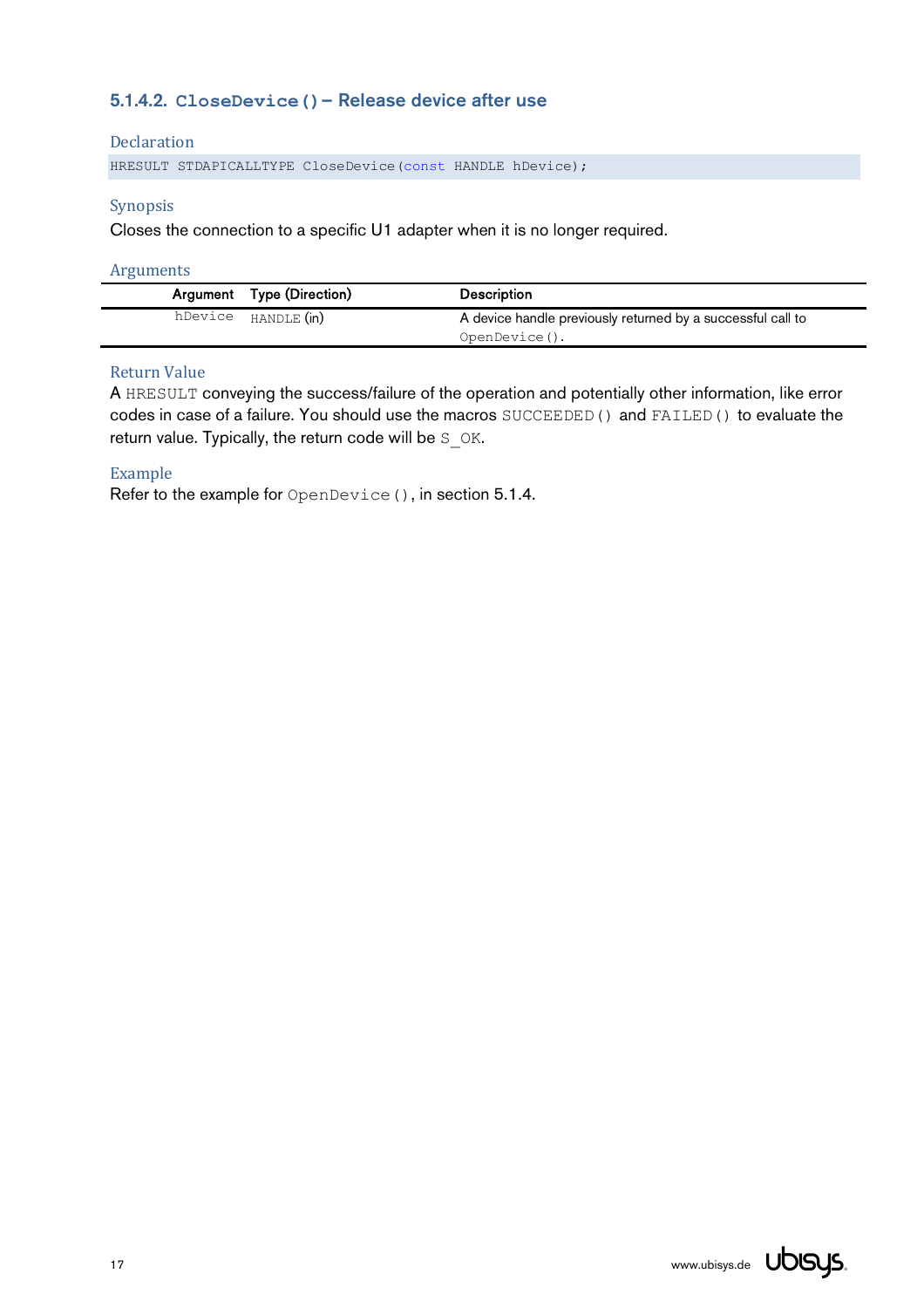# 5.1.4.2. **CloseDevice()**– Release device after use

### Declaration

HRESULT STDAPICALLTYPE CloseDevice(const HANDLE hDevice);

## Synopsis

Closes the connection to a specific U1 adapter when it is no longer required.

### Arguments

| Argument Type (Direction) | <b>Description</b>                                          |
|---------------------------|-------------------------------------------------------------|
| hDevice HANDLE (in)       | A device handle previously returned by a successful call to |
|                           | OpenDevice().                                               |

# Return Value

A HRESULT conveying the success/failure of the operation and potentially other information, like error codes in case of a failure. You should use the macros SUCCEEDED() and FAILED() to evaluate the return value. Typically, the return code will be S OK.

# Example

Refer to the example for OpenDevice(), in section 5.1.4.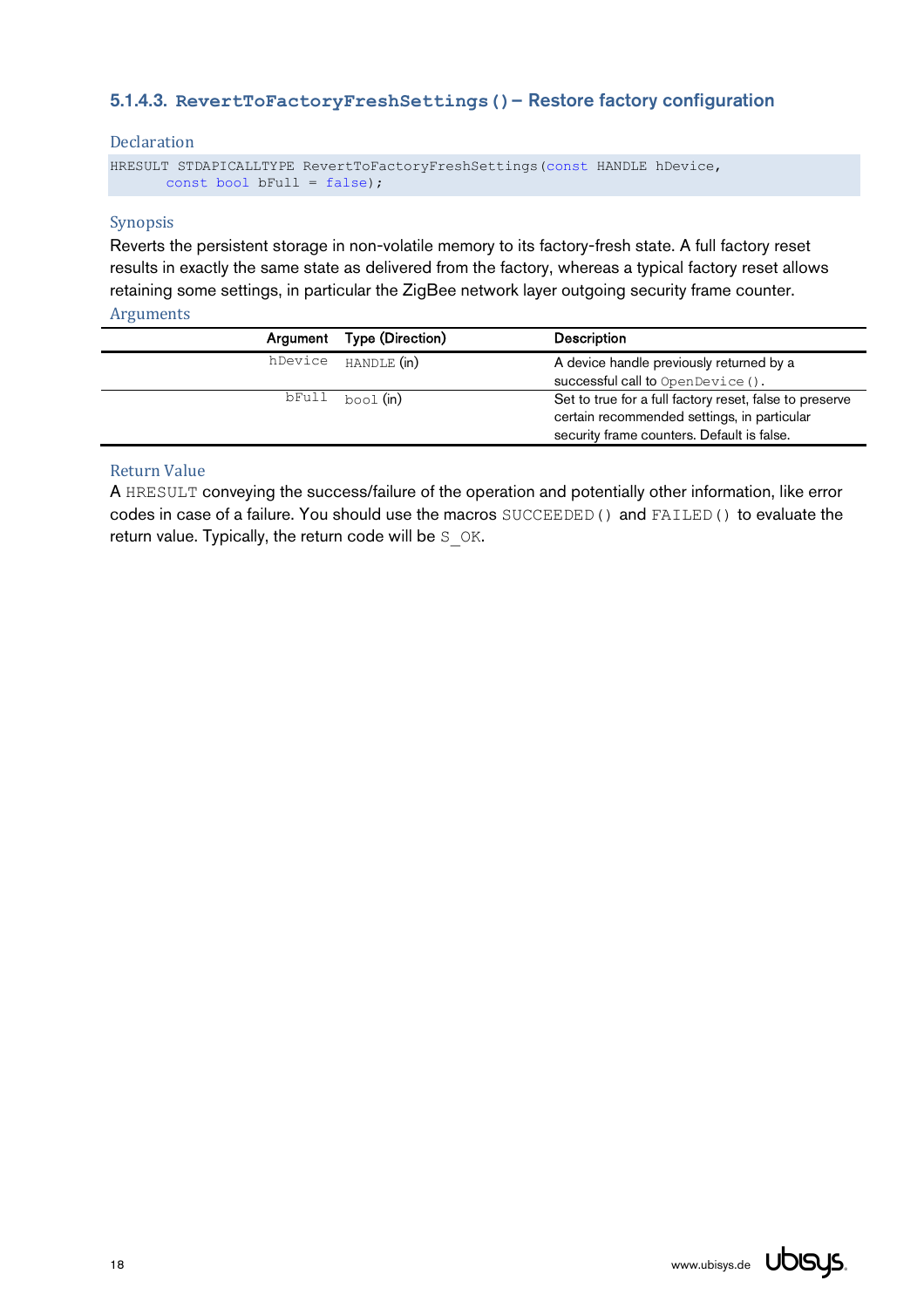# 5.1.4.3. **RevertToFactoryFreshSettings()**– Restore factory configuration

#### Declaration

```
HRESULT STDAPICALLTYPE RevertToFactoryFreshSettings(const HANDLE hDevice,
      const bool bFull = false);
```
### Synopsis

Reverts the persistent storage in non-volatile memory to its factory-fresh state. A full factory reset results in exactly the same state as delivered from the factory, whereas a typical factory reset allows retaining some settings, in particular the ZigBee network layer outgoing security frame counter.

## Arguments

| Argument Type (Direction) | <b>Description</b>                                      |
|---------------------------|---------------------------------------------------------|
| hDevice HANDLE (in)       | A device handle previously returned by a                |
|                           | successful call to OpenDevice().                        |
| $bFull_{bool}(in)$        | Set to true for a full factory reset, false to preserve |
|                           | certain recommended settings, in particular             |
|                           | security frame counters. Default is false.              |

### Return Value

A HRESULT conveying the success/failure of the operation and potentially other information, like error codes in case of a failure. You should use the macros SUCCEEDED() and FAILED() to evaluate the return value. Typically, the return code will be S OK.

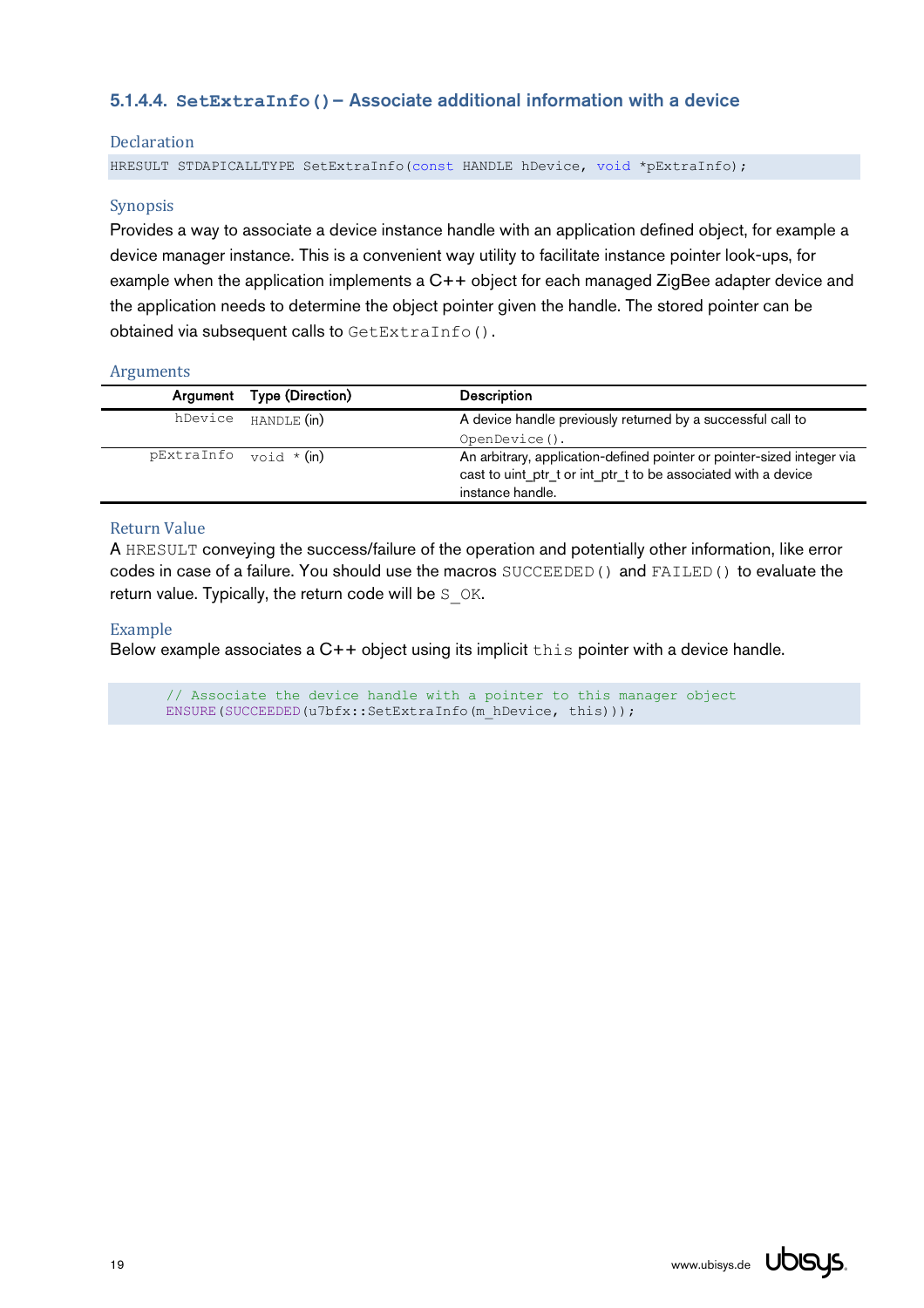# 5.1.4.4. **SetExtraInfo()**– Associate additional information with a device

#### Declaration

HRESULT STDAPICALLTYPE SetExtraInfo(const HANDLE hDevice, void \*pExtraInfo);

### Synopsis

Provides a way to associate a device instance handle with an application defined object, for example a device manager instance. This is a convenient way utility to facilitate instance pointer look-ups, for example when the application implements a C++ object for each managed ZigBee adapter device and the application needs to determine the object pointer given the handle. The stored pointer can be obtained via subsequent calls to GetExtraInfo().

### Arguments

|                           | Argument Type (Direction) | <b>Description</b>                                                     |
|---------------------------|---------------------------|------------------------------------------------------------------------|
|                           | hDevice HANDLE (in)       | A device handle previously returned by a successful call to            |
|                           |                           | OpenDevice().                                                          |
| $pExtrainfo$ void $*(in)$ |                           | An arbitrary, application-defined pointer or pointer-sized integer via |
|                           |                           | cast to uint_ptr_t or int_ptr_t to be associated with a device         |
|                           |                           | instance handle.                                                       |

### Return Value

A HRESULT conveying the success/failure of the operation and potentially other information, like error codes in case of a failure. You should use the macros SUCCEEDED() and FAILED() to evaluate the return value. Typically, the return code will be S OK.

### Example

Below example associates a C++ object using its implicit this pointer with a device handle.

// Associate the device handle with a pointer to this manager object ENSURE(SUCCEEDED(u7bfx::SetExtraInfo(m\_hDevice, this)));

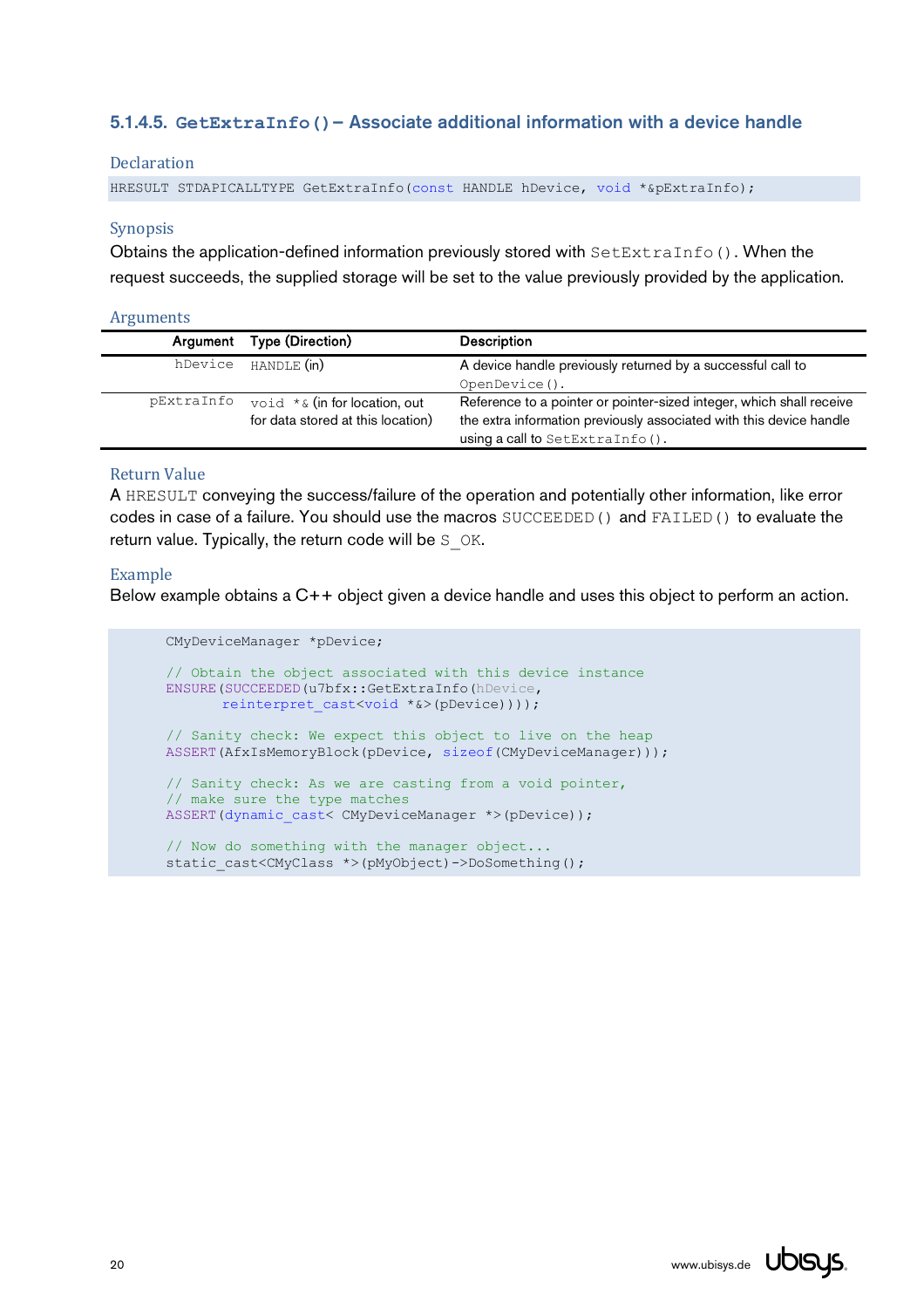# 5.1.4.5. **GetExtraInfo()**– Associate additional information with a device handle

#### Declaration

HRESULT STDAPICALLTYPE GetExtraInfo(const HANDLE hDevice, void \*&pExtraInfo);

#### Synopsis

Obtains the application-defined information previously stored with  $\texttt{SetExtranInfo}()$ . When the request succeeds, the supplied storage will be set to the value previously provided by the application.

#### Arguments

|            | Argument Type (Direction)            | <b>Description</b>                                                   |
|------------|--------------------------------------|----------------------------------------------------------------------|
|            | hDevice HANDLE (in)                  | A device handle previously returned by a successful call to          |
|            |                                      | OpenDevice().                                                        |
| pExtraInfo | void $\star$ & (in for location, out | Reference to a pointer or pointer-sized integer, which shall receive |
|            | for data stored at this location)    | the extra information previously associated with this device handle  |
|            |                                      | using a call to SetExtraInfo().                                      |

#### Return Value

A HRESULT conveying the success/failure of the operation and potentially other information, like error codes in case of a failure. You should use the macros SUCCEEDED() and FAILED() to evaluate the return value. Typically, the return code will be S OK.

#### Example

Below example obtains a C++ object given a device handle and uses this object to perform an action.

```
CMyDeviceManager *pDevice;
// Obtain the object associated with this device instance
ENSURE(SUCCEEDED(u7bfx::GetExtraInfo(hDevice, 
      reinterpret_cast<void *&>(pDevice))));
// Sanity check: We expect this object to live on the heap
ASSERT(AfxIsMemoryBlock(pDevice, sizeof(CMyDeviceManager)));
// Sanity check: As we are casting from a void pointer, 
// make sure the type matches
ASSERT(dynamic cast< CMyDeviceManager *>(pDevice));
// Now do something with the manager object...
static cast<CMyClass *>(pMyObject)->DoSomething();
```
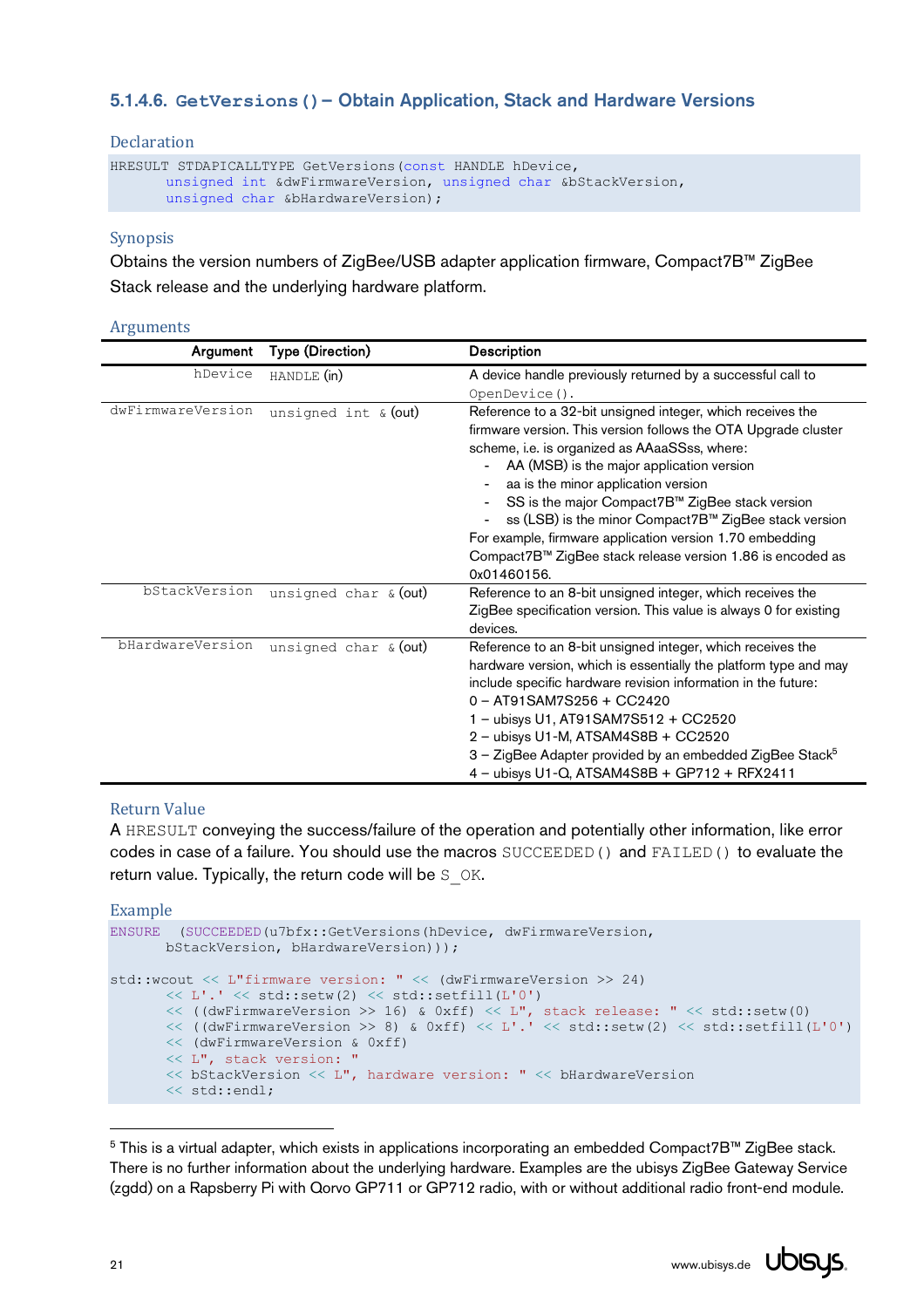# 5.1.4.6. **GetVersions()**– Obtain Application, Stack and Hardware Versions

```
Declaration
```

```
HRESULT STDAPICALLTYPE GetVersions(const HANDLE hDevice,
      unsigned int &dwFirmwareVersion, unsigned char &bStackVersion,
      unsigned char &bHardwareVersion);
```
#### Synopsis

Obtains the version numbers of ZigBee/USB adapter application firmware, Compact7B™ ZigBee Stack release and the underlying hardware platform.

#### Arguments

| Argument          | Type (Direction)         | <b>Description</b>                                                   |
|-------------------|--------------------------|----------------------------------------------------------------------|
| hDevice           | HANDLE (in)              | A device handle previously returned by a successful call to          |
|                   |                          | OpenDevice().                                                        |
| dwFirmwareVersion | unsigned int $\&$ (out)  | Reference to a 32-bit unsigned integer, which receives the           |
|                   |                          | firmware version. This version follows the OTA Upgrade cluster       |
|                   |                          | scheme, i.e. is organized as AAaaSSss, where:                        |
|                   |                          | AA (MSB) is the major application version                            |
|                   |                          | aa is the minor application version<br>$\overline{a}$                |
|                   |                          | SS is the major Compact7B™ ZigBee stack version                      |
|                   |                          | ss (LSB) is the minor Compact7B™ ZigBee stack version                |
|                   |                          | For example, firmware application version 1.70 embedding             |
|                   |                          | Compact7B™ ZigBee stack release version 1.86 is encoded as           |
|                   |                          | 0x01460156.                                                          |
| bStackVersion     | unsigned char & (out)    | Reference to an 8-bit unsigned integer, which receives the           |
|                   |                          | ZigBee specification version. This value is always 0 for existing    |
|                   |                          | devices.                                                             |
| bHardwareVersion  | unsigned char $\&$ (out) | Reference to an 8-bit unsigned integer, which receives the           |
|                   |                          | hardware version, which is essentially the platform type and may     |
|                   |                          | include specific hardware revision information in the future:        |
|                   |                          | 0 - AT91SAM7S256 + CC2420                                            |
|                   |                          | 1 - ubisys U1, AT91SAM7S512 + CC2520                                 |
|                   |                          | 2 - ubisys U1-M, ATSAM4S8B + CC2520                                  |
|                   |                          | 3 - ZigBee Adapter provided by an embedded ZigBee Stack <sup>5</sup> |
|                   |                          | 4 - ubisys U1-Q, ATSAM4S8B + GP712 + RFX2411                         |

### Return Value

A HRESULT conveying the success/failure of the operation and potentially other information, like error codes in case of a failure. You should use the macros SUCCEEDED() and FAILED() to evaluate the return value. Typically, the return code will be S OK.

#### Example

```
ENSURE (SUCCEEDED(u7bfx::GetVersions(hDevice, dwFirmwareVersion, 
        bStackVersion, bHardwareVersion)));
std::wcout << L"firmware version: " << (dwFirmwareVersion >> 24) 
        \langle \langle L' \rangle \rangle \langle \langle S \rangle and \langle L' \rangle and \langle \langle S \rangle \rangle and \langle L' \rangle and \langle L' \rangle<< ((dwFirmwareVersion >> 16) & 0xff) << L", stack release: " << std::setw(0) 
        << ((dwFirmwareVersion >> 8) & 0xff) << L'.' << std::setw(2) << std::setfill(L'0')
        << (dwFirmwareVersion & 0xff)
        << L", stack version: "
        << bStackVersion << L", hardware version: " << bHardwareVersion 
        << std::endl;
```
<sup>5</sup> This is a virtual adapter, which exists in applications incorporating an embedded Compact7B™ ZigBee stack. There is no further information about the underlying hardware. Examples are the ubisys ZigBee Gateway Service (zgdd) on a Rapsberry Pi with Qorvo GP711 or GP712 radio, with or without additional radio front-end module.



-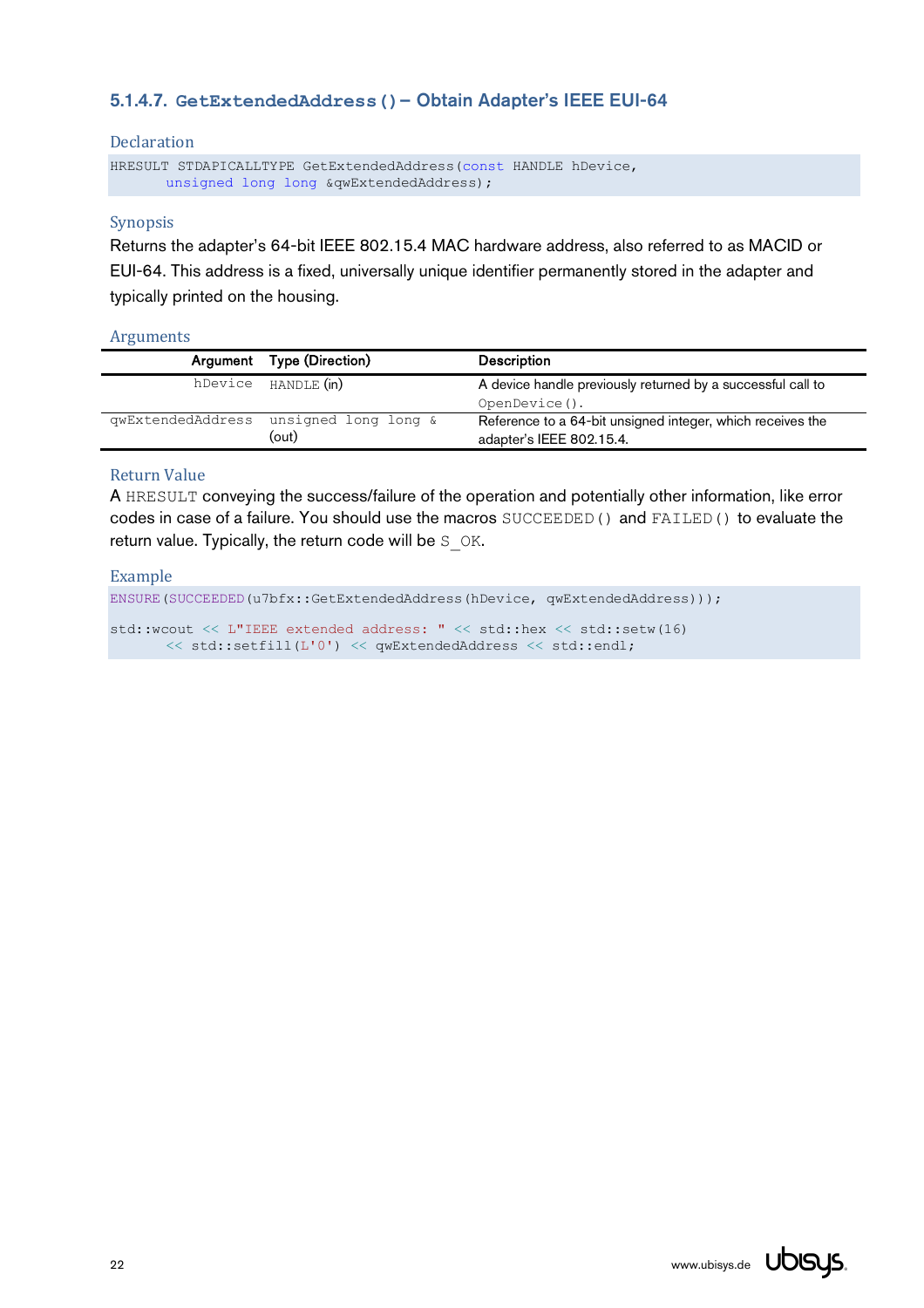# 5.1.4.7. **GetExtendedAddress()**– Obtain Adapter's IEEE EUI-64

#### Declaration

```
HRESULT STDAPICALLTYPE GetExtendedAddress(const HANDLE hDevice,
      unsigned long long &qwExtendedAddress);
```
### Synopsis

Returns the adapter's 64-bit IEEE 802.15.4 MAC hardware address, also referred to as MACID or EUI-64. This address is a fixed, universally unique identifier permanently stored in the adapter and typically printed on the housing.

### Arguments

| Argument Type (Direction)              | <b>Description</b>                                          |
|----------------------------------------|-------------------------------------------------------------|
| hDevice HANDLE (in)                    | A device handle previously returned by a successful call to |
|                                        | $OpenDevice()$ .                                            |
| qwExtendedAddress unsigned long long & | Reference to a 64-bit unsigned integer, which receives the  |
| (out)                                  | adapter's IEEE 802.15.4.                                    |

### Return Value

A HRESULT conveying the success/failure of the operation and potentially other information, like error codes in case of a failure. You should use the macros SUCCEEDED() and FAILED() to evaluate the return value. Typically, the return code will be S\_OK.

#### Example

ENSURE(SUCCEEDED(u7bfx::GetExtendedAddress(hDevice, qwExtendedAddress)));

std::wcout << L"IEEE extended address: " << std::hex << std::setw(16) << std::setfill(L'0') << qwExtendedAddress << std::endl;

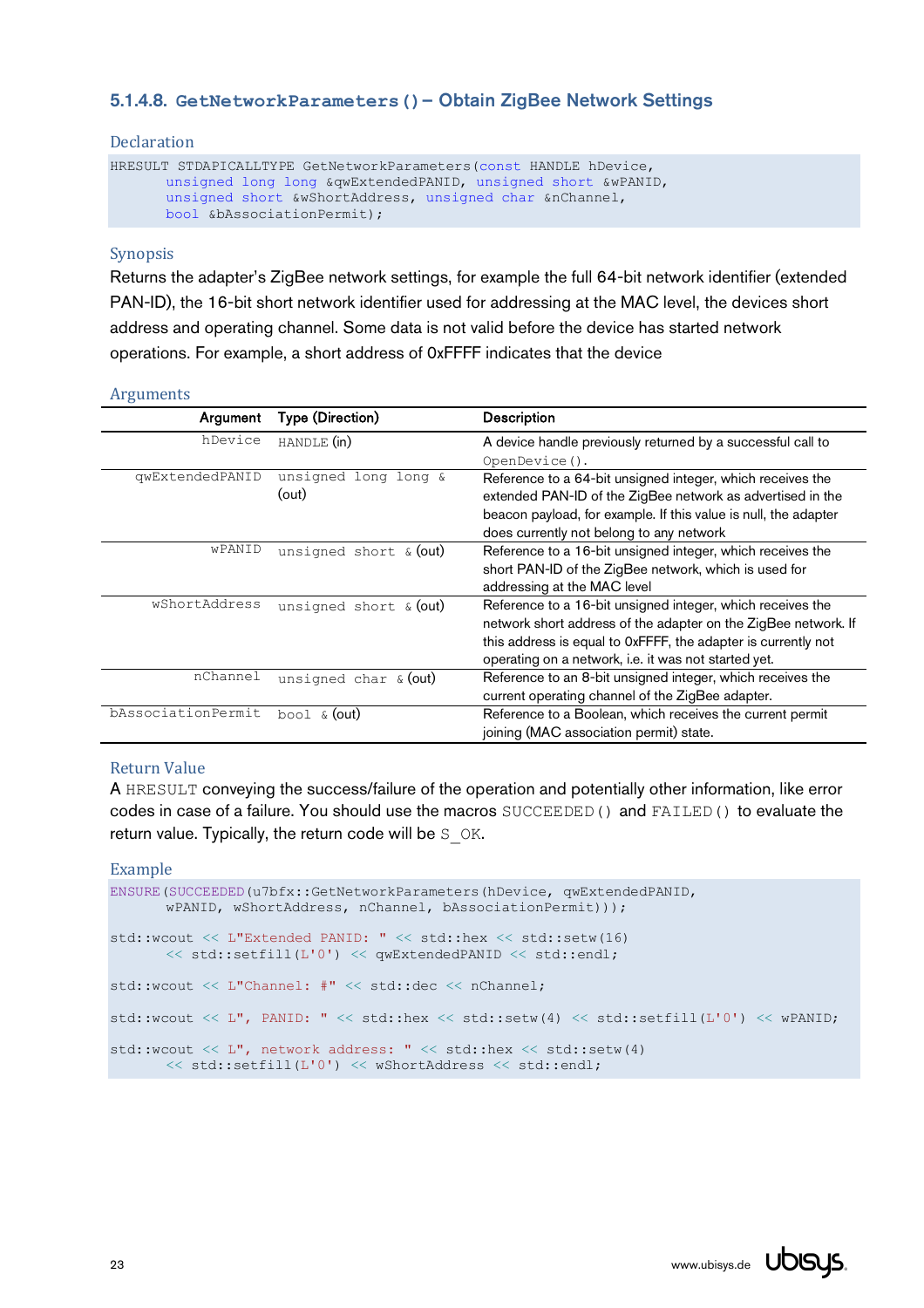# 5.1.4.8. **GetNetworkParameters()**– Obtain ZigBee Network Settings

#### Declaration

```
HRESULT STDAPICALLTYPE GetNetworkParameters(const HANDLE hDevice,
      unsigned long long &qwExtendedPANID, unsigned short &wPANID,
      unsigned short &wShortAddress, unsigned char &nChannel,
      bool &bAssociationPermit);
```
#### Synopsis

Returns the adapter's ZigBee network settings, for example the full 64-bit network identifier (extended PAN-ID), the 16-bit short network identifier used for addressing at the MAC level, the devices short address and operating channel. Some data is not valid before the device has started network operations. For example, a short address of 0xFFFF indicates that the device

#### Arguments

| Argument           | <b>Type (Direction)</b>   | <b>Description</b>                                              |
|--------------------|---------------------------|-----------------------------------------------------------------|
| hDevice            | HANDLE (in)               | A device handle previously returned by a successful call to     |
|                    |                           | OpenDevice().                                                   |
| qwExtendedPANID    | unsigned long long &      | Reference to a 64-bit unsigned integer, which receives the      |
|                    | (out)                     | extended PAN-ID of the ZigBee network as advertised in the      |
|                    |                           | beacon payload, for example. If this value is null, the adapter |
|                    |                           | does currently not belong to any network                        |
| WPANID             | unsigned short $\&$ (out) | Reference to a 16-bit unsigned integer, which receives the      |
|                    |                           | short PAN-ID of the ZigBee network, which is used for           |
|                    |                           | addressing at the MAC level                                     |
| wShortAddress      | unsigned short $\&$ (out) | Reference to a 16-bit unsigned integer, which receives the      |
|                    |                           | network short address of the adapter on the ZigBee network. If  |
|                    |                           | this address is equal to OxFFFF, the adapter is currently not   |
|                    |                           | operating on a network, i.e. it was not started yet.            |
| nChannel           | unsigned char $\&$ (out)  | Reference to an 8-bit unsigned integer, which receives the      |
|                    |                           | current operating channel of the ZigBee adapter.                |
| bAssociationPermit | $bool \& (out)$           | Reference to a Boolean, which receives the current permit       |
|                    |                           | joining (MAC association permit) state.                         |

### Return Value

A HRESULT conveying the success/failure of the operation and potentially other information, like error codes in case of a failure. You should use the macros SUCCEEDED() and FAILED() to evaluate the return value. Typically, the return code will be  $S$  OK.

#### Example

```
ENSURE(SUCCEEDED(u7bfx::GetNetworkParameters(hDevice, qwExtendedPANID,
      wPANID, wShortAddress, nChannel, bAssociationPermit)));
std::wcout << L"Extended PANID: " << std::hex << std::setw(16)
       << std::setfill(L'0') << qwExtendedPANID << std::endl;
std::wcout << L"Channel: #" << std::dec << nChannel;
std::wcout << L", PANID: " << std::hex << std::setw(4) << std::setfill(L'0') << wPANID;
std::wcout << L", network address: " << std::hex << std::setw(4)
      << std::setfill(L'0') << wShortAddress << std::endl;
```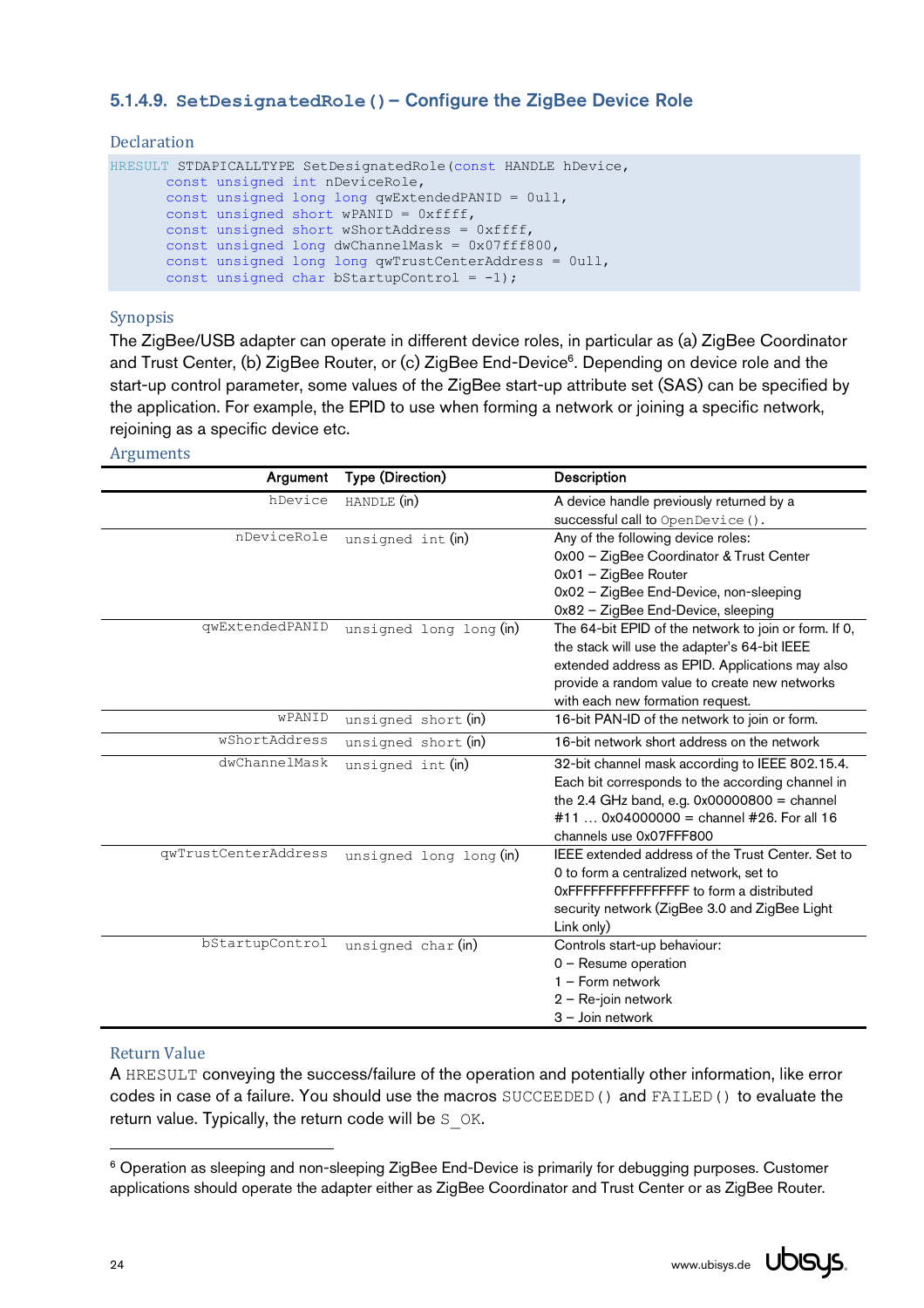# 5.1.4.9. **SetDesignatedRole()**– Configure the ZigBee Device Role

#### Declaration

|  | HRESULT STDAPICALLTYPE SetDesignatedRole (const HANDLE hDevice, |
|--|-----------------------------------------------------------------|
|  | const unsigned int nDeviceRole,                                 |
|  | const unsigned long long qwExtendedPANID = $0$ ull,             |
|  | const unsigned short wPANID = $0xffff$ ,                        |
|  | const unsigned short wShortAddress = $0xffff$ ,                 |
|  | const unsigned long dwChannelMask = $0x07fff800$ ,              |
|  | const unsigned long long $qwrrustCenterAddress = 0u11,$         |
|  | const unsigned char bStartupControl = $-1$ );                   |

#### Synopsis

The ZigBee/USB adapter can operate in different device roles, in particular as (a) ZigBee Coordinator and Trust Center, (b) ZigBee Router, or (c) ZigBee End-Device<sup>6</sup>. Depending on device role and the start-up control parameter, some values of the ZigBee start-up attribute set (SAS) can be specified by the application. For example, the EPID to use when forming a network or joining a specific network, rejoining as a specific device etc.

#### Arguments

| Argument             | Type (Direction)        | <b>Description</b>                                    |
|----------------------|-------------------------|-------------------------------------------------------|
| hDevice              | HANDLE (in)             | A device handle previously returned by a              |
|                      |                         | successful call to OpenDevice ().                     |
| nDeviceRole          | unsigned int $(in)$     | Any of the following device roles:                    |
|                      |                         | 0x00 - ZigBee Coordinator & Trust Center              |
|                      |                         | $0x01 - ZigBee$ Router                                |
|                      |                         | 0x02 - ZigBee End-Device, non-sleeping                |
|                      |                         | 0x82 - ZigBee End-Device, sleeping                    |
| qwExtendedPANID      | unsigned long long (in) | The 64-bit EPID of the network to join or form. If 0, |
|                      |                         | the stack will use the adapter's 64-bit IEEE          |
|                      |                         | extended address as EPID. Applications may also       |
|                      |                         | provide a random value to create new networks         |
|                      |                         | with each new formation request.                      |
| WPANID               | unsigned short (in)     | 16-bit PAN-ID of the network to join or form.         |
| wShortAddress        | unsigned short (in)     | 16-bit network short address on the network           |
| dwChannelMask        | unsigned int (in)       | 32-bit channel mask according to IEEE 802.15.4.       |
|                      |                         | Each bit corresponds to the according channel in      |
|                      |                         | the 2.4 GHz band, e.g. $0x00000800 =$ channel         |
|                      |                         | #11  0x04000000 = channel #26. For all 16             |
|                      |                         | channels use 0x07FFF800                               |
| qwTrustCenterAddress | unsigned long long (in) | IEEE extended address of the Trust Center. Set to     |
|                      |                         | 0 to form a centralized network, set to               |
|                      |                         | OxFFFFFFFFFFFFFFFF to form a distributed              |
|                      |                         | security network (ZigBee 3.0 and ZigBee Light         |
|                      |                         | Link only)                                            |
| bStartupControl      | unsigned $char(in)$     | Controls start-up behaviour:                          |
|                      |                         | $0$ – Resume operation                                |
|                      |                         | $1 -$ Form network                                    |
|                      |                         | 2 - Re-join network                                   |
|                      |                         | 3 - Join network                                      |

### Return Value

A HRESULT conveying the success/failure of the operation and potentially other information, like error codes in case of a failure. You should use the macros SUCCEEDED() and FAILED() to evaluate the return value. Typically, the return code will be S OK.

<sup>&</sup>lt;sup>6</sup> Operation as sleeping and non-sleeping ZigBee End-Device is primarily for debugging purposes. Customer applications should operate the adapter either as ZigBee Coordinator and Trust Center or as ZigBee Router.



 $\overline{a}$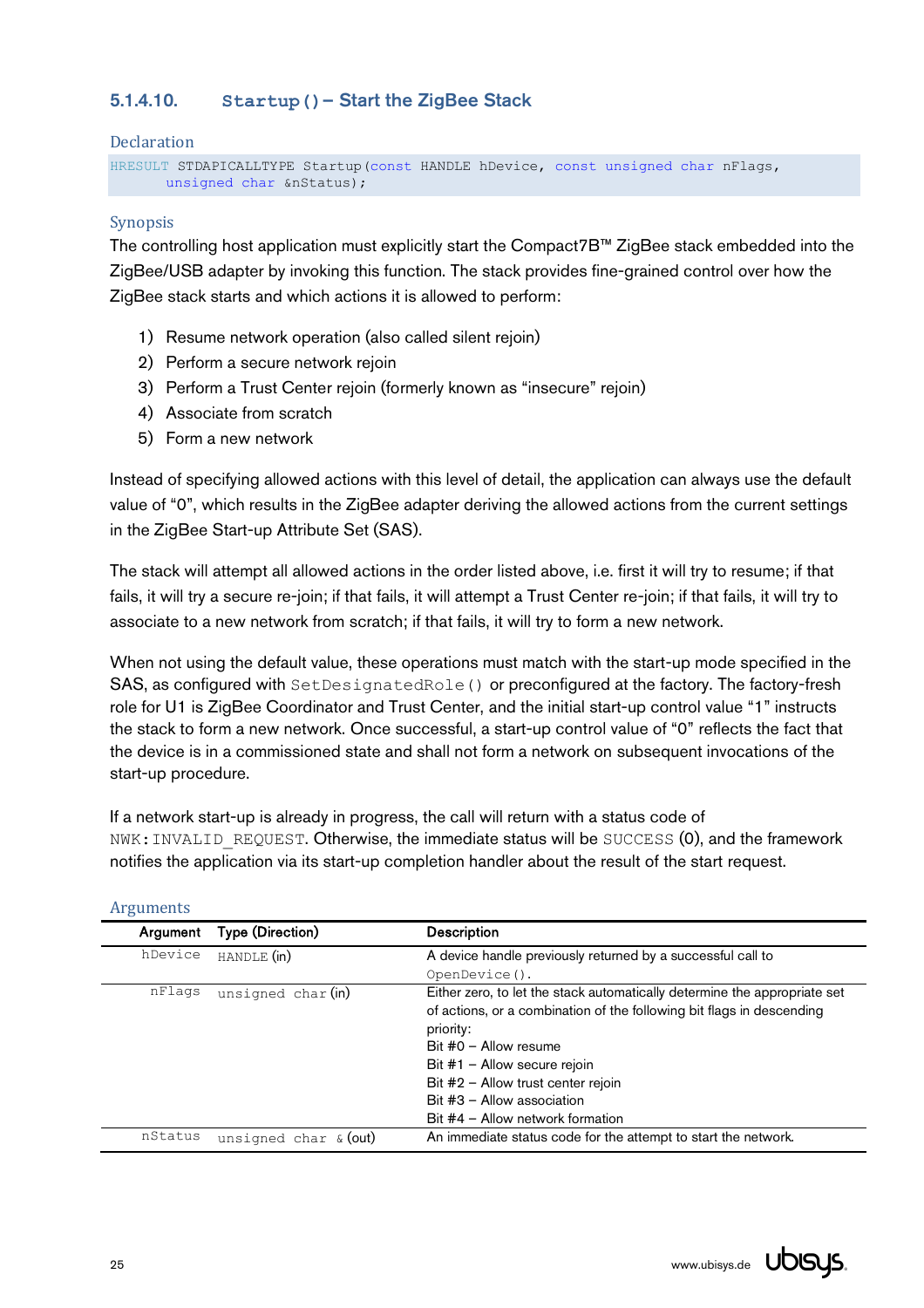# 5.1.4.10. **Startup()**– Start the ZigBee Stack

Declaration

```
HRESULT STDAPICALLTYPE Startup(const HANDLE hDevice, const unsigned char nFlags,
      unsigned char &nStatus);
```
# Synopsis

The controlling host application must explicitly start the Compact7B™ ZigBee stack embedded into the ZigBee/USB adapter by invoking this function. The stack provides fine-grained control over how the ZigBee stack starts and which actions it is allowed to perform:

- 1) Resume network operation (also called silent rejoin)
- 2) Perform a secure network rejoin
- 3) Perform a Trust Center rejoin (formerly known as "insecure" rejoin)
- 4) Associate from scratch
- 5) Form a new network

Instead of specifying allowed actions with this level of detail, the application can always use the default value of "0", which results in the ZigBee adapter deriving the allowed actions from the current settings in the ZigBee Start-up Attribute Set (SAS).

The stack will attempt all allowed actions in the order listed above, i.e. first it will try to resume; if that fails, it will try a secure re-join; if that fails, it will attempt a Trust Center re-join; if that fails, it will try to associate to a new network from scratch; if that fails, it will try to form a new network.

When not using the default value, these operations must match with the start-up mode specified in the SAS, as configured with SetDesignatedRole() or preconfigured at the factory. The factory-fresh role for U1 is ZigBee Coordinator and Trust Center, and the initial start-up control value "1" instructs the stack to form a new network. Once successful, a start-up control value of "0" reflects the fact that the device is in a commissioned state and shall not form a network on subsequent invocations of the start-up procedure.

If a network start-up is already in progress, the call will return with a status code of NWK: INVALID REQUEST. Otherwise, the immediate status will be SUCCESS (0), and the framework notifies the application via its start-up completion handler about the result of the start request.

| Argument | Type (Direction)         | <b>Description</b>                                                                                                                                              |
|----------|--------------------------|-----------------------------------------------------------------------------------------------------------------------------------------------------------------|
| hDevice  | HANDLE (in)              | A device handle previously returned by a successful call to                                                                                                     |
|          |                          | OpenDevice().                                                                                                                                                   |
| nFlags   | unsigned $char(in)$      | Either zero, to let the stack automatically determine the appropriate set<br>of actions, or a combination of the following bit flags in descending<br>priority: |
|          |                          | Bit $#0 -$ Allow resume                                                                                                                                         |
|          |                          | Bit $#1 -$ Allow secure rejoin                                                                                                                                  |
|          |                          | Bit $#2$ – Allow trust center rejoin                                                                                                                            |
|          |                          | Bit $#3 -$ Allow association                                                                                                                                    |
|          |                          | Bit $#4$ – Allow network formation                                                                                                                              |
| nStatus  | unsigned char $\&$ (out) | An immediate status code for the attempt to start the network.                                                                                                  |

#### Arguments

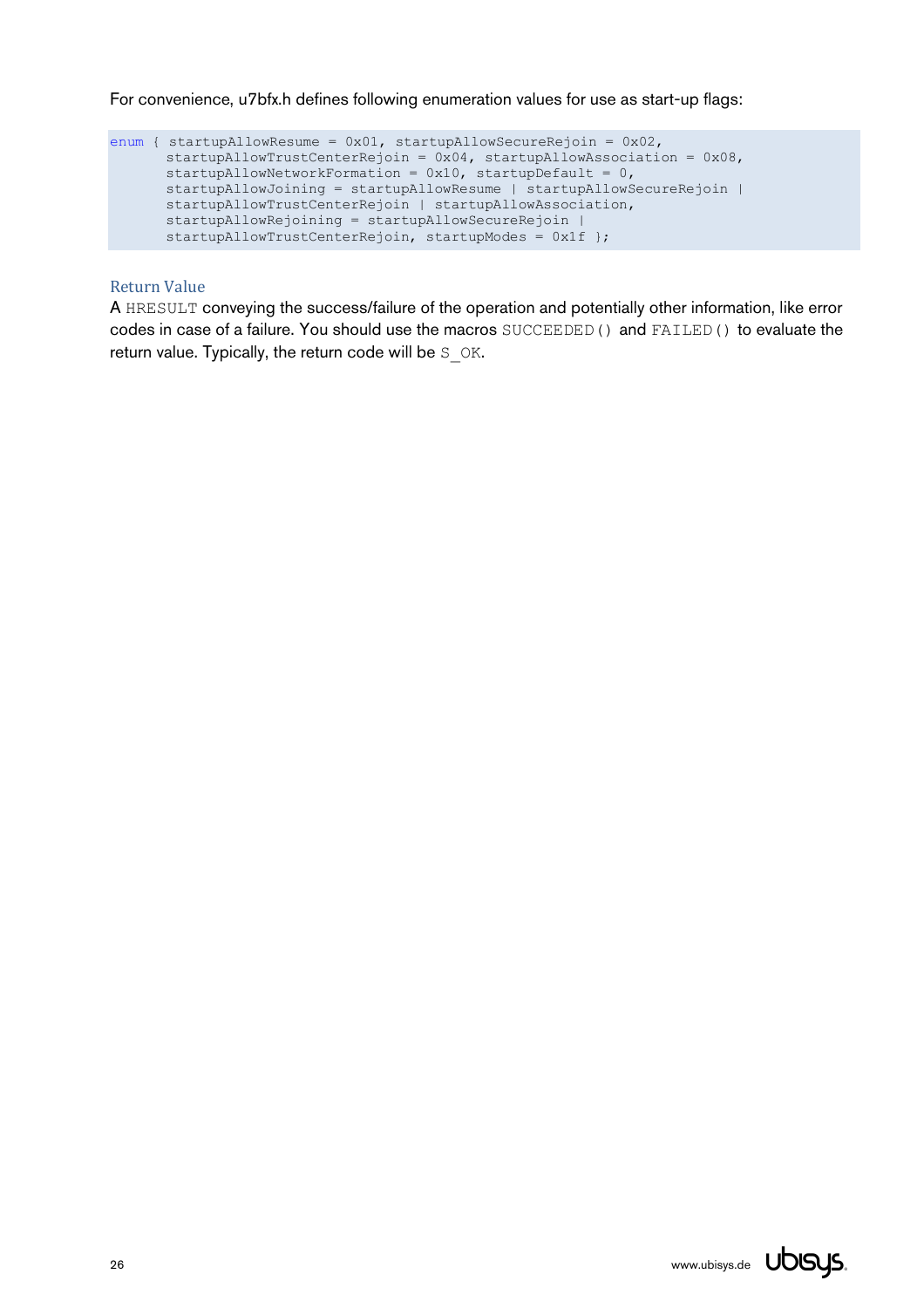For convenience, u7bfx.h defines following enumeration values for use as start-up flags:

```
enum { startupAllowResume = 0x01, startupAllowSecureRejoin = 0x02,
       startupAllowTrustCenterRejoin = 0x04, startupAllowAssociation = 0x08,
       startupAllowNetworkFormation = 0x10, startupDefault = 0,
      startupAllowJoining = startupAllowResume | startupAllowSecureRejoin |
      startupAllowTrustCenterRejoin | startupAllowAssociation,
      startupAllowRejoining = startupAllowSecureRejoin |
      startupAllowTrustCenterRejoin, startupModes = 0x1f };
```
### Return Value

A HRESULT conveying the success/failure of the operation and potentially other information, like error codes in case of a failure. You should use the macros SUCCEEDED() and FAILED() to evaluate the return value. Typically, the return code will be S OK.

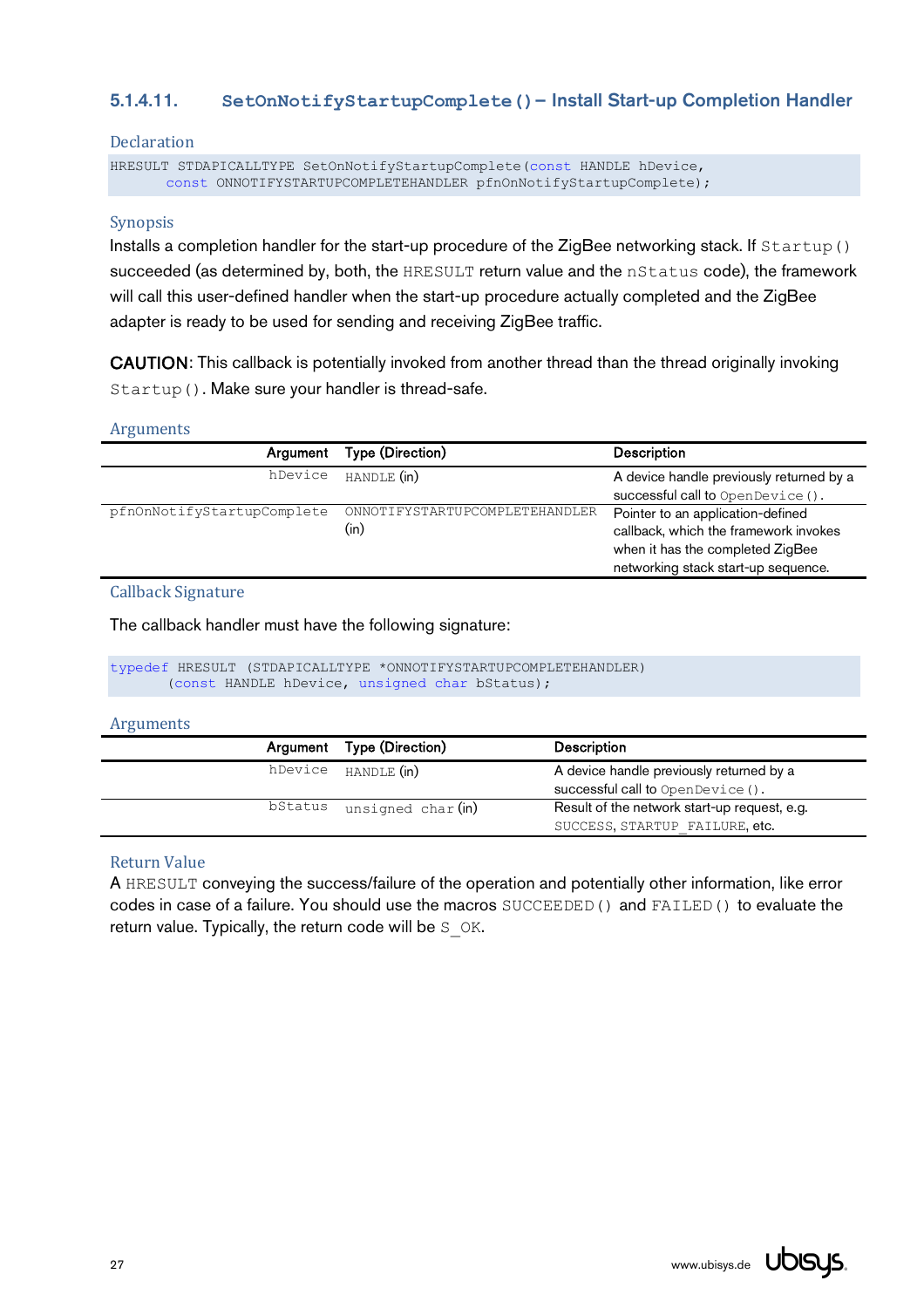# 5.1.4.11. **SetOnNotifyStartupComplete()**– Install Start-up Completion Handler

#### Declaration

HRESULT STDAPICALLTYPE SetOnNotifyStartupComplete(const HANDLE hDevice, const ONNOTIFYSTARTUPCOMPLETEHANDLER pfnOnNotifyStartupComplete);

### Synopsis

Installs a completion handler for the start-up procedure of the ZigBee networking stack. If Startup() succeeded (as determined by, both, the HRESULT return value and the nStatus code), the framework will call this user-defined handler when the start-up procedure actually completed and the ZigBee adapter is ready to be used for sending and receiving ZigBee traffic.

**CAUTION**: This callback is potentially invoked from another thread than the thread originally invoking Startup(). Make sure your handler is thread-safe.

### Arguments

| Argument                   | Type (Direction)               | <b>Description</b>                       |
|----------------------------|--------------------------------|------------------------------------------|
| hDevice                    | HANDLE (in)                    | A device handle previously returned by a |
|                            |                                | successful call to OpenDevice().         |
| pfnOnNotifyStartupComplete | ONNOTIFYSTARTUPCOMPLETEHANDLER | Pointer to an application-defined        |
|                            | (in)                           | callback, which the framework invokes    |
|                            |                                | when it has the completed ZigBee         |
|                            |                                | networking stack start-up sequence.      |

# Callback Signature

The callback handler must have the following signature:

typedef HRESULT (STDAPICALLTYPE \*ONNOTIFYSTARTUPCOMPLETEHANDLER) (const HANDLE hDevice, unsigned char bStatus);

#### Arguments

| Argument Type (Direction)  | <b>Description</b>                           |
|----------------------------|----------------------------------------------|
| hDevice HANDLE (in)        | A device handle previously returned by a     |
|                            | successful call to OpenDevice().             |
| bStatus unsigned char (in) | Result of the network start-up request, e.g. |
|                            | SUCCESS, STARTUP FAILURE, etc.               |

### Return Value

A HRESULT conveying the success/failure of the operation and potentially other information, like error codes in case of a failure. You should use the macros SUCCEEDED() and FAILED() to evaluate the return value. Typically, the return code will be S\_OK.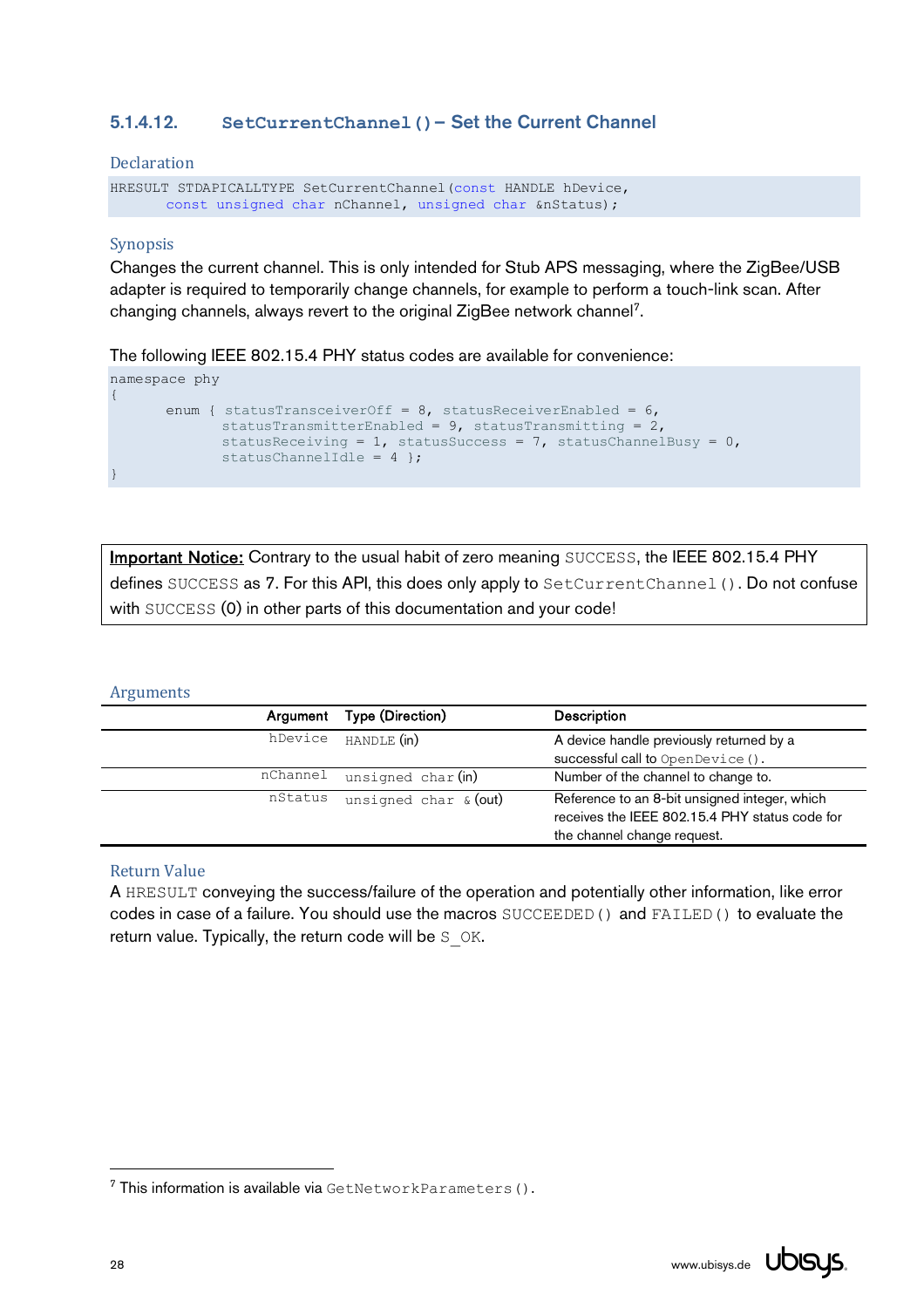# 5.1.4.12. **SetCurrentChannel()**– Set the Current Channel

#### **Declaration**

```
HRESULT STDAPICALLTYPE SetCurrentChannel(const HANDLE hDevice,
      const unsigned char nChannel, unsigned char &nStatus);
```
### Synopsis

Changes the current channel. This is only intended for Stub APS messaging, where the ZigBee/USB adapter is required to temporarily change channels, for example to perform a touch-link scan. After changing channels, always revert to the original ZigBee network channel<sup>7</sup>.

The following IEEE 802.15.4 PHY status codes are available for convenience:

```
namespace phy
{
      enum { statusTransceiverOff = 8, statusReceiverEnabled = 6,
             statusTransmitterEnabled = 9, statusTransmitting = 2, 
             statusReceiving = 1, statusSuccess = 7, statusChannelBusy = 0,
             statusChannelIdle = 4 };
}
```
**Important Notice:** Contrary to the usual habit of zero meaning SUCCESS, the IEEE 802.15.4 PHY defines SUCCESS as 7. For this API, this does only apply to SetCurrentChannel(). Do not confuse with SUCCESS (0) in other parts of this documentation and your code!

### Arguments

| Argument | Type (Direction)         | <b>Description</b>                                                                                                             |
|----------|--------------------------|--------------------------------------------------------------------------------------------------------------------------------|
| hDevice  | HANDLE (in)              | A device handle previously returned by a                                                                                       |
| nChannel | unsigned char (in)       | successful call to OpenDevice ().<br>Number of the channel to change to.                                                       |
| nStatus  | unsigned char $\&$ (out) | Reference to an 8-bit unsigned integer, which<br>receives the IEEE 802.15.4 PHY status code for<br>the channel change request. |

### Return Value

A HRESULT conveying the success/failure of the operation and potentially other information, like error codes in case of a failure. You should use the macros SUCCEEDED() and FAILED() to evaluate the return value. Typically, the return code will be  $S$  OK.

 $\overline{a}$ 

 $7$  This information is available via GetNetworkParameters().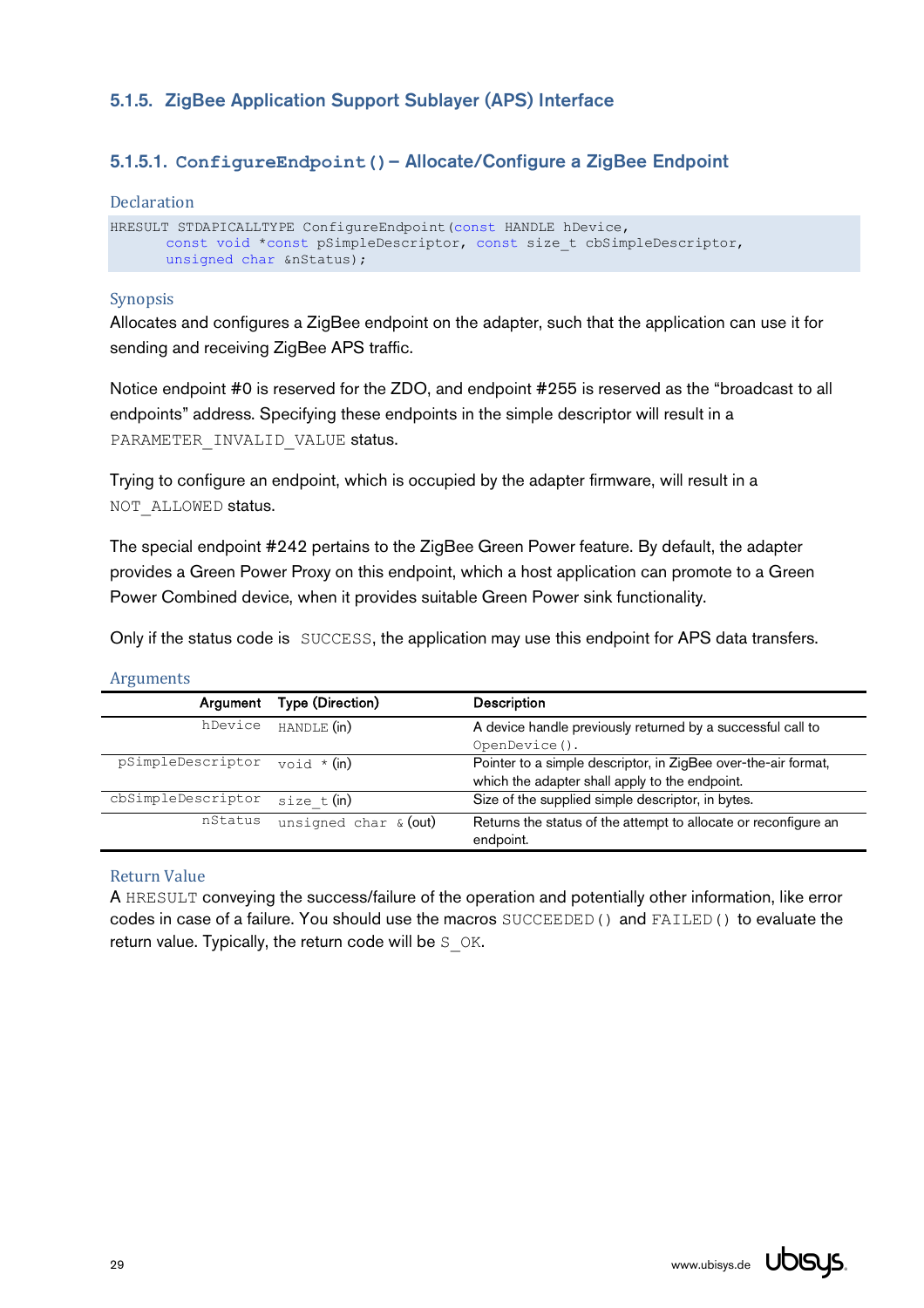# 5.1.5. ZigBee Application Support Sublayer (APS) Interface

# 5.1.5.1. **ConfigureEndpoint()**– Allocate/Configure a ZigBee Endpoint

### Declaration

HRESULT STDAPICALLTYPE ConfigureEndpoint(const HANDLE hDevice, const void \*const pSimpleDescriptor, const size t cbSimpleDescriptor, unsigned char &nStatus);

# Synopsis

Allocates and configures a ZigBee endpoint on the adapter, such that the application can use it for sending and receiving ZigBee APS traffic.

Notice endpoint #0 is reserved for the ZDO, and endpoint #255 is reserved as the "broadcast to all endpoints" address. Specifying these endpoints in the simple descriptor will result in a PARAMETER\_INVALID\_VALUE status.

Trying to configure an endpoint, which is occupied by the adapter firmware, will result in a NOT ALLOWED status.

The special endpoint #242 pertains to the ZigBee Green Power feature. By default, the adapter provides a Green Power Proxy on this endpoint, which a host application can promote to a Green Power Combined device, when it provides suitable Green Power sink functionality.

Only if the status code is SUCCESS, the application may use this endpoint for APS data transfers.

### Arguments

| Argument           | Type (Direction)         | <b>Description</b>                                              |
|--------------------|--------------------------|-----------------------------------------------------------------|
| hDevice            | HANDLE (in)              | A device handle previously returned by a successful call to     |
|                    |                          | OpenDevice().                                                   |
| pSimpleDescriptor  | void $*(in)$             | Pointer to a simple descriptor, in ZigBee over-the-air format,  |
|                    |                          | which the adapter shall apply to the endpoint.                  |
| cbSimpleDescriptor | size t (in)              | Size of the supplied simple descriptor, in bytes.               |
| nStatus            | unsigned char $\&$ (out) | Returns the status of the attempt to allocate or reconfigure an |
|                    |                          | endpoint.                                                       |

# Return Value

A HRESULT conveying the success/failure of the operation and potentially other information, like error codes in case of a failure. You should use the macros SUCCEEDED() and FAILED() to evaluate the return value. Typically, the return code will be  $S$  OK.

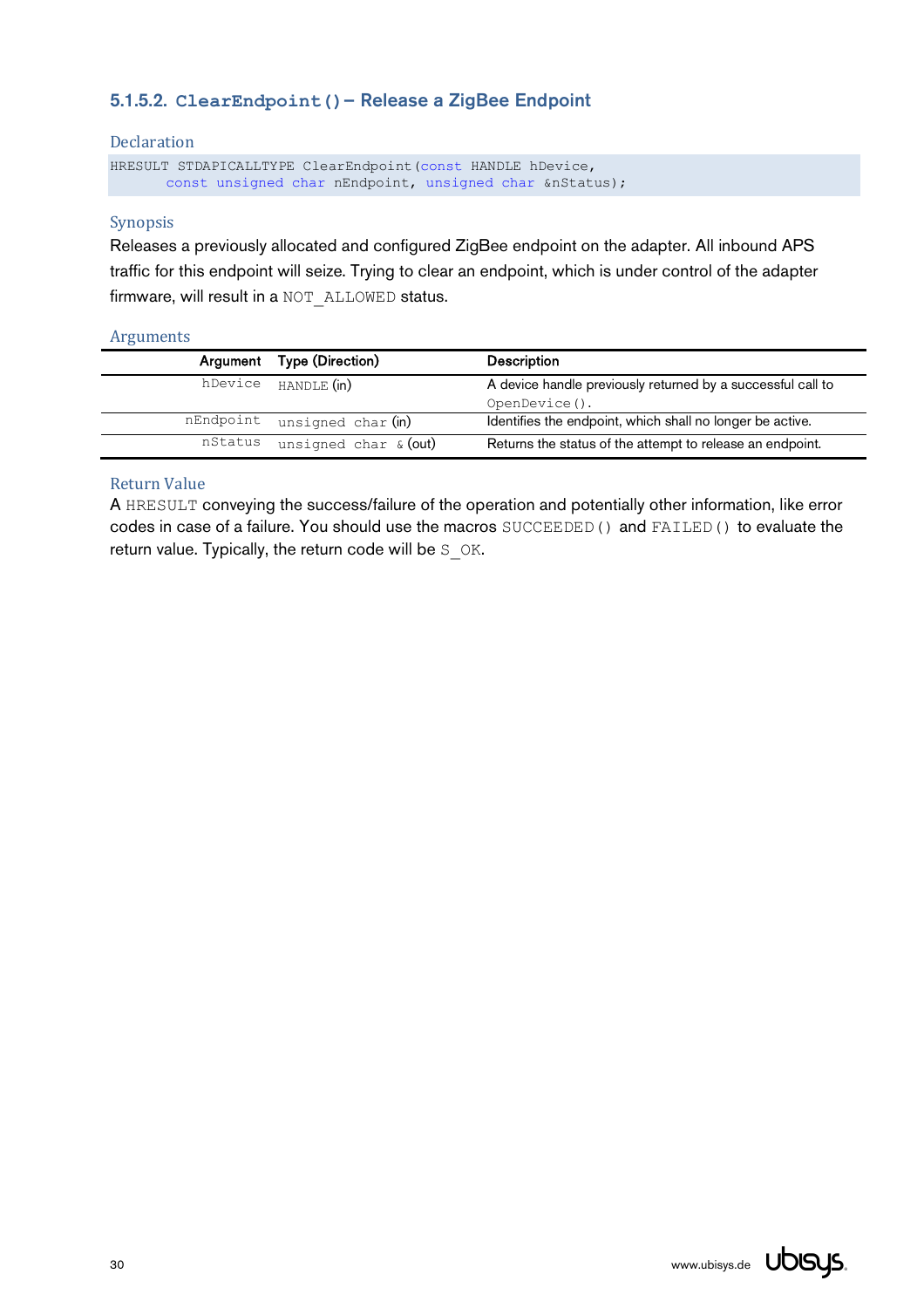# 5.1.5.2. **ClearEndpoint()**– Release a ZigBee Endpoint

Declaration

```
HRESULT STDAPICALLTYPE ClearEndpoint(const HANDLE hDevice,
      const unsigned char nEndpoint, unsigned char &nStatus);
```
#### Synopsis

Releases a previously allocated and configured ZigBee endpoint on the adapter. All inbound APS traffic for this endpoint will seize. Trying to clear an endpoint, which is under control of the adapter firmware, will result in a NOT\_ALLOWED status.

#### Arguments

|         | Argument Type (Direction)    | <b>Description</b>                                          |
|---------|------------------------------|-------------------------------------------------------------|
|         | hDevice HANDLE (in)          | A device handle previously returned by a successful call to |
|         |                              | OpenDevice().                                               |
|         | nEndpoint unsigned char (in) | Identifies the endpoint, which shall no longer be active.   |
| nStatus | unsigned char $\&$ (out)     | Returns the status of the attempt to release an endpoint.   |

### Return Value

A HRESULT conveying the success/failure of the operation and potentially other information, like error codes in case of a failure. You should use the macros SUCCEEDED() and FAILED() to evaluate the return value. Typically, the return code will be S OK.

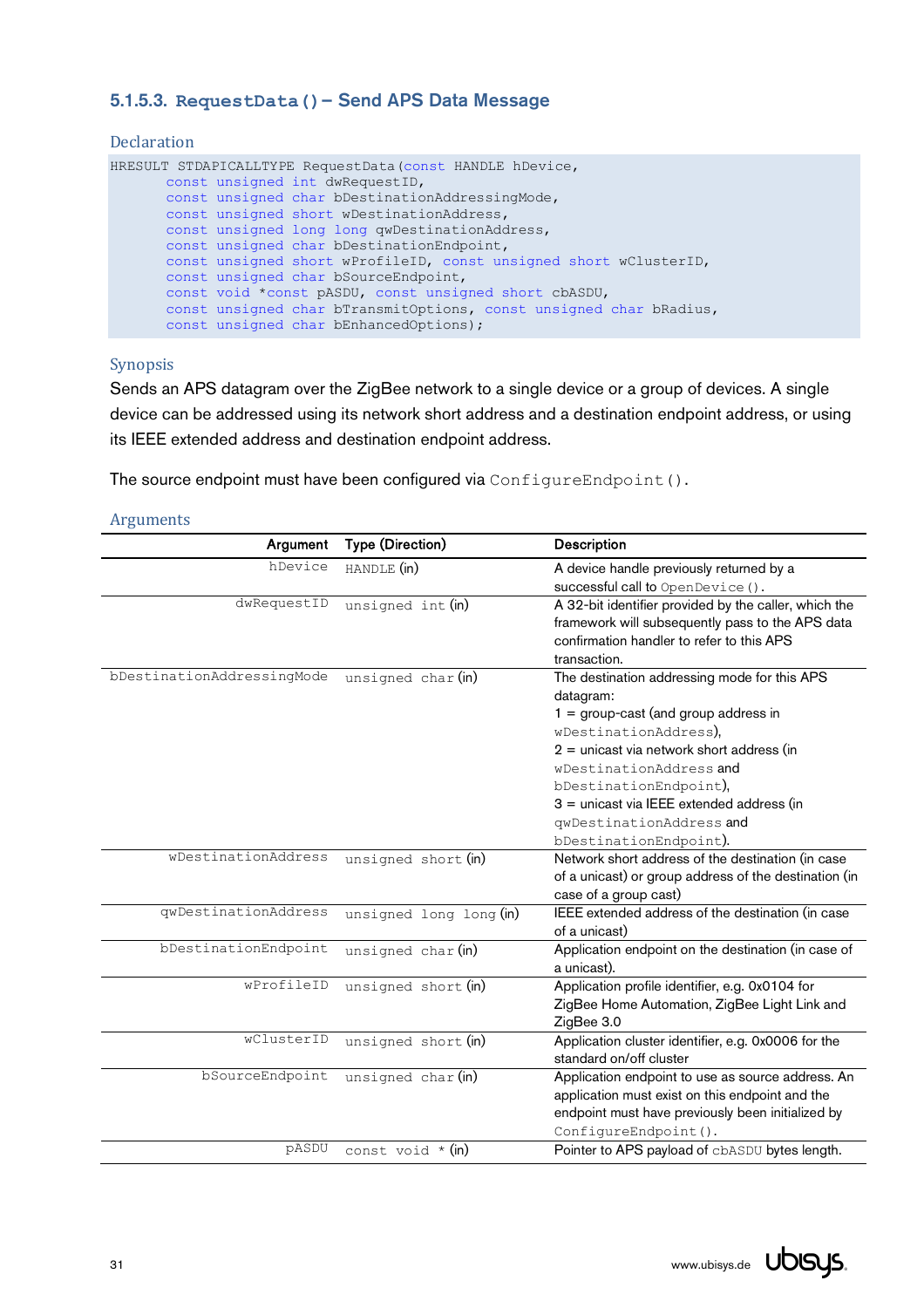# 5.1.5.3. **RequestData()**– Send APS Data Message

# Declaration

| HRESULT STDAPICALLTYPE RequestData (const HANDLE hDevice,          |
|--------------------------------------------------------------------|
| const unsigned int dwRequestID,                                    |
| const unsigned char bDestinationAddressingMode,                    |
| const unsigned short wDestinationAddress,                          |
| const unsigned long long gwDestinationAddress,                     |
| const unsigned char bDestinationEndpoint,                          |
| const unsigned short wProfileID, const unsigned short wClusterID,  |
| const unsigned char bSourceEndpoint,                               |
| const void *const pASDU, const unsigned short cbASDU,              |
| const unsigned char bTransmitOptions, const unsigned char bRadius, |
| const unsigned char bEnhancedOptions);                             |

#### Synopsis

Sends an APS datagram over the ZigBee network to a single device or a group of devices. A single device can be addressed using its network short address and a destination endpoint address, or using its IEEE extended address and destination endpoint address.

The source endpoint must have been configured via ConfigureEndpoint().

### Arguments

| Argument                   | Type (Direction)        | Description                                              |
|----------------------------|-------------------------|----------------------------------------------------------|
| hDevice                    | HANDLE (in)             | A device handle previously returned by a                 |
|                            |                         | successful call to OpenDevice().                         |
| dwRequestID                | unsigned int (in)       | A 32-bit identifier provided by the caller, which the    |
|                            |                         | framework will subsequently pass to the APS data         |
|                            |                         | confirmation handler to refer to this APS                |
|                            |                         | transaction.                                             |
| bDestinationAddressingMode | unsigned $char(in)$     | The destination addressing mode for this APS             |
|                            |                         | datagram:                                                |
|                            |                         | $1 =$ group-cast (and group address in                   |
|                            |                         | wDestinationAddress),                                    |
|                            |                         | $2 =$ unicast via network short address (in              |
|                            |                         | wDestinationAddressand                                   |
|                            |                         | bDestinationEndpoint),                                   |
|                            |                         | 3 = unicast via IEEE extended address (in                |
|                            |                         | qwDestinationAddress and                                 |
|                            |                         | bDestinationEndpoint).                                   |
| wDestinationAddress        | unsigned short (in)     | Network short address of the destination (in case        |
|                            |                         | of a unicast) or group address of the destination (in    |
|                            |                         | case of a group cast)                                    |
| qwDestinationAddress       | unsigned long long (in) | <b>IEEE</b> extended address of the destination (in case |
|                            |                         | of a unicast)                                            |
| bDestinationEndpoint       | unsigned char (in)      | Application endpoint on the destination (in case of      |
|                            |                         | a unicast).                                              |
| wProfileID                 | unsigned short (in)     | Application profile identifier, e.g. 0x0104 for          |
|                            |                         | ZigBee Home Automation, ZigBee Light Link and            |
|                            |                         | ZigBee 3.0                                               |
| wClusterID                 | unsigned short (in)     | Application cluster identifier, e.g. 0x0006 for the      |
|                            |                         | standard on/off cluster                                  |
| bSourceEndpoint            | unsigned char (in)      | Application endpoint to use as source address. An        |
|                            |                         | application must exist on this endpoint and the          |
|                            |                         | endpoint must have previously been initialized by        |
|                            |                         | ConfigureEndpoint().                                     |
| pASDU                      | const void $*(in)$      | Pointer to APS payload of cbASDU bytes length.           |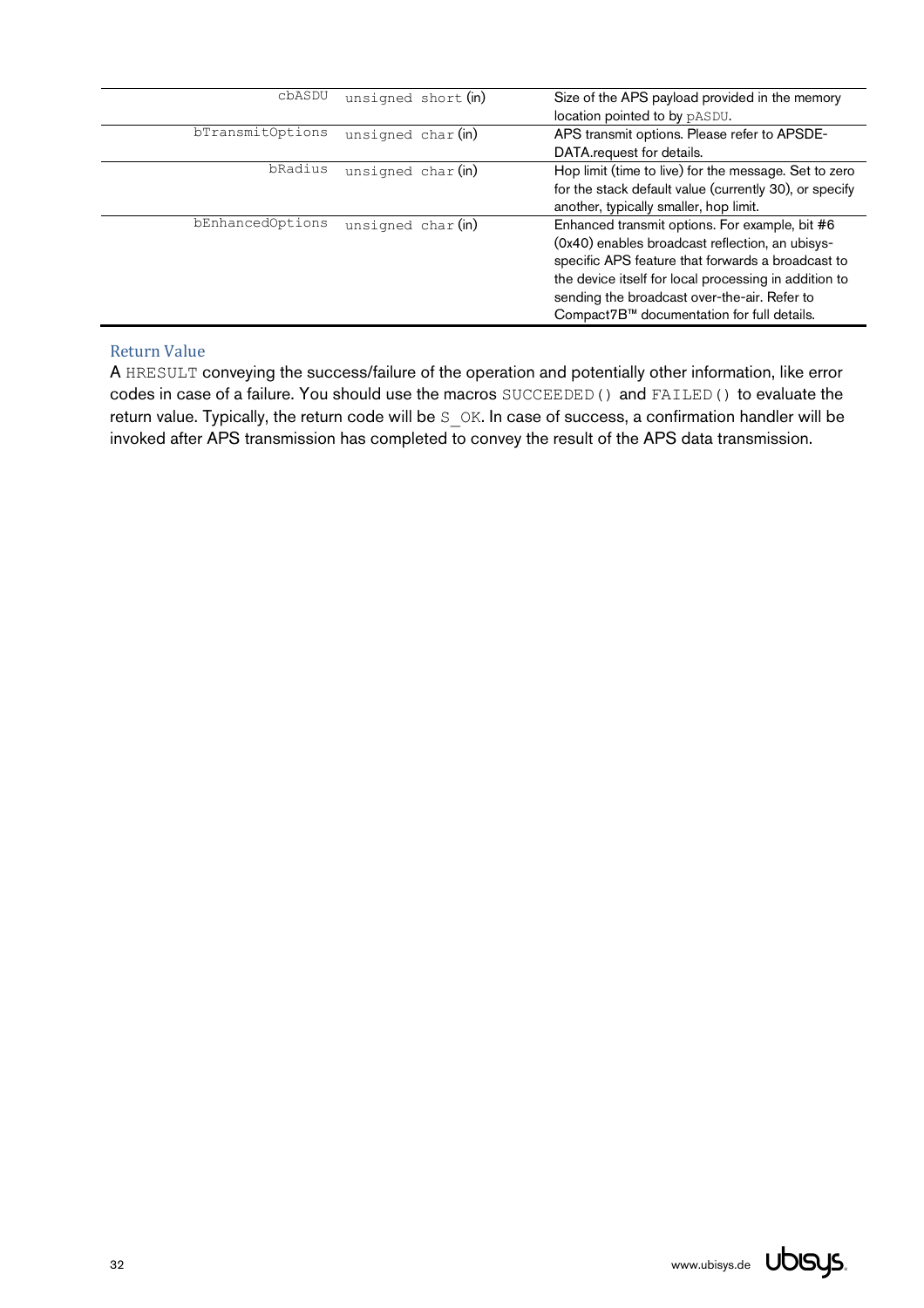| cbASDU           | unsigned short (in) | Size of the APS payload provided in the memory         |
|------------------|---------------------|--------------------------------------------------------|
|                  |                     | location pointed to by pASDU.                          |
| bTransmitOptions | unsigned $char(in)$ | APS transmit options. Please refer to APSDE-           |
|                  |                     | DATA.request for details.                              |
| bRadius          | unsigned $char(in)$ | Hop limit (time to live) for the message. Set to zero  |
|                  |                     | for the stack default value (currently 30), or specify |
|                  |                     | another, typically smaller, hop limit.                 |
| bEnhancedOptions | unsigned char (in)  | Enhanced transmit options. For example, bit #6         |
|                  |                     | (0x40) enables broadcast reflection, an ubisys-        |
|                  |                     | specific APS feature that forwards a broadcast to      |
|                  |                     | the device itself for local processing in addition to  |
|                  |                     | sending the broadcast over-the-air. Refer to           |
|                  |                     | Compact7B™ documentation for full details.             |

# Return Value

A HRESULT conveying the success/failure of the operation and potentially other information, like error codes in case of a failure. You should use the macros SUCCEEDED() and FAILED() to evaluate the return value. Typically, the return code will be S OK. In case of success, a confirmation handler will be invoked after APS transmission has completed to convey the result of the APS data transmission.

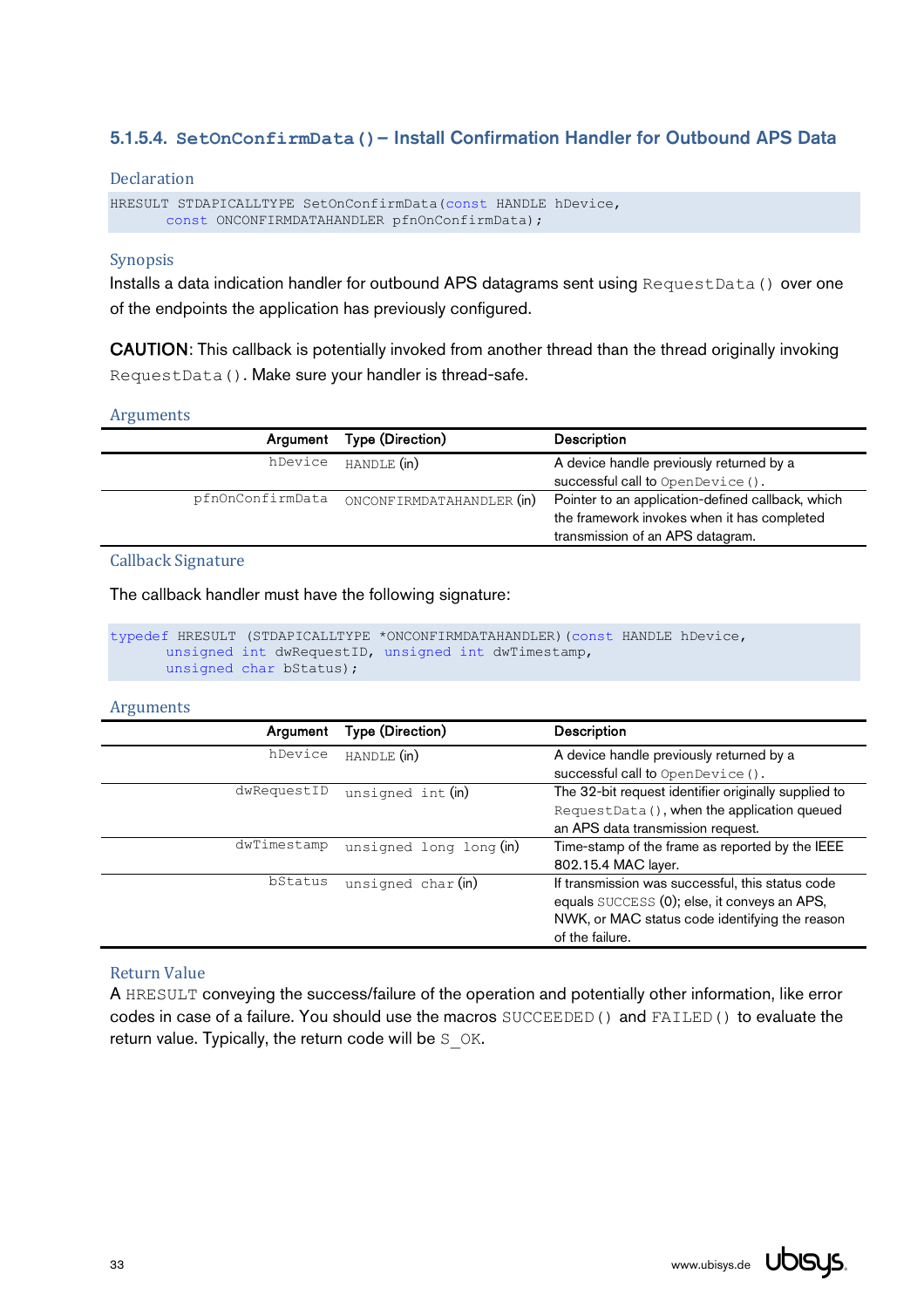# 5.1.5.4. **SetOnConfirmData()**– Install Confirmation Handler for Outbound APS Data

### Declaration

HRESULT STDAPICALLTYPE SetOnConfirmData(const HANDLE hDevice, const ONCONFIRMDATAHANDLER pfnOnConfirmData);

#### Synopsis

Installs a data indication handler for outbound APS datagrams sent using RequestData() over one of the endpoints the application has previously configured.

**CAUTION**: This callback is potentially invoked from another thread than the thread originally invoking RequestData(). Make sure your handler is thread-safe.

#### Arguments

|                           | <b>Description</b>                                |
|---------------------------|---------------------------------------------------|
| HANDLE (in)               | A device handle previously returned by a          |
|                           | successful call to OpenDevice().                  |
| ONCONFIRMDATAHANDLER (in) | Pointer to an application-defined callback, which |
|                           | the framework invokes when it has completed       |
|                           | transmission of an APS datagram.                  |
|                           | Type (Direction)                                  |

#### Callback Signature

The callback handler must have the following signature:

```
typedef HRESULT (STDAPICALLTYPE *ONCONFIRMDATAHANDLER)(const HANDLE hDevice,
      unsigned int dwRequestID, unsigned int dwTimestamp, 
      unsigned char bStatus);
```
#### Arguments

| Argument    | <b>Type (Direction)</b> | <b>Description</b>                                   |
|-------------|-------------------------|------------------------------------------------------|
| hDevice     | HANDLE (in)             | A device handle previously returned by a             |
|             |                         | successful call to OpenDevice().                     |
| dwRequestID | unsigned int (in)       | The 32-bit request identifier originally supplied to |
|             |                         | RequestData (), when the application queued          |
|             |                         | an APS data transmission request.                    |
| dwTimestamp | unsigned long long (in) | Time-stamp of the frame as reported by the IEEE      |
|             |                         | 802.15.4 MAC layer.                                  |
| bStatus     | unsigned $char(in)$     | If transmission was successful, this status code     |
|             |                         | equals SUCCESS (0); else, it conveys an APS,         |
|             |                         | NWK, or MAC status code identifying the reason       |
|             |                         | of the failure.                                      |

#### Return Value

A HRESULT conveying the success/failure of the operation and potentially other information, like error codes in case of a failure. You should use the macros SUCCEEDED() and FAILED() to evaluate the return value. Typically, the return code will be S OK.

33 [www.ubisys.de](http://www.ubisys.de) UDGYS.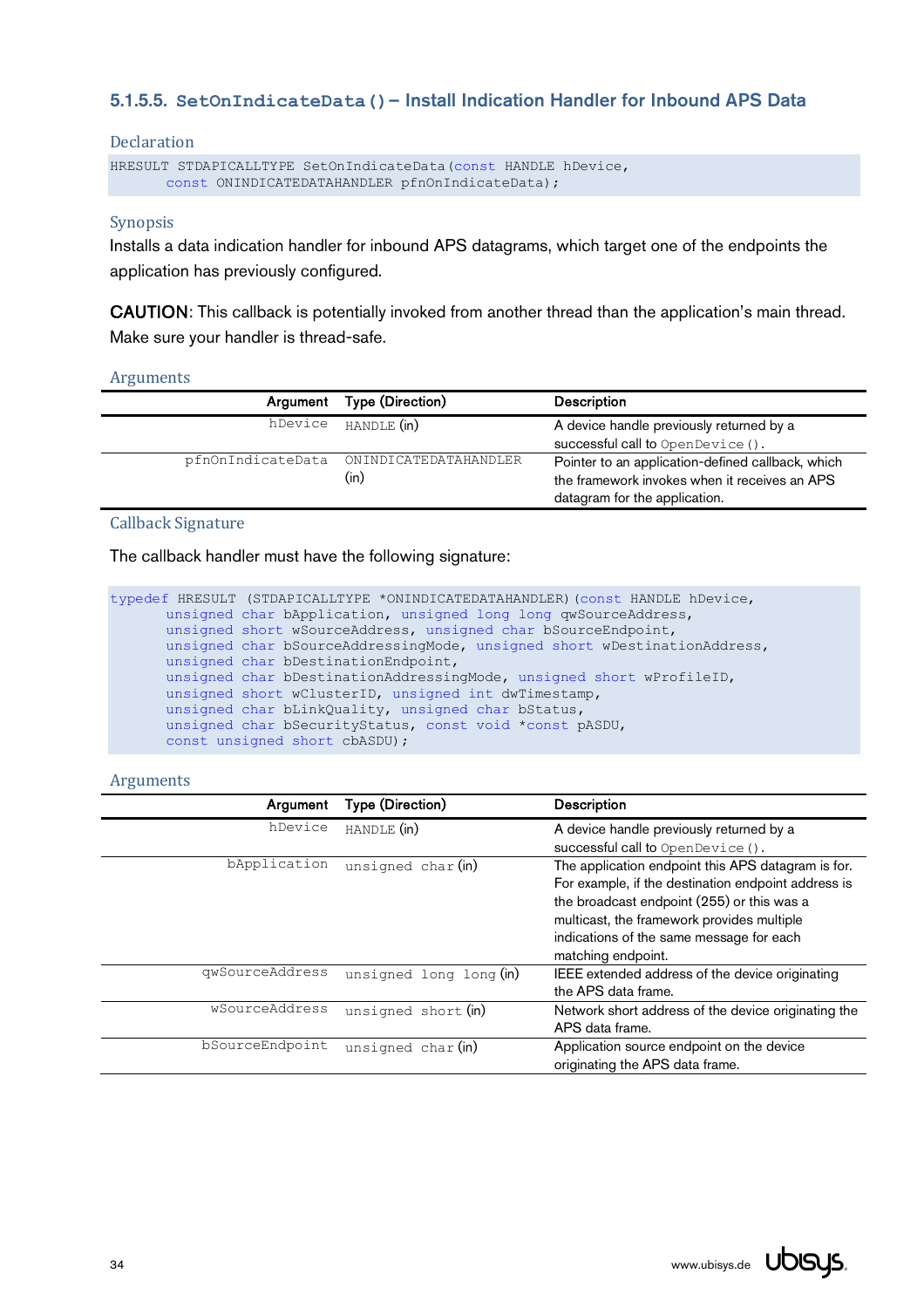# 5.1.5.5. **SetOnIndicateData()**– Install Indication Handler for Inbound APS Data

Declaration

```
HRESULT STDAPICALLTYPE SetOnIndicateData(const HANDLE hDevice,
      const ONINDICATEDATAHANDLER pfnOnIndicateData);
```
#### Synopsis

Installs a data indication handler for inbound APS datagrams, which target one of the endpoints the application has previously configured.

**CAUTION**: This callback is potentially invoked from another thread than the application's main thread. Make sure your handler is thread-safe.

#### Arguments

| Argument | Type (Direction)                        | <b>Description</b>                                |
|----------|-----------------------------------------|---------------------------------------------------|
| hDevice  | HANDLE (in)                             | A device handle previously returned by a          |
|          |                                         | successful call to OpenDevice().                  |
|          | pfnOnIndicateData ONINDICATEDATAHANDLER | Pointer to an application-defined callback, which |
|          | (in)                                    | the framework invokes when it receives an APS     |
|          |                                         | datagram for the application.                     |

#### Callback Signature

The callback handler must have the following signature:

```
typedef HRESULT (STDAPICALLTYPE *ONINDICATEDATAHANDLER)(const HANDLE hDevice,
      unsigned char bApplication, unsigned long long qwSourceAddress, 
      unsigned short wSourceAddress, unsigned char bSourceEndpoint, 
      unsigned char bSourceAddressingMode, unsigned short wDestinationAddress,
      unsigned char bDestinationEndpoint, 
      unsigned char bDestinationAddressingMode, unsigned short wProfileID,
      unsigned short wClusterID, unsigned int dwTimestamp, 
      unsigned char bLinkQuality, unsigned char bStatus, 
      unsigned char bSecurityStatus, const void *const pASDU,
      const unsigned short cbASDU);
```
### Arguments

| Argument        | Type (Direction)        | <b>Description</b>                                                                                                                                                                                                                                                      |
|-----------------|-------------------------|-------------------------------------------------------------------------------------------------------------------------------------------------------------------------------------------------------------------------------------------------------------------------|
| hDevice         | HANDLE (in)             | A device handle previously returned by a<br>successful call to OpenDevice().                                                                                                                                                                                            |
| bApplication    | unsigned char $(in)$    | The application endpoint this APS datagram is for.<br>For example, if the destination endpoint address is<br>the broadcast endpoint (255) or this was a<br>multicast, the framework provides multiple<br>indications of the same message for each<br>matching endpoint. |
| qwSourceAddress | unsigned long long (in) | IEEE extended address of the device originating<br>the APS data frame.                                                                                                                                                                                                  |
| wSourceAddress  | unsigned short (in)     | Network short address of the device originating the<br>APS data frame.                                                                                                                                                                                                  |
| bSourceEndpoint | unsigned char (in)      | Application source endpoint on the device<br>originating the APS data frame.                                                                                                                                                                                            |

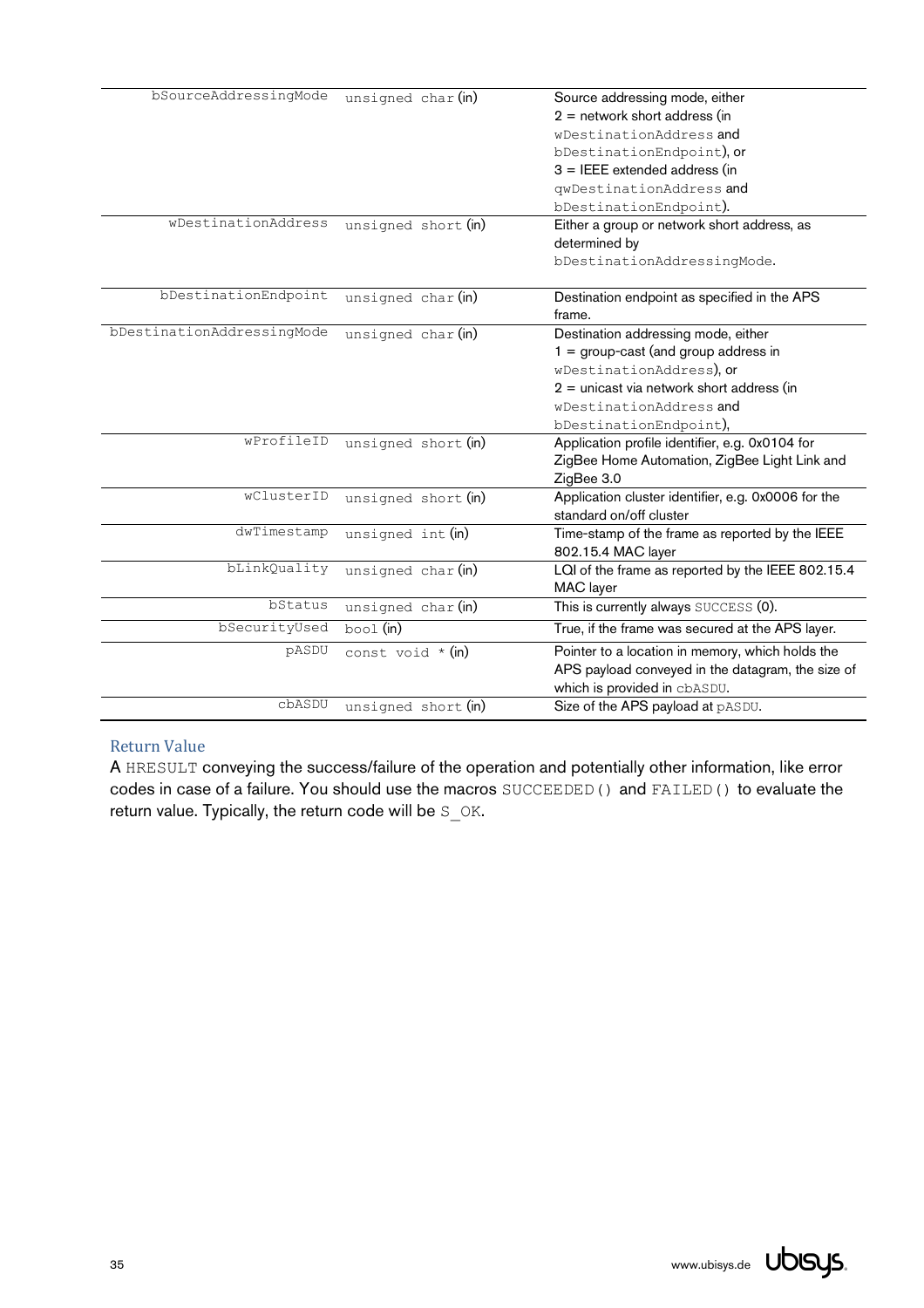| bSourceAddressingMode      | unsigned char (in)  | Source addressing mode, either                      |
|----------------------------|---------------------|-----------------------------------------------------|
|                            |                     | $2$ = network short address (in                     |
|                            |                     | wDestinationAddressand                              |
|                            |                     | bDestinationEndpoint), or                           |
|                            |                     | $3 = IEEE$ extended address (in                     |
|                            |                     | qwDestinationAddress and                            |
|                            |                     | bDestinationEndpoint).                              |
| wDestinationAddress        | unsigned short (in) | Either a group or network short address, as         |
|                            |                     | determined by                                       |
|                            |                     | bDestinationAddressingMode.                         |
| bDestinationEndpoint       | unsigned char (in)  | Destination endpoint as specified in the APS        |
|                            |                     | frame.                                              |
| bDestinationAddressingMode | unsigned char (in)  | Destination addressing mode, either                 |
|                            |                     | $1 =$ group-cast (and group address in              |
|                            |                     | wDestinationAddress), or                            |
|                            |                     | $2 =$ unicast via network short address (in         |
|                            |                     | wDestinationAddressand                              |
|                            |                     | bDestinationEndpoint),                              |
| wProfileID                 | unsigned short (in) | Application profile identifier, e.g. 0x0104 for     |
|                            |                     | ZigBee Home Automation, ZigBee Light Link and       |
|                            |                     | ZigBee 3.0                                          |
| wClusterID                 | unsigned short (in) | Application cluster identifier, e.g. 0x0006 for the |
|                            |                     | standard on/off cluster                             |
| dwTimestamp                | unsigned int (in)   | Time-stamp of the frame as reported by the IEEE     |
|                            |                     | 802.15.4 MAC layer                                  |
| bLinkQuality               | unsigned char (in)  | LQI of the frame as reported by the IEEE 802.15.4   |
|                            |                     | MAC layer                                           |
| bStatus                    | unsigned char (in)  | This is currently always SUCCESS (0).               |
| bSecurityUsed              | bool (in)           | True, if the frame was secured at the APS layer.    |
| pASDU                      | const void $*(in)$  | Pointer to a location in memory, which holds the    |
|                            |                     | APS payload conveyed in the datagram, the size of   |
|                            |                     | which is provided in cbASDU.                        |
| cbASDU                     | unsigned short (in) | Size of the APS payload at pASDU.                   |

# Return Value

A HRESULT conveying the success/failure of the operation and potentially other information, like error codes in case of a failure. You should use the macros SUCCEEDED() and FAILED() to evaluate the return value. Typically, the return code will be S OK.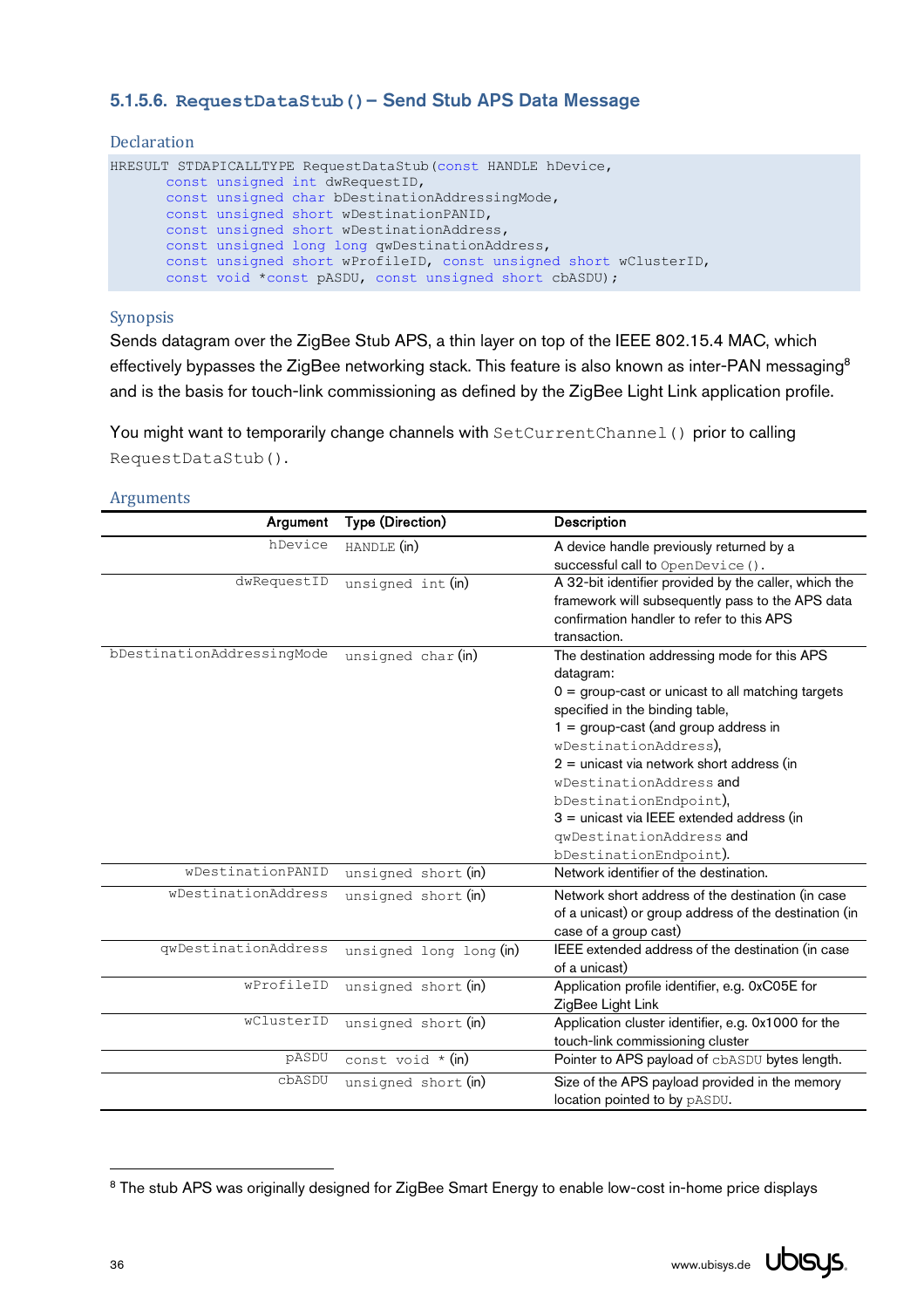# 5.1.5.6. **RequestDataStub()**– Send Stub APS Data Message

### Declaration

| HRESULT STDAPICALLTYPE RequestDataStub (const HANDLE hDevice,     |
|-------------------------------------------------------------------|
| const unsigned int dwRequestID,                                   |
| const unsigned char bDestinationAddressingMode,                   |
| const unsigned short wDestinationPANID,                           |
| const unsigned short wDestinationAddress,                         |
| const unsigned long long qwDestinationAddress,                    |
| const unsigned short wProfileID, const unsigned short wClusterID, |
| const void *const pASDU, const unsigned short cbASDU);            |

### Synopsis

Sends datagram over the ZigBee Stub APS, a thin layer on top of the IEEE 802.15.4 MAC, which effectively bypasses the ZigBee networking stack. This feature is also known as inter-PAN messaging<sup>8</sup> and is the basis for touch-link commissioning as defined by the ZigBee Light Link application profile.

You might want to temporarily change channels with SetCurrentChannel () prior to calling RequestDataStub().

#### Arguments

| Argument                   | <b>Type (Direction)</b> | Description                                           |
|----------------------------|-------------------------|-------------------------------------------------------|
| hDevice                    | HANDLE (in)             | A device handle previously returned by a              |
|                            |                         | successful call to OpenDevice().                      |
| dwRequestID                | unsigned int (in)       | A 32-bit identifier provided by the caller, which the |
|                            |                         | framework will subsequently pass to the APS data      |
|                            |                         | confirmation handler to refer to this APS             |
|                            |                         | transaction.                                          |
| bDestinationAddressingMode | unsigned $char(in)$     | The destination addressing mode for this APS          |
|                            |                         | datagram:                                             |
|                            |                         | $0 =$ group-cast or unicast to all matching targets   |
|                            |                         | specified in the binding table,                       |
|                            |                         | $1 =$ group-cast (and group address in                |
|                            |                         | wDestinationAddress),                                 |
|                            |                         | $2 =$ unicast via network short address (in           |
|                            |                         | wDestinationAddressand                                |
|                            |                         | bDestinationEndpoint),                                |
|                            |                         | 3 = unicast via IEEE extended address (in             |
|                            |                         | qwDestinationAddress and                              |
|                            |                         | bDestinationEndpoint).                                |
| wDestinationPANID          | unsigned short (in)     | Network identifier of the destination.                |
| wDestinationAddress        | unsigned short (in)     | Network short address of the destination (in case     |
|                            |                         | of a unicast) or group address of the destination (in |
|                            |                         | case of a group cast)                                 |
| qwDestinationAddress       | unsigned long long (in) | IEEE extended address of the destination (in case     |
|                            |                         | of a unicast)                                         |
| wProfileID                 | unsigned short (in)     | Application profile identifier, e.g. 0xC05E for       |
|                            |                         | ZigBee Light Link                                     |
| wClusterID                 | unsigned short (in)     | Application cluster identifier, e.g. 0x1000 for the   |
|                            |                         | touch-link commissioning cluster                      |
| pASDU                      | const void $*(in)$      | Pointer to APS payload of cbASDU bytes length.        |
| cbASDU                     | unsigned short (in)     | Size of the APS payload provided in the memory        |
|                            |                         | location pointed to by pASDU.                         |

<sup>&</sup>lt;sup>8</sup> The stub APS was originally designed for ZigBee Smart Energy to enable low-cost in-home price displays



-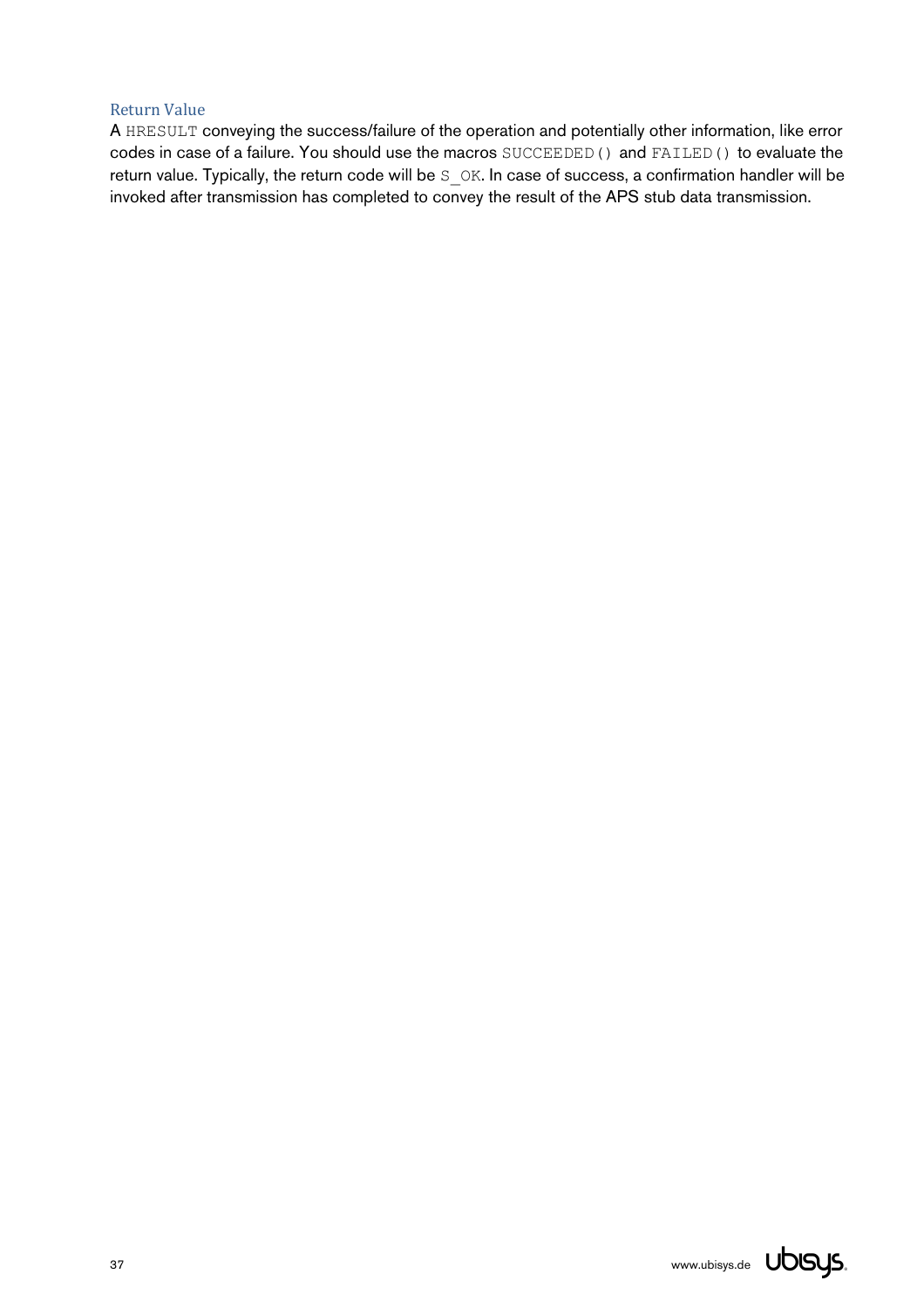# Return Value

A HRESULT conveying the success/failure of the operation and potentially other information, like error codes in case of a failure. You should use the macros SUCCEEDED() and FAILED() to evaluate the return value. Typically, the return code will be S\_OK. In case of success, a confirmation handler will be invoked after transmission has completed to convey the result of the APS stub data transmission.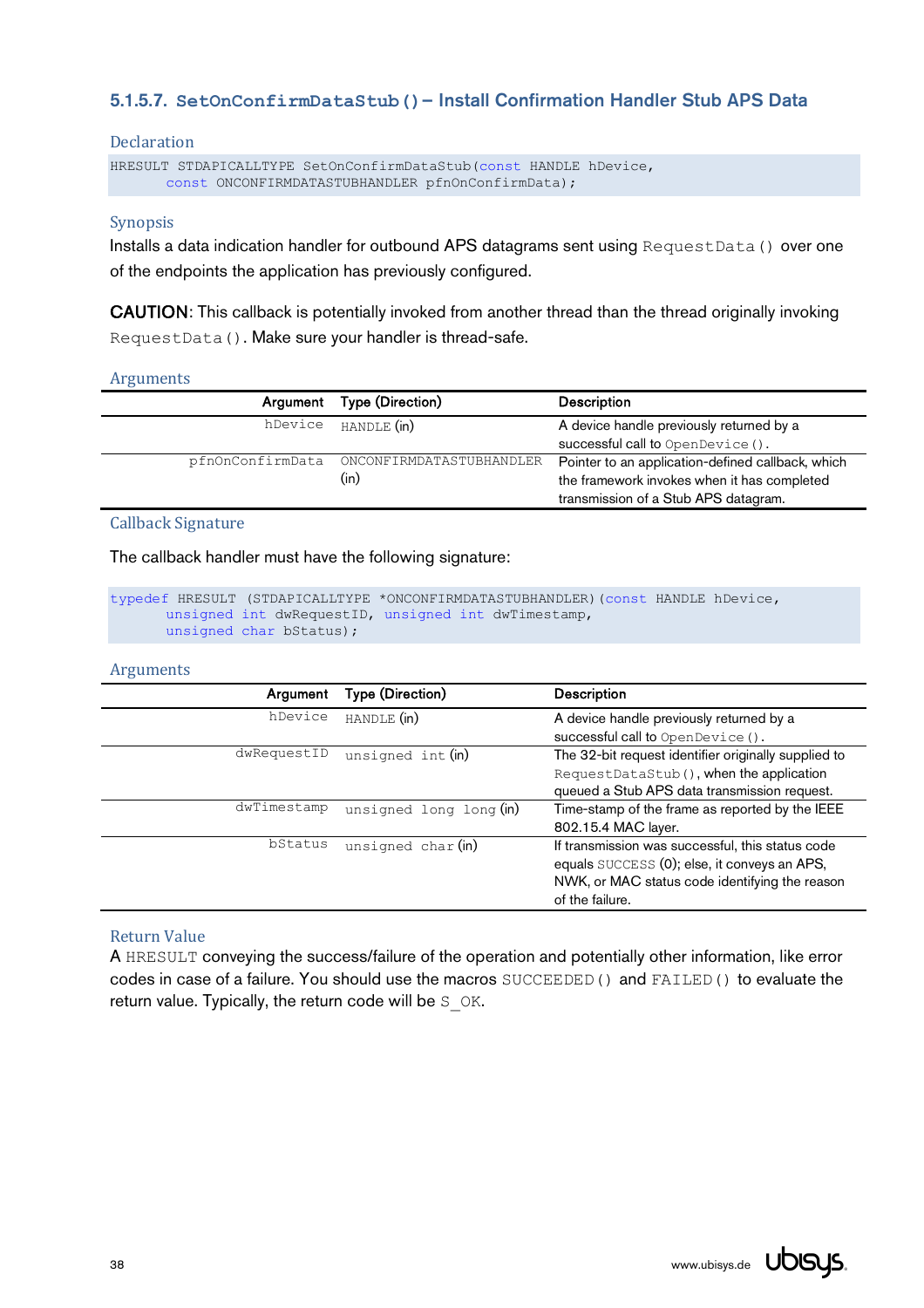# 5.1.5.7. **SetOnConfirmDataStub()**– Install Confirmation Handler Stub APS Data

#### Declaration

```
HRESULT STDAPICALLTYPE SetOnConfirmDataStub(const HANDLE hDevice,
      const ONCONFIRMDATASTUBHANDLER pfnOnConfirmData);
```
## Synopsis

Installs a data indication handler for outbound APS datagrams sent using RequestData() over one of the endpoints the application has previously configured.

**CAUTION**: This callback is potentially invoked from another thread than the thread originally invoking RequestData(). Make sure your handler is thread-safe.

## Arguments

|                  | Argument Type (Direction) | <b>Description</b>                                |
|------------------|---------------------------|---------------------------------------------------|
| hDevice          | HANDLE (in)               | A device handle previously returned by a          |
|                  |                           | successful call to OpenDevice ().                 |
| pfnOnConfirmData | ONCONFIRMDATASTUBHANDLER  | Pointer to an application-defined callback, which |
|                  | (in)                      | the framework invokes when it has completed       |
|                  |                           | transmission of a Stub APS datagram.              |

#### Callback Signature

The callback handler must have the following signature:

```
typedef HRESULT (STDAPICALLTYPE *ONCONFIRMDATASTUBHANDLER)(const HANDLE hDevice,
      unsigned int dwRequestID, unsigned int dwTimestamp, 
      unsigned char bStatus);
```
## Arguments

| Argument    | Type (Direction)        | <b>Description</b>                                   |
|-------------|-------------------------|------------------------------------------------------|
| hDevice     | HANDLE (in)             | A device handle previously returned by a             |
|             |                         | successful call to OpenDevice().                     |
| dwRequestID | unsigned $int (in)$     | The 32-bit request identifier originally supplied to |
|             |                         | RequestDataStub(), when the application              |
|             |                         | queued a Stub APS data transmission request.         |
| dwTimestamp | unsigned long long (in) | Time-stamp of the frame as reported by the IEEE      |
|             |                         | 802.15.4 MAC layer.                                  |
| bStatus     | unsigned $char(in)$     | If transmission was successful, this status code     |
|             |                         | equals SUCCESS (0); else, it conveys an APS,         |
|             |                         | NWK, or MAC status code identifying the reason       |
|             |                         | of the failure.                                      |

## Return Value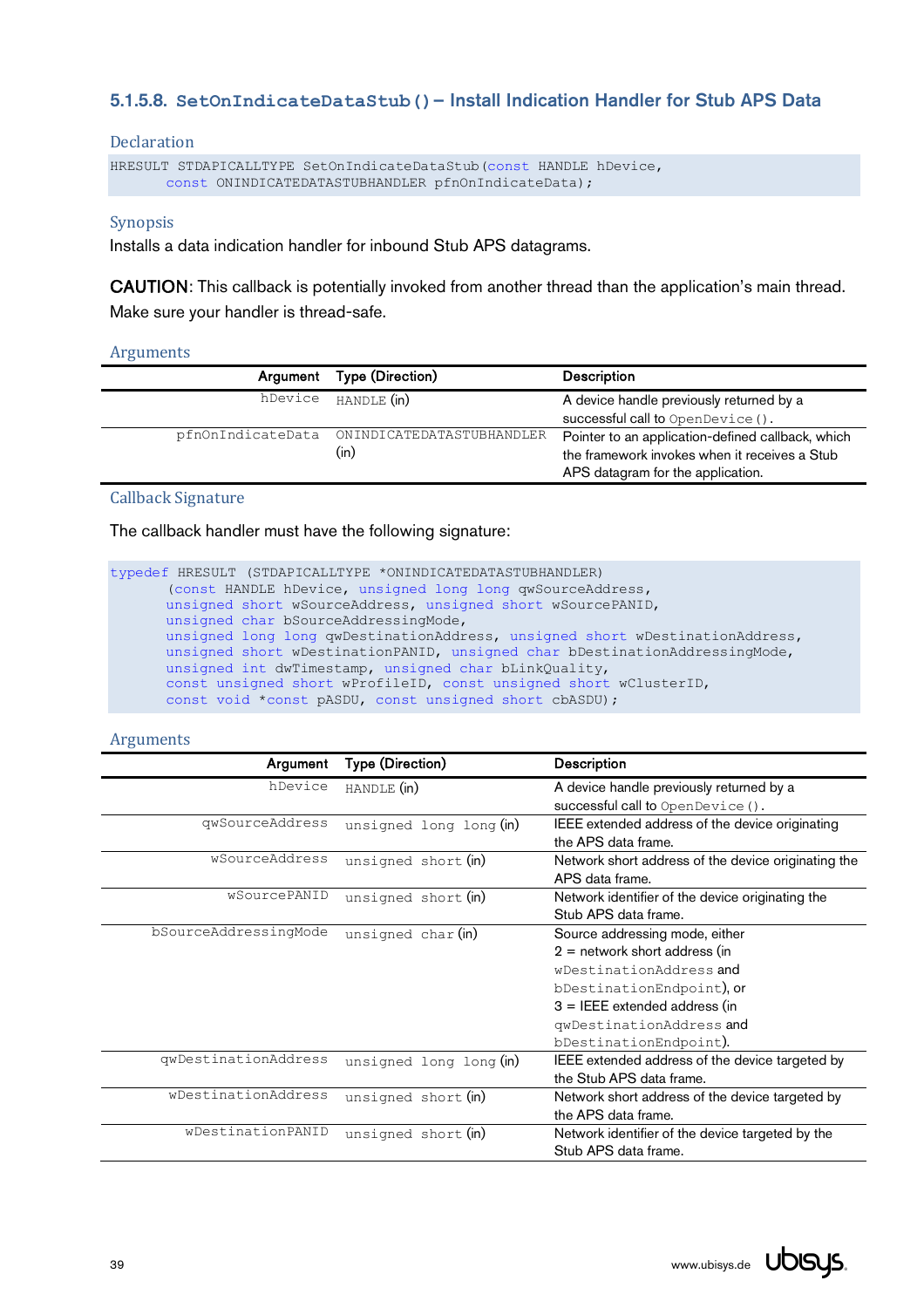# 5.1.5.8. **SetOnIndicateDataStub()**– Install Indication Handler for Stub APS Data

Declaration

```
HRESULT STDAPICALLTYPE SetOnIndicateDataStub(const HANDLE hDevice,
      const ONINDICATEDATASTUBHANDLER pfnOnIndicateData);
```
#### Synopsis

Installs a data indication handler for inbound Stub APS datagrams.

**CAUTION**: This callback is potentially invoked from another thread than the application's main thread. Make sure your handler is thread-safe.

#### Arguments

|         | Argument Type (Direction)                   | <b>Description</b>                                |
|---------|---------------------------------------------|---------------------------------------------------|
| hDevice | HANDLE (in)                                 | A device handle previously returned by a          |
|         |                                             | successful call to OpenDevice().                  |
|         | pfnOnIndicateData ONINDICATEDATASTUBHANDLER | Pointer to an application-defined callback, which |
|         | (in)                                        | the framework invokes when it receives a Stub     |
|         |                                             | APS datagram for the application.                 |

#### Callback Signature

The callback handler must have the following signature:

```
typedef HRESULT (STDAPICALLTYPE *ONINDICATEDATASTUBHANDLER)
      (const HANDLE hDevice, unsigned long long qwSourceAddress, 
      unsigned short wSourceAddress, unsigned short wSourcePANID, 
      unsigned char bSourceAddressingMode, 
      unsigned long long qwDestinationAddress, unsigned short wDestinationAddress,
      unsigned short wDestinationPANID, unsigned char bDestinationAddressingMode,
      unsigned int dwTimestamp, unsigned char bLinkQuality,
      const unsigned short wProfileID, const unsigned short wClusterID,
      const void *const pASDU, const unsigned short cbASDU);
```
## Arguments

| Argument              | Type (Direction)        | <b>Description</b>                                     |
|-----------------------|-------------------------|--------------------------------------------------------|
| hDevice               | HANDLE (in)             | A device handle previously returned by a               |
|                       |                         | successful call to OpenDevice().                       |
| qwSourceAddress       | unsigned long long (in) | IEEE extended address of the device originating        |
|                       |                         | the APS data frame.                                    |
| wSourceAddress        | unsigned short (in)     | Network short address of the device originating the    |
|                       |                         | APS data frame.                                        |
| WSOUrcePANID          | unsigned short (in)     | Network identifier of the device originating the       |
|                       |                         | Stub APS data frame.                                   |
| bSourceAddressingMode | unsigned $char(in)$     | Source addressing mode, either                         |
|                       |                         | $2$ = network short address (in                        |
|                       |                         | wDestinationAddress and                                |
|                       |                         | bDestinationEndpoint), or                              |
|                       |                         | $3 = IEEE$ extended address (in                        |
|                       |                         | qwDestinationAddress and                               |
|                       |                         | bDestinationEndpoint).                                 |
| qwDestinationAddress  | unsigned long long (in) | <b>IEEE</b> extended address of the device targeted by |
|                       |                         | the Stub APS data frame.                               |
| wDestinationAddress   | unsigned short (in)     | Network short address of the device targeted by        |
|                       |                         | the APS data frame.                                    |
| wDestinationPANID     | unsigned short (in)     | Network identifier of the device targeted by the       |
|                       |                         | Stub APS data frame.                                   |

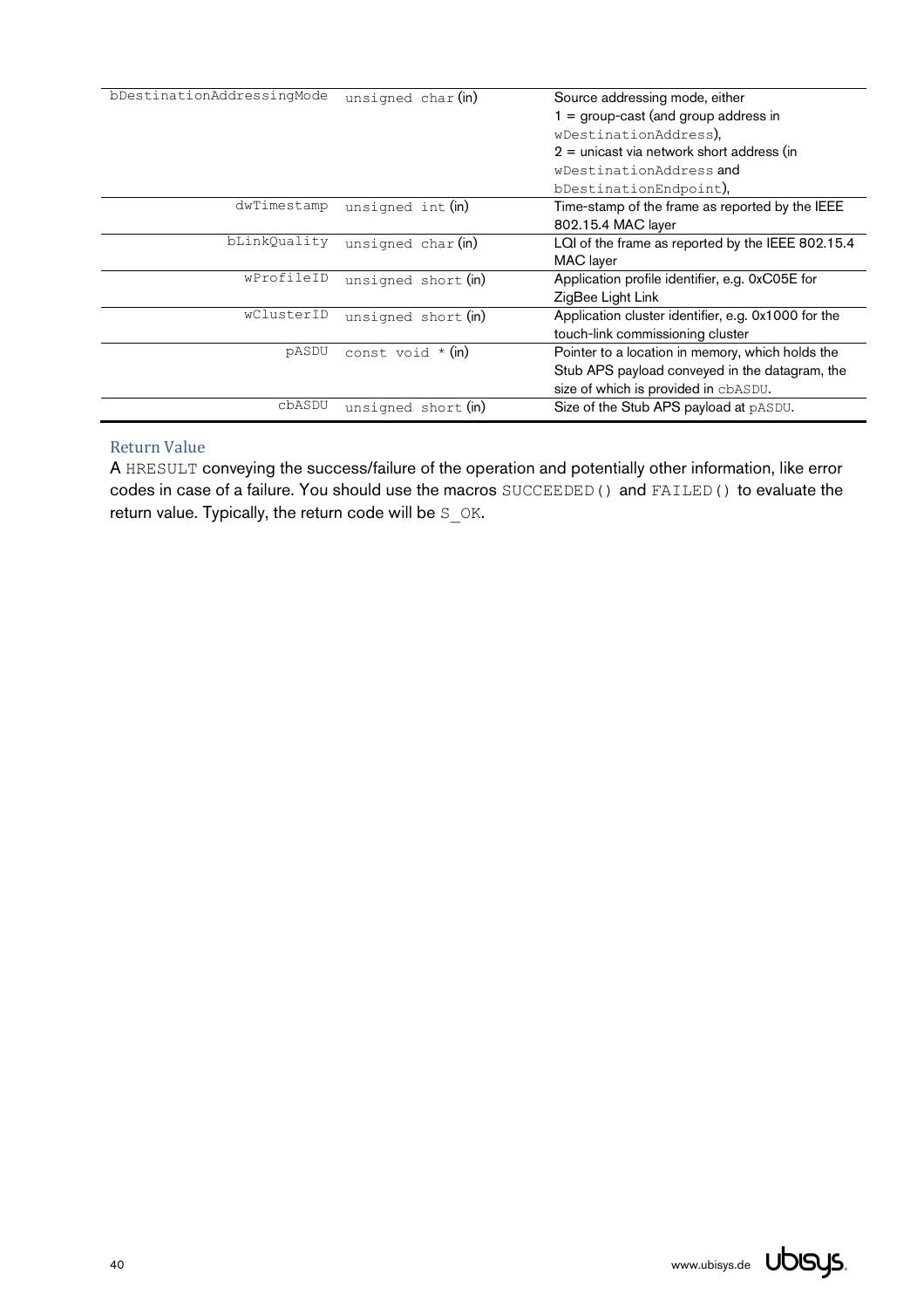| bDestinationAddressingMode | unsigned $char(in)$ | Source addressing mode, either                      |
|----------------------------|---------------------|-----------------------------------------------------|
|                            |                     | $=$ group-cast (and group address in                |
|                            |                     | wDestinationAddress).                               |
|                            |                     | $2$ = unicast via network short address (in         |
|                            |                     | wDestinationAddress and                             |
|                            |                     | bDestinationEndpoint),                              |
| dwTimestamp                | unsigned int (in)   | Time-stamp of the frame as reported by the IEEE     |
|                            |                     | 802.15.4 MAC layer                                  |
| bLinkOuality               | unsigned $char(in)$ | LQI of the frame as reported by the IEEE 802.15.4   |
|                            |                     | MAC layer                                           |
| wProfileID                 | unsigned short (in) | Application profile identifier, e.g. 0xC05E for     |
|                            |                     | ZigBee Light Link                                   |
| wClusterID                 | unsigned short (in) | Application cluster identifier, e.g. 0x1000 for the |
|                            |                     | touch-link commissioning cluster                    |
| pASDU                      | const void $*(in)$  | Pointer to a location in memory, which holds the    |
|                            |                     | Stub APS payload conveyed in the datagram, the      |
|                            |                     | size of which is provided in cbASDU.                |
| cbASDU                     | unsigned short (in) | Size of the Stub APS payload at pASDU.              |

# Return Value

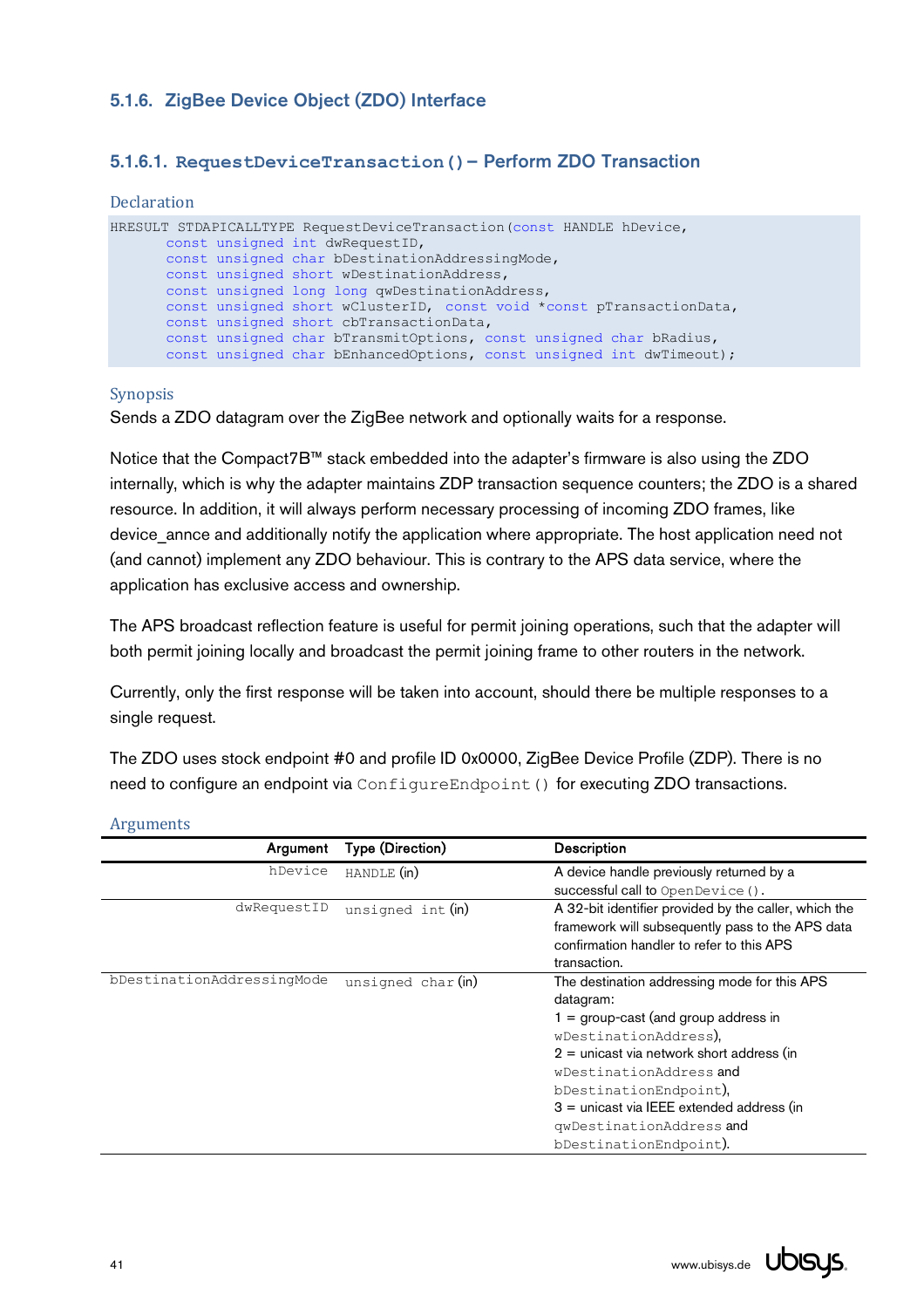# 5.1.6. ZigBee Device Object (ZDO) Interface

# 5.1.6.1. **RequestDeviceTransaction()**– Perform ZDO Transaction

| <b>Declaration</b>                                                     |                                                                      |  |  |
|------------------------------------------------------------------------|----------------------------------------------------------------------|--|--|
| HRESULT STDAPICALLTYPE RequestDeviceTransaction (const HANDLE hDevice, |                                                                      |  |  |
|                                                                        | const unsigned int dwRequestID,                                      |  |  |
|                                                                        | const unsigned char bDestinationAddressingMode,                      |  |  |
|                                                                        | const unsigned short wDestinationAddress,                            |  |  |
|                                                                        | const unsigned long long gwDestinationAddress,                       |  |  |
|                                                                        | const unsigned short wClusterID, const void *const pTransactionData, |  |  |
|                                                                        | const unsigned short cbTransactionData,                              |  |  |
|                                                                        | const unsigned char bTransmitOptions, const unsigned char bRadius,   |  |  |
|                                                                        | const unsigned char bEnhancedOptions, const unsigned int dwTimeout); |  |  |

## Synopsis

Sends a ZDO datagram over the ZigBee network and optionally waits for a response.

Notice that the Compact7B™ stack embedded into the adapter's firmware is also using the ZDO internally, which is why the adapter maintains ZDP transaction sequence counters; the ZDO is a shared resource. In addition, it will always perform necessary processing of incoming ZDO frames, like device annce and additionally notify the application where appropriate. The host application need not (and cannot) implement any ZDO behaviour. This is contrary to the APS data service, where the application has exclusive access and ownership.

The APS broadcast reflection feature is useful for permit joining operations, such that the adapter will both permit joining locally and broadcast the permit joining frame to other routers in the network.

Currently, only the first response will be taken into account, should there be multiple responses to a single request.

The ZDO uses stock endpoint #0 and profile ID 0x0000, ZigBee Device Profile (ZDP). There is no need to configure an endpoint via ConfigureEndpoint() for executing ZDO transactions.

| Argument                   | Type (Direction)    | <b>Description</b>                                    |
|----------------------------|---------------------|-------------------------------------------------------|
| hDevice                    | HANDLE (in)         | A device handle previously returned by a              |
|                            |                     | successful call to OpenDevice().                      |
| dwRequestID                | unsigned int (in)   | A 32-bit identifier provided by the caller, which the |
|                            |                     | framework will subsequently pass to the APS data      |
|                            |                     | confirmation handler to refer to this APS             |
|                            |                     | transaction.                                          |
| bDestinationAddressingMode | unsigned $char(in)$ | The destination addressing mode for this APS          |
|                            |                     | datagram:                                             |
|                            |                     | $1 =$ group-cast (and group address in                |
|                            |                     | wDestinationAddress).                                 |
|                            |                     | $2$ = unicast via network short address (in           |
|                            |                     | wDestinationAddressand                                |
|                            |                     | bDestinationEndpoint),                                |
|                            |                     | 3 = unicast via IEEE extended address (in             |
|                            |                     | qwDestinationAddress and                              |
|                            |                     | bDestinationEndpoint).                                |

### Arguments

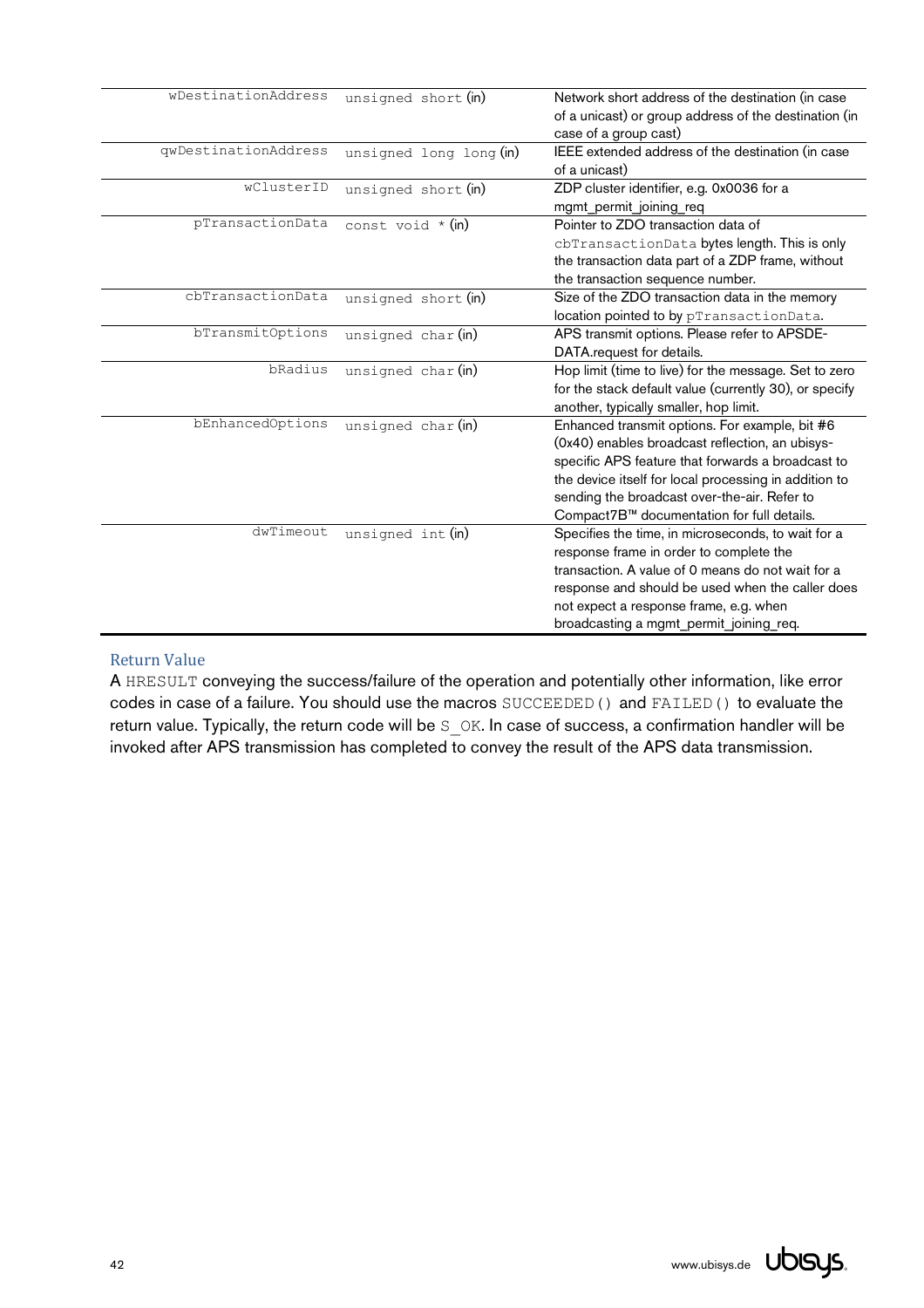| wDestinationAddress  | unsigned short (in)     | Network short address of the destination (in case      |
|----------------------|-------------------------|--------------------------------------------------------|
|                      |                         | of a unicast) or group address of the destination (in  |
|                      |                         | case of a group cast)                                  |
| qwDestinationAddress | unsigned long long (in) | IEEE extended address of the destination (in case      |
|                      |                         | of a unicast)                                          |
| wClusterID           | unsigned short (in)     | ZDP cluster identifier, e.g. 0x0036 for a              |
|                      |                         | mgmt_permit_joining_req                                |
| pTransactionData     | const void $*(in)$      | Pointer to ZDO transaction data of                     |
|                      |                         | cbTransactionData bytes length. This is only           |
|                      |                         | the transaction data part of a ZDP frame, without      |
|                      |                         | the transaction sequence number.                       |
| cbTransactionData    | unsigned short (in)     | Size of the ZDO transaction data in the memory         |
|                      |                         | location pointed to by pTransactionData.               |
| bTransmitOptions     | unsigned char (in)      | APS transmit options. Please refer to APSDE-           |
|                      |                         | DATA.request for details.                              |
| bRadius              | unsigned char $(in)$    | Hop limit (time to live) for the message. Set to zero  |
|                      |                         | for the stack default value (currently 30), or specify |
|                      |                         | another, typically smaller, hop limit.                 |
| bEnhancedOptions     | unsigned $char(in)$     | Enhanced transmit options. For example, bit #6         |
|                      |                         | (0x40) enables broadcast reflection, an ubisys-        |
|                      |                         | specific APS feature that forwards a broadcast to      |
|                      |                         | the device itself for local processing in addition to  |
|                      |                         | sending the broadcast over-the-air. Refer to           |
|                      |                         | Compact7B™ documentation for full details.             |
| dwTimeout            | unsigned int (in)       | Specifies the time, in microseconds, to wait for a     |
|                      |                         | response frame in order to complete the                |
|                      |                         | transaction. A value of 0 means do not wait for a      |
|                      |                         | response and should be used when the caller does       |
|                      |                         | not expect a response frame, e.g. when                 |
|                      |                         | broadcasting a mgmt_permit_joining_req.                |

# Return Value

A HRESULT conveying the success/failure of the operation and potentially other information, like error codes in case of a failure. You should use the macros SUCCEEDED() and FAILED() to evaluate the return value. Typically, the return code will be S OK. In case of success, a confirmation handler will be invoked after APS transmission has completed to convey the result of the APS data transmission.

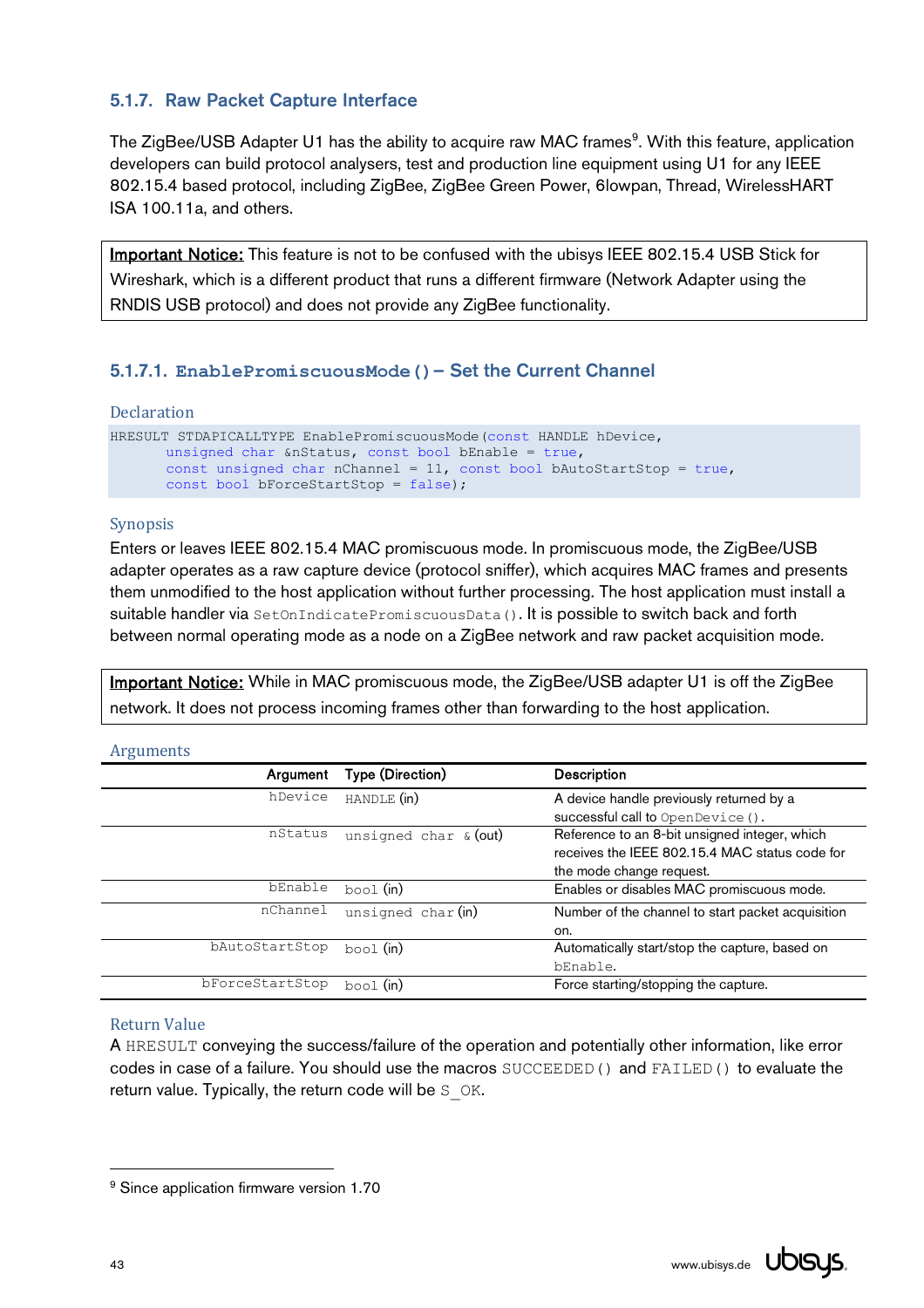# 5.1.7. Raw Packet Capture Interface

The ZigBee/USB Adapter U1 has the ability to acquire raw MAC frames<sup>9</sup>. With this feature, application developers can build protocol analysers, test and production line equipment using U1 for any IEEE 802.15.4 based protocol, including ZigBee, ZigBee Green Power, 6lowpan, Thread, WirelessHART ISA 100.11a, and others.

**Important Notice:** This feature is not to be confused with the ubisys IEEE 802.15.4 USB Stick for Wireshark, which is a different product that runs a different firmware (Network Adapter using the RNDIS USB protocol) and does not provide any ZigBee functionality.

# 5.1.7.1. **EnablePromiscuousMode()**– Set the Current Channel

**Declaration** 

```
HRESULT STDAPICALLTYPE EnablePromiscuousMode(const HANDLE hDevice,
      unsigned char &nStatus, const bool bEnable = true,
      const unsigned char nChannel = 11, const bool bAutoStartStop = true,
      const bool bForceStartStop = false);
```
# Synopsis

Enters or leaves IEEE 802.15.4 MAC promiscuous mode. In promiscuous mode, the ZigBee/USB adapter operates as a raw capture device (protocol sniffer), which acquires MAC frames and presents them unmodified to the host application without further processing. The host application must install a suitable handler via SetOnIndicatePromiscuousData(). It is possible to switch back and forth between normal operating mode as a node on a ZigBee network and raw packet acquisition mode.

**Important Notice:** While in MAC promiscuous mode, the ZigBee/USB adapter U1 is off the ZigBee network. It does not process incoming frames other than forwarding to the host application.

# Arguments

| Argument        | Type (Direction)         | <b>Description</b>                                |
|-----------------|--------------------------|---------------------------------------------------|
| hDevice         | HANDLE (in)              | A device handle previously returned by a          |
|                 |                          | successful call to OpenDevice().                  |
| nStatus         | unsigned char $\&$ (out) | Reference to an 8-bit unsigned integer, which     |
|                 |                          | receives the IEEE 802.15.4 MAC status code for    |
|                 |                          | the mode change request.                          |
| bEnable         | bool (in)                | Enables or disables MAC promiscuous mode.         |
| nChannel        | unsigned $char(in)$      | Number of the channel to start packet acquisition |
|                 |                          | on.                                               |
| bAutoStartStop  | bool (in)                | Automatically start/stop the capture, based on    |
|                 |                          | bEnable.                                          |
| bForceStartStop | bool (in)                | Force starting/stopping the capture.              |

# Return Value

A HRESULT conveying the success/failure of the operation and potentially other information, like error codes in case of a failure. You should use the macros SUCCEEDED() and FAILED() to evaluate the return value. Typically, the return code will be S OK.

-

<sup>&</sup>lt;sup>9</sup> Since application firmware version 1.70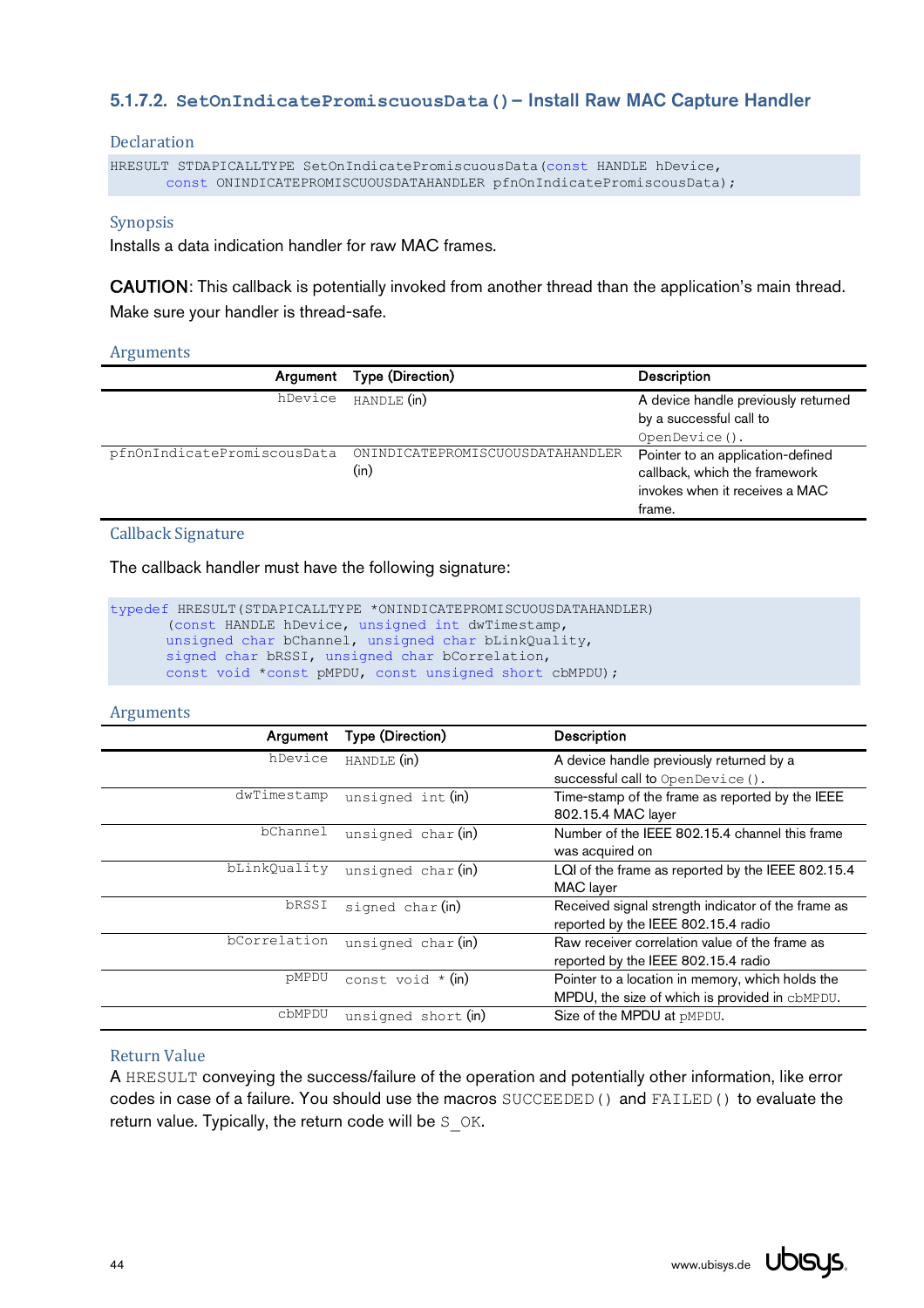# 5.1.7.2. **SetOnIndicatePromiscuousData()**– Install Raw MAC Capture Handler

#### Declaration

```
HRESULT STDAPICALLTYPE SetOnIndicatePromiscuousData(const HANDLE hDevice,
      const ONINDICATEPROMISCUOUSDATAHANDLER pfnOnIndicatePromiscousData);
```
#### Synopsis

Installs a data indication handler for raw MAC frames.

**CAUTION**: This callback is potentially invoked from another thread than the application's main thread. Make sure your handler is thread-safe.

#### Arguments

| Argument                    | Type (Direction)                 | <b>Description</b>                  |
|-----------------------------|----------------------------------|-------------------------------------|
| hDevice                     | HANDLE (in)                      | A device handle previously returned |
|                             |                                  | by a successful call to             |
|                             |                                  | OpenDevice().                       |
| pfnOnIndicatePromiscousData | ONINDICATEPROMISCUOUSDATAHANDLER | Pointer to an application-defined   |
|                             | (in)                             | callback, which the framework       |
|                             |                                  | invokes when it receives a MAC      |
|                             |                                  | frame.                              |

## Callback Signature

The callback handler must have the following signature:

```
typedef HRESULT(STDAPICALLTYPE *ONINDICATEPROMISCUOUSDATAHANDLER)
      (const HANDLE hDevice, unsigned int dwTimestamp,
      unsigned char bChannel, unsigned char bLinkQuality,
      signed char bRSSI, unsigned char bCorrelation,
      const void *const pMPDU, const unsigned short cbMPDU);
```
## Arguments

| Argument     | Type (Direction)    | <b>Description</b>                                 |
|--------------|---------------------|----------------------------------------------------|
| hDevice      | HANDLE (in)         | A device handle previously returned by a           |
|              |                     | successful call to OpenDevice().                   |
| dwTimestamp  | unsigned int (in)   | Time-stamp of the frame as reported by the IEEE    |
|              |                     | 802.15.4 MAC layer                                 |
| bChannel     | unsigned $char(in)$ | Number of the IEEE 802.15.4 channel this frame     |
|              |                     | was acquired on                                    |
| bLinkOuality | unsigned $char(in)$ | LQI of the frame as reported by the IEEE 802.15.4  |
|              |                     | MAC layer                                          |
| bRSSI        | signed char (in)    | Received signal strength indicator of the frame as |
|              |                     | reported by the IEEE 802.15.4 radio                |
| bCorrelation | unsigned $char(in)$ | Raw receiver correlation value of the frame as     |
|              |                     | reported by the IEEE 802.15.4 radio                |
| pMPDU        | const void $*(in)$  | Pointer to a location in memory, which holds the   |
|              |                     | MPDU, the size of which is provided in cbMPDU.     |
| cbMPDU       | unsigned short (in) | Size of the MPDU at pMPDU.                         |

## Return Value

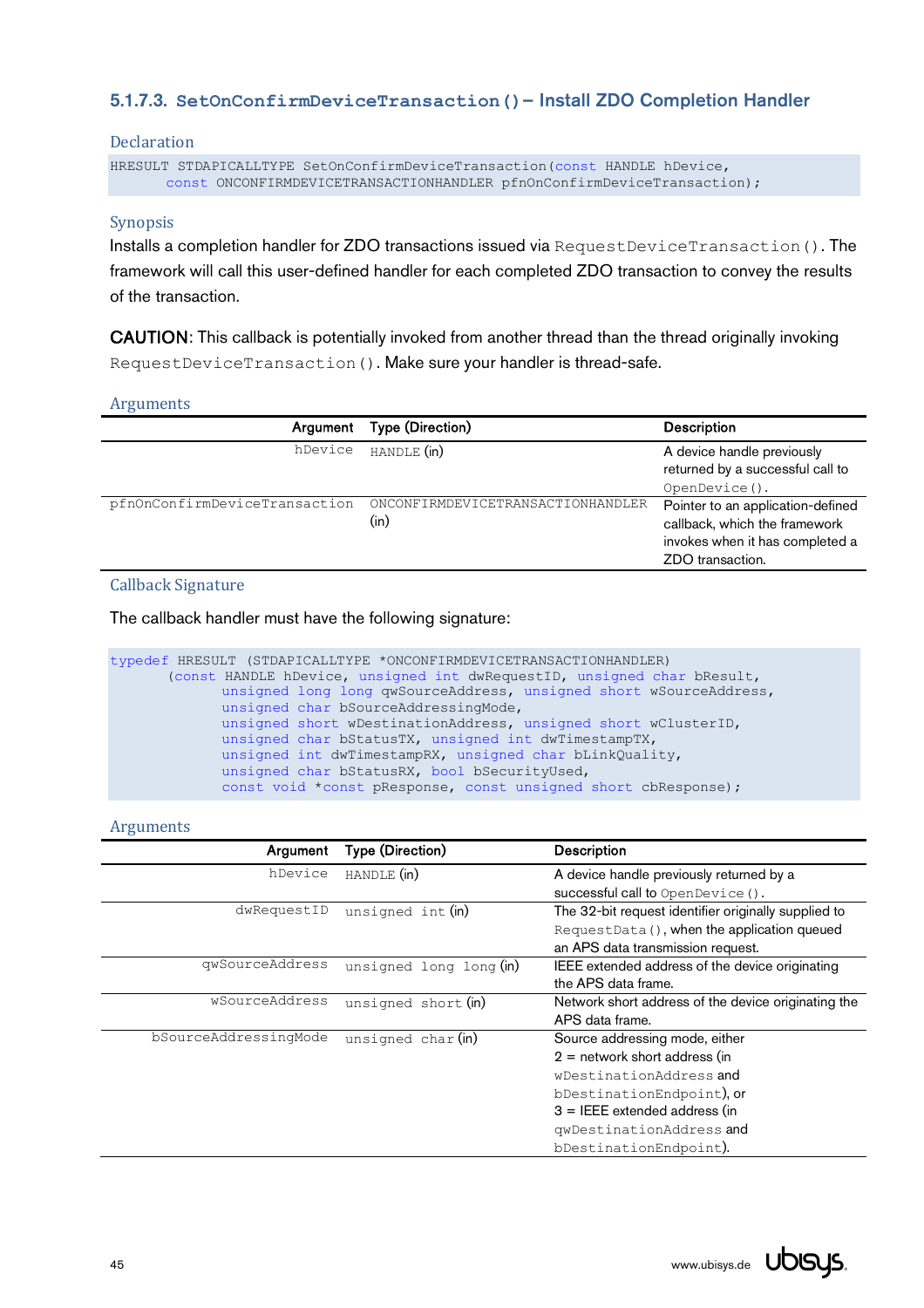# 5.1.7.3. **SetOnConfirmDeviceTransaction()**– Install ZDO Completion Handler

#### Declaration

```
HRESULT STDAPICALLTYPE SetOnConfirmDeviceTransaction(const HANDLE hDevice,
      const ONCONFIRMDEVICETRANSACTIONHANDLER pfnOnConfirmDeviceTransaction);
```
## Synopsis

Installs a completion handler for ZDO transactions issued via RequestDeviceTransaction(). The framework will call this user-defined handler for each completed ZDO transaction to convey the results of the transaction.

**CAUTION**: This callback is potentially invoked from another thread than the thread originally invoking RequestDeviceTransaction(). Make sure your handler is thread-safe.

# Arguments

| Argument                      | Type (Direction)                          | <b>Description</b>                                                                                                        |
|-------------------------------|-------------------------------------------|---------------------------------------------------------------------------------------------------------------------------|
| hDevice                       | HANDLE (in)                               | A device handle previously<br>returned by a successful call to<br>OpenDevice().                                           |
| pfnOnConfirmDeviceTransaction | ONCONFIRMDEVICETRANSACTIONHANDLER<br>(in) | Pointer to an application-defined<br>callback, which the framework<br>invokes when it has completed a<br>ZDO transaction. |

# Callback Signature

The callback handler must have the following signature:

typedef HRESULT (STDAPICALLTYPE \*ONCONFIRMDEVICETRANSACTIONHANDLER) (const HANDLE hDevice, unsigned int dwRequestID, unsigned char bResult, unsigned long long qwSourceAddress, unsigned short wSourceAddress, unsigned char bSourceAddressingMode, unsigned short wDestinationAddress, unsigned short wClusterID, unsigned char bStatusTX, unsigned int dwTimestampTX, unsigned int dwTimestampRX, unsigned char bLinkQuality, unsigned char bStatusRX, bool bSecurityUsed, const void \*const pResponse, const unsigned short cbResponse);

## Arguments

| Argument              | Type (Direction)        | <b>Description</b>                                     |
|-----------------------|-------------------------|--------------------------------------------------------|
| hDevice               | HANDLE (in)             | A device handle previously returned by a               |
|                       |                         | successful call to OpenDevice().                       |
| dwRequestID           | unsigned int (in)       | The 32-bit request identifier originally supplied to   |
|                       |                         | RequestData (), when the application queued            |
|                       |                         | an APS data transmission request.                      |
| qwSourceAddress       | unsigned long long (in) | <b>IEEE</b> extended address of the device originating |
|                       |                         | the APS data frame.                                    |
| wSourceAddress        | unsigned short (in)     | Network short address of the device originating the    |
|                       |                         | APS data frame.                                        |
| bSourceAddressingMode | unsigned $char(in)$     | Source addressing mode, either                         |
|                       |                         | $2$ = network short address (in                        |
|                       |                         | wDestinationAddressand                                 |
|                       |                         | bDestinationEndpoint), or                              |
|                       |                         | $3 = IEEE$ extended address (in                        |
|                       |                         | qwDestinationAddress and                               |
|                       |                         | bDestinationEndpoint).                                 |

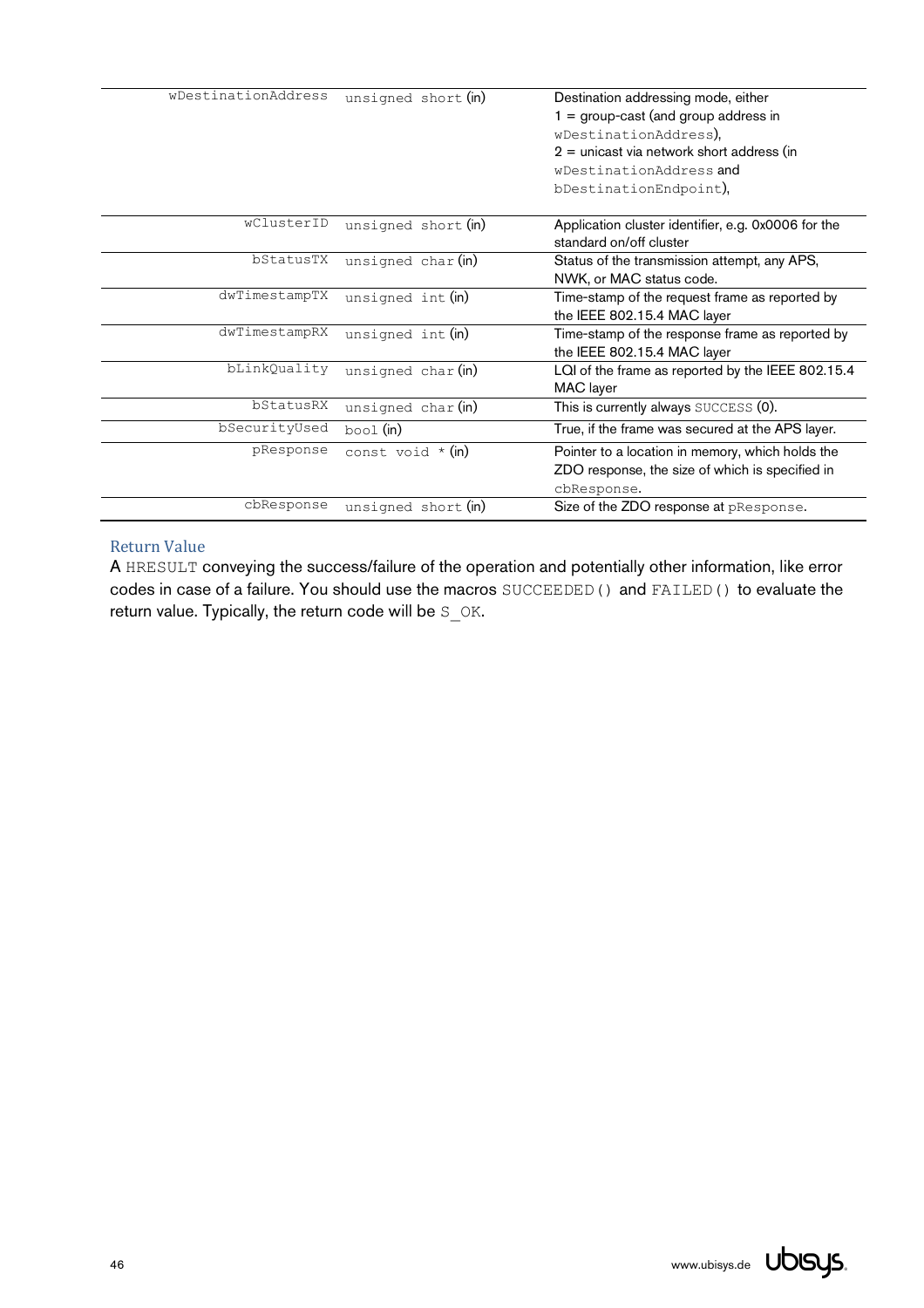| wDestinationAddress |                     |                                                     |
|---------------------|---------------------|-----------------------------------------------------|
|                     | unsigned short (in) | Destination addressing mode, either                 |
|                     |                     | $1 =$ group-cast (and group address in              |
|                     |                     | wDestinationAddress),                               |
|                     |                     | $2$ = unicast via network short address (in         |
|                     |                     | wDestinationAddress and                             |
|                     |                     | bDestinationEndpoint),                              |
| wClusterID          | unsigned short (in) | Application cluster identifier, e.g. 0x0006 for the |
|                     |                     | standard on/off cluster                             |
| bStatusTX           | unsigned char (in)  | Status of the transmission attempt, any APS,        |
|                     |                     | NWK, or MAC status code.                            |
| dwTimestampTX       | unsigned int (in)   | Time-stamp of the request frame as reported by      |
|                     |                     | the IEEE 802.15.4 MAC layer                         |
| dwTimestampRX       | unsigned int $(in)$ | Time-stamp of the response frame as reported by     |
|                     |                     | the IEEE 802.15.4 MAC layer                         |
| bLinkQuality        | unsigned char (in)  | LQI of the frame as reported by the IEEE 802.15.4   |
|                     |                     | MAC layer                                           |
| bStatusRX           | unsigned $char(in)$ | This is currently always SUCCESS (0).               |
| bSecurityUsed       | bool (in)           | True, if the frame was secured at the APS layer.    |
| pResponse           | const void $*(in)$  | Pointer to a location in memory, which holds the    |
|                     |                     | ZDO response, the size of which is specified in     |
|                     |                     | cbResponse.                                         |
| cbResponse          | unsigned short (in) | Size of the ZDO response at pResponse.              |
|                     |                     |                                                     |

# Return Value

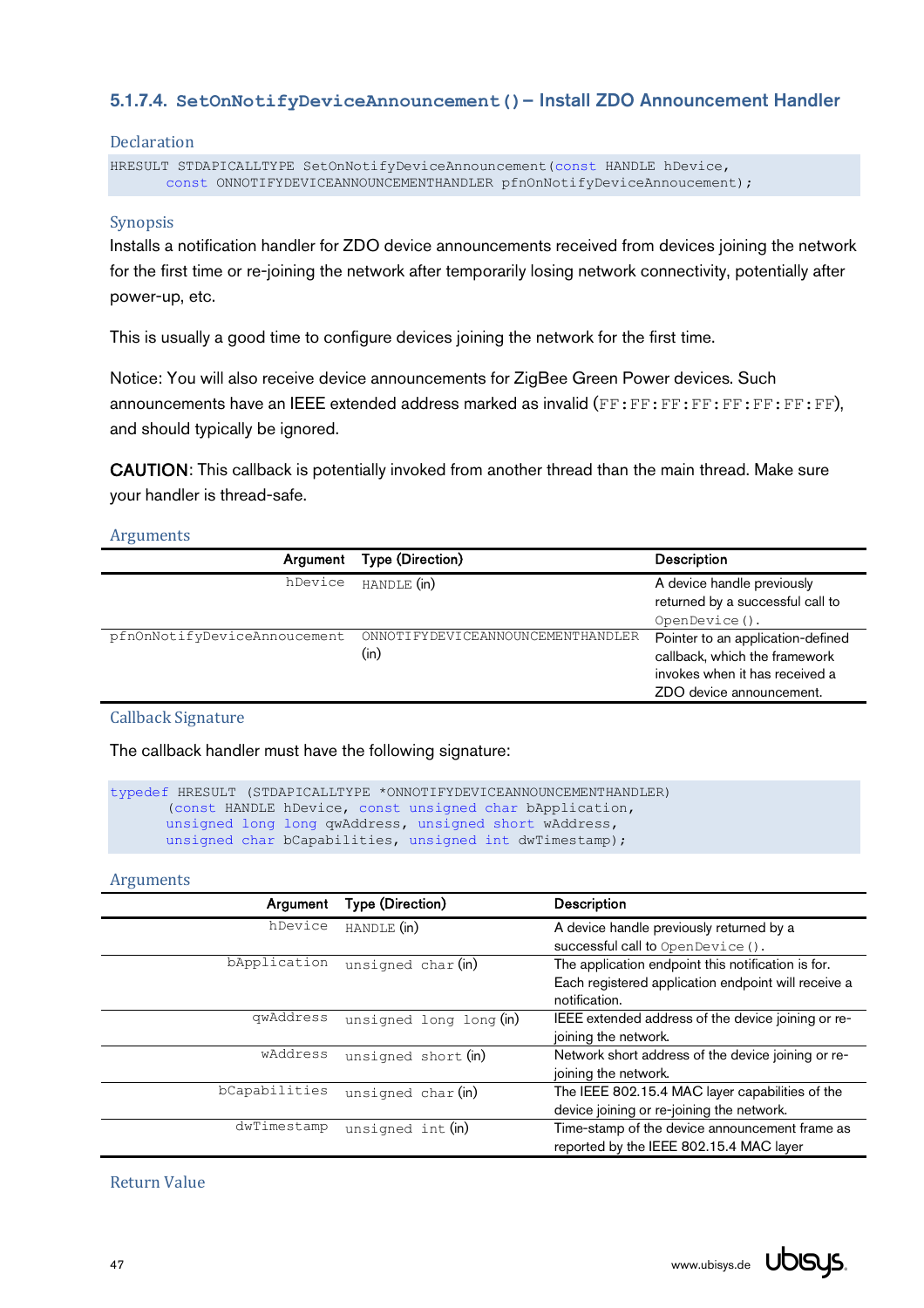# 5.1.7.4. **SetOnNotifyDeviceAnnouncement()**– Install ZDO Announcement Handler

#### Declaration

HRESULT STDAPICALLTYPE SetOnNotifyDeviceAnnouncement(const HANDLE hDevice, const ONNOTIFYDEVICEANNOUNCEMENTHANDLER pfnOnNotifyDeviceAnnoucement);

#### Synopsis

Installs a notification handler for ZDO device announcements received from devices joining the network for the first time or re-joining the network after temporarily losing network connectivity, potentially after power-up, etc.

This is usually a good time to configure devices joining the network for the first time.

Notice: You will also receive device announcements for ZigBee Green Power devices. Such announcements have an IEEE extended address marked as invalid (FF:FF:FF:FF:FF:FF:FF:FF), and should typically be ignored.

**CAUTION**: This callback is potentially invoked from another thread than the main thread. Make sure your handler is thread-safe.

#### Arguments

| Argument                     | Type (Direction)                  | <b>Description</b>                                             |
|------------------------------|-----------------------------------|----------------------------------------------------------------|
| hDevice                      | HANDLE (in)                       | A device handle previously<br>returned by a successful call to |
|                              |                                   | OpenDevice().                                                  |
| pfnOnNotifyDeviceAnnoucement | ONNOTIFYDEVICEANNOUNCEMENTHANDLER | Pointer to an application-defined                              |
|                              | (in)                              | callback, which the framework                                  |
|                              |                                   | invokes when it has received a                                 |
|                              |                                   | ZDO device announcement.                                       |

#### Callback Signature

The callback handler must have the following signature:

```
typedef HRESULT (STDAPICALLTYPE *ONNOTIFYDEVICEANNOUNCEMENTHANDLER)
      (const HANDLE hDevice, const unsigned char bApplication,
      unsigned long long qwAddress, unsigned short wAddress, 
      unsigned char bCapabilities, unsigned int dwTimestamp);
```
#### Arguments

| Argument      | Type (Direction)        | <b>Description</b>                                  |
|---------------|-------------------------|-----------------------------------------------------|
| hDevice       | HANDLE (in)             | A device handle previously returned by a            |
|               |                         | successful call to OpenDevice ().                   |
| bApplication  | unsigned char (in)      | The application endpoint this notification is for.  |
|               |                         | Each registered application endpoint will receive a |
|               |                         | notification.                                       |
| qwAddress     | unsigned long long (in) | IEEE extended address of the device joining or re-  |
|               |                         | joining the network.                                |
| wAddress      | unsigned short (in)     | Network short address of the device joining or re-  |
|               |                         | joining the network.                                |
| bCapabilities | unsigned $char(in)$     | The IEEE 802.15.4 MAC layer capabilities of the     |
|               |                         | device joining or re-joining the network.           |
| dwTimestamp   | unsigned $int (in)$     | Time-stamp of the device announcement frame as      |
|               |                         | reported by the IEEE 802.15.4 MAC layer             |

## Return Value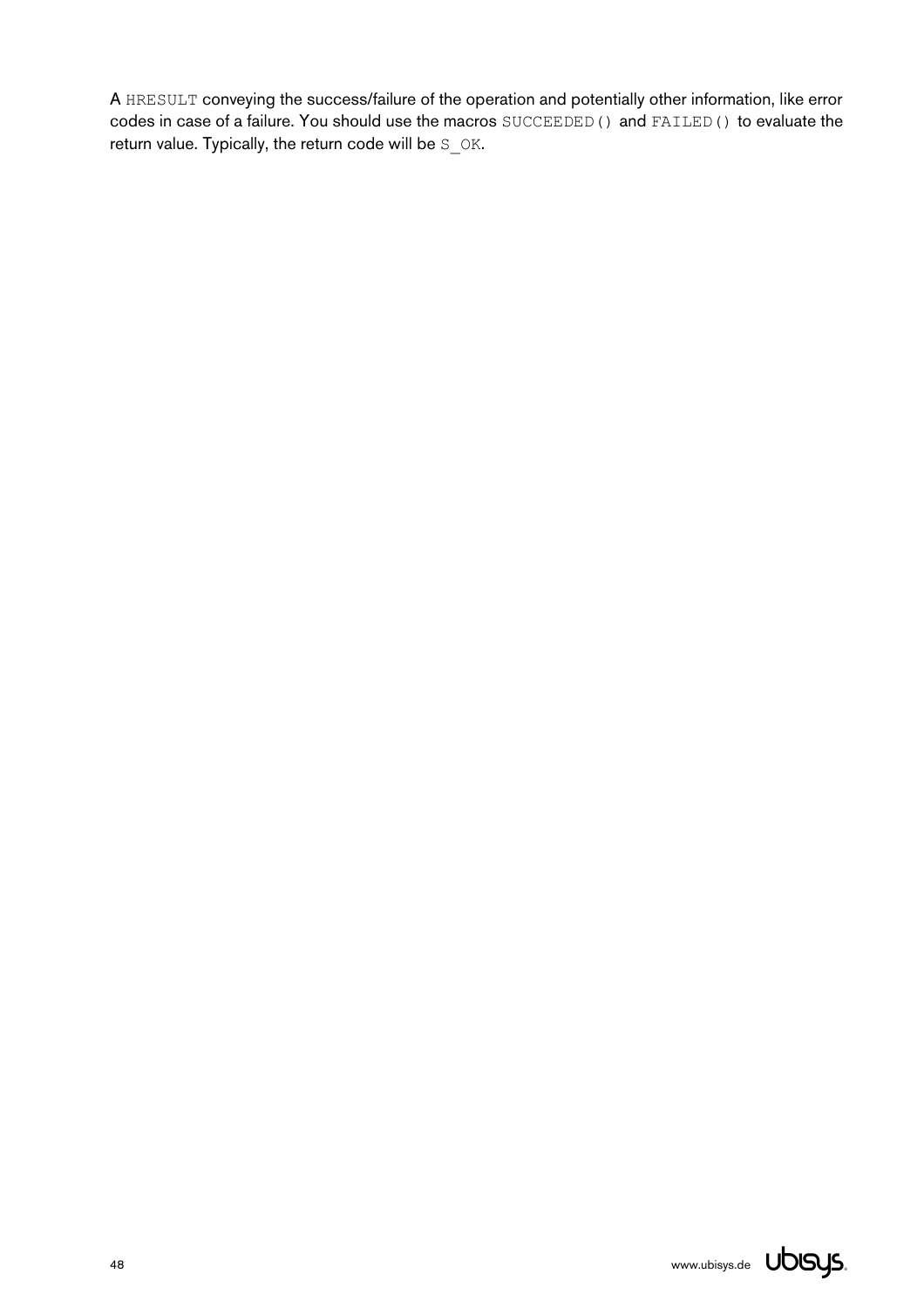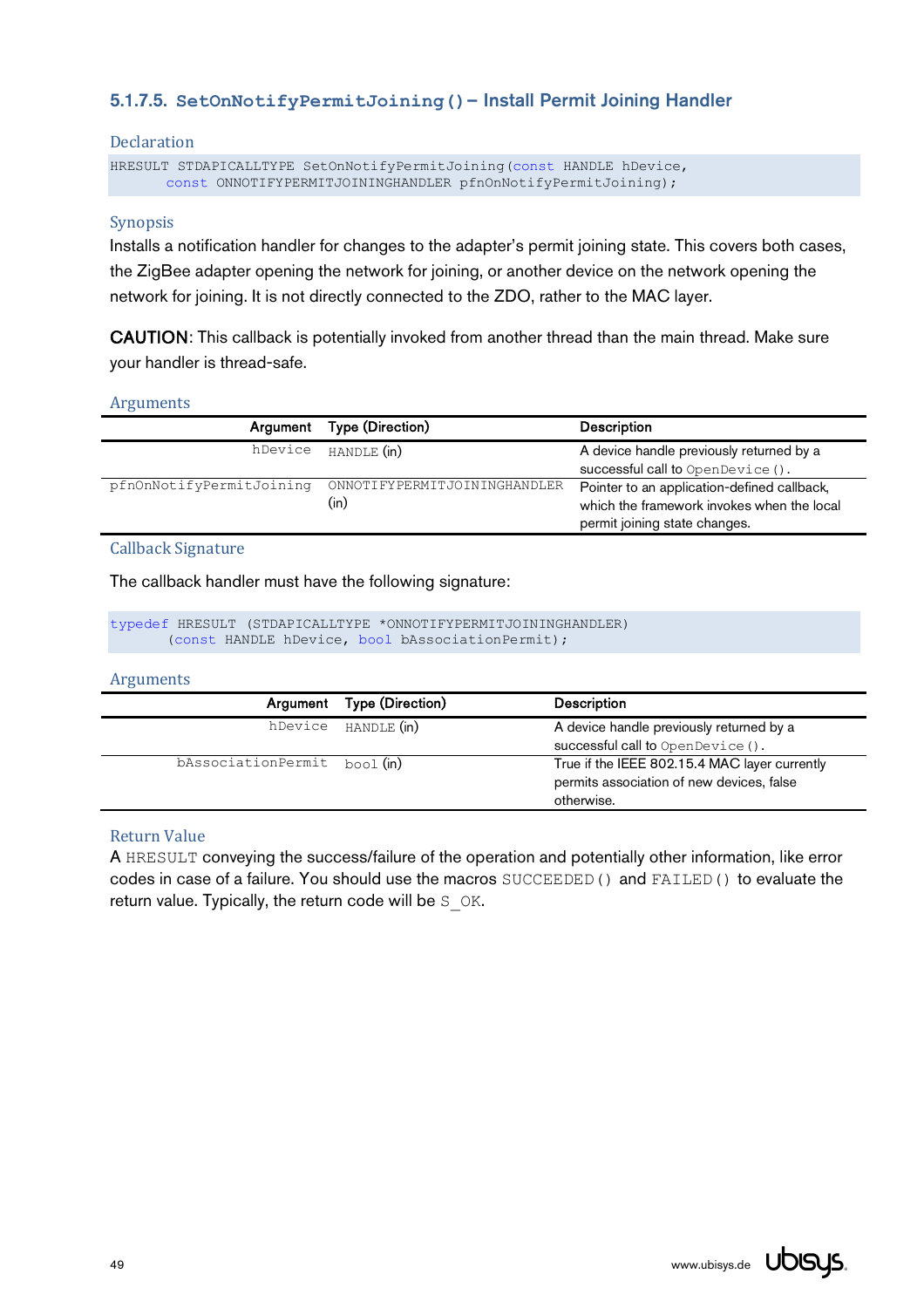# 5.1.7.5. **SetOnNotifyPermitJoining()**– Install Permit Joining Handler

#### Declaration

```
HRESULT STDAPICALLTYPE SetOnNotifyPermitJoining(const HANDLE hDevice,
      const ONNOTIFYPERMITJOININGHANDLER pfnOnNotifyPermitJoining);
```
## Synopsis

Installs a notification handler for changes to the adapter's permit joining state. This covers both cases, the ZigBee adapter opening the network for joining, or another device on the network opening the network for joining. It is not directly connected to the ZDO, rather to the MAC layer.

**CAUTION**: This callback is potentially invoked from another thread than the main thread. Make sure your handler is thread-safe.

# Arguments

| Argument                 | Type (Direction)             | <b>Description</b>                          |
|--------------------------|------------------------------|---------------------------------------------|
| hDevice                  | HANDLE (in)                  | A device handle previously returned by a    |
|                          |                              | successful call to OpenDevice ().           |
| pfnOnNotifyPermitJoining | ONNOTIFYPERMITJOININGHANDLER | Pointer to an application-defined callback, |
|                          | (in)                         | which the framework invokes when the local  |
|                          |                              | permit joining state changes.               |

## Callback Signature

The callback handler must have the following signature:

typedef HRESULT (STDAPICALLTYPE \*ONNOTIFYPERMITJOININGHANDLER) (const HANDLE hDevice, bool bAssociationPermit);

## Arguments

|                              | Argument Type (Direction) | <b>Description</b>                            |
|------------------------------|---------------------------|-----------------------------------------------|
| hDevice                      | HANDLE (in)               | A device handle previously returned by a      |
|                              |                           | successful call to OpenDevice().              |
| bAssociationPermit bool (in) |                           | True if the IEEE 802.15.4 MAC layer currently |
|                              |                           | permits association of new devices, false     |
|                              |                           | otherwise.                                    |
|                              |                           |                                               |

## Return Value

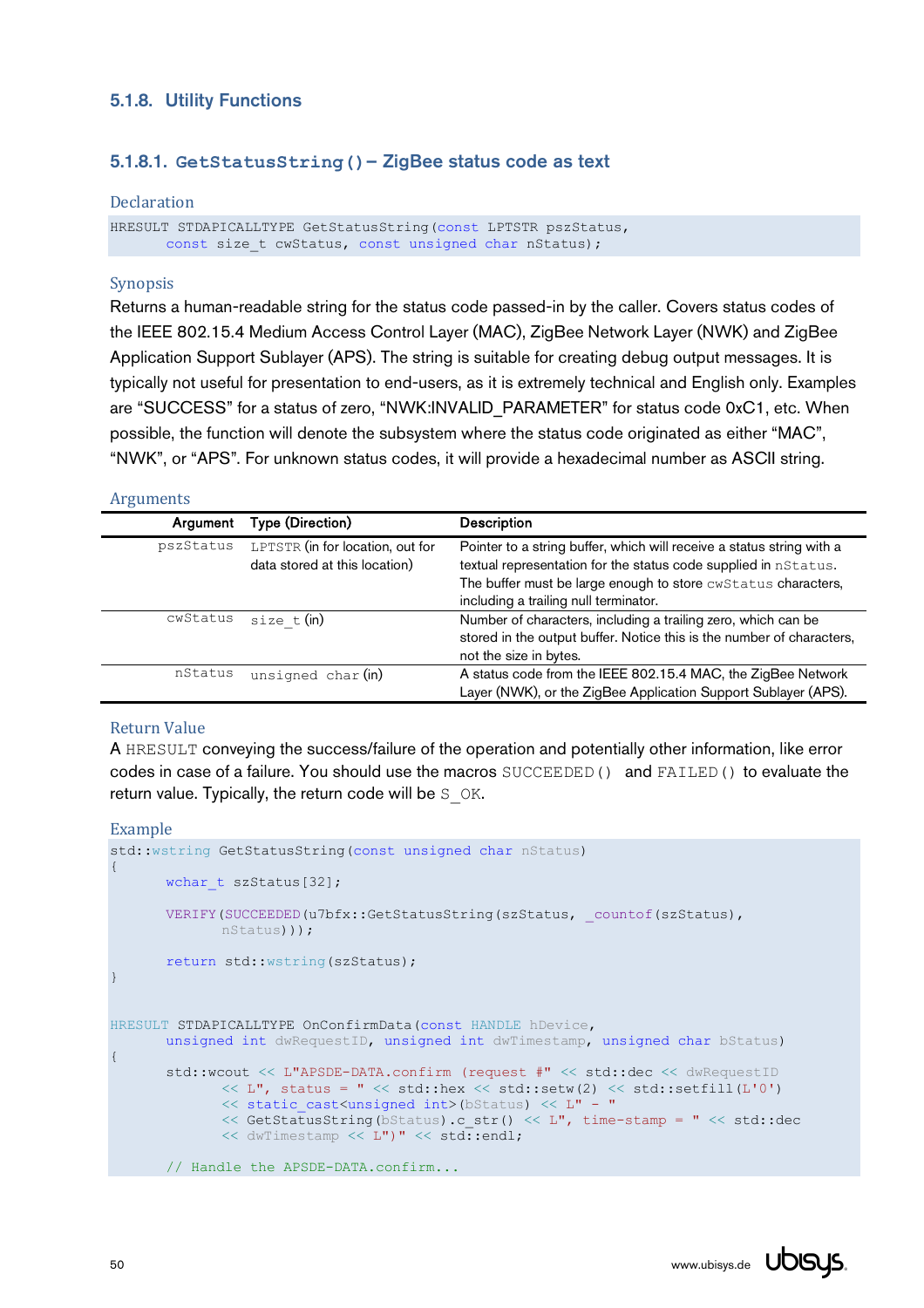# 5.1.8. Utility Functions

# 5.1.8.1. **GetStatusString()**– ZigBee status code as text

#### Declaration

HRESULT STDAPICALLTYPE GetStatusString(const LPTSTR pszStatus, const size\_t cwStatus, const unsigned char nStatus);

## Synopsis

Returns a human-readable string for the status code passed-in by the caller. Covers status codes of the IEEE 802.15.4 Medium Access Control Layer (MAC), ZigBee Network Layer (NWK) and ZigBee Application Support Sublayer (APS). The string is suitable for creating debug output messages. It is typically not useful for presentation to end-users, as it is extremely technical and English only. Examples are "SUCCESS" for a status of zero, "NWK:INVALID\_PARAMETER" for status code 0xC1, etc. When possible, the function will denote the subsystem where the status code originated as either "MAC", "NWK", or "APS". For unknown status codes, it will provide a hexadecimal number as ASCII string.

# Arguments

| Argument  | Type (Direction)                                                  | Description                                                                                                                                                                                                                                        |
|-----------|-------------------------------------------------------------------|----------------------------------------------------------------------------------------------------------------------------------------------------------------------------------------------------------------------------------------------------|
| pszStatus | LPTSTR (in for location, out for<br>data stored at this location) | Pointer to a string buffer, which will receive a status string with a<br>textual representation for the status code supplied in nStatus.<br>The buffer must be large enough to store cwStatus characters,<br>including a trailing null terminator. |
| cwStatus  | size $t$ (in)                                                     | Number of characters, including a trailing zero, which can be<br>stored in the output buffer. Notice this is the number of characters,<br>not the size in bytes.                                                                                   |
| nStatus   | unsigned $char(in)$                                               | A status code from the IEEE 802.15.4 MAC, the ZigBee Network<br>Layer (NWK), or the ZigBee Application Support Sublayer (APS).                                                                                                                     |

## Return Value

A HRESULT conveying the success/failure of the operation and potentially other information, like error codes in case of a failure. You should use the macros SUCCEEDED() and FAILED() to evaluate the return value. Typically, the return code will be  $S$  OK.

#### Example

```
std::wstring GetStatusString(const unsigned char nStatus)
{
      wchar t szStatus[32];
      VERIFY(SUCCEEDED(u7bfx::GetStatusString(szStatus, _countof(szStatus),
             nStatus)));
      return std::wstring(szStatus);
}
HRESULT STDAPICALLTYPE OnConfirmData(const HANDLE hDevice, 
      unsigned int dwRequestID, unsigned int dwTimestamp, unsigned char bStatus)
{
      std::wcout << L"APSDE-DATA.confirm (request #" << std::dec << dwRequestID
             << L", status = " << std::hex << std::setw(2) << std::setfill(L'0')
             << static cast<unsigned int>(bStatus) << L" - "
             << GetStatusString(bStatus).c_str() << L", time-stamp = " << std::dec
             << dwTimestamp << L")" << std::endl;
      // Handle the APSDE-DATA.confirm...
```
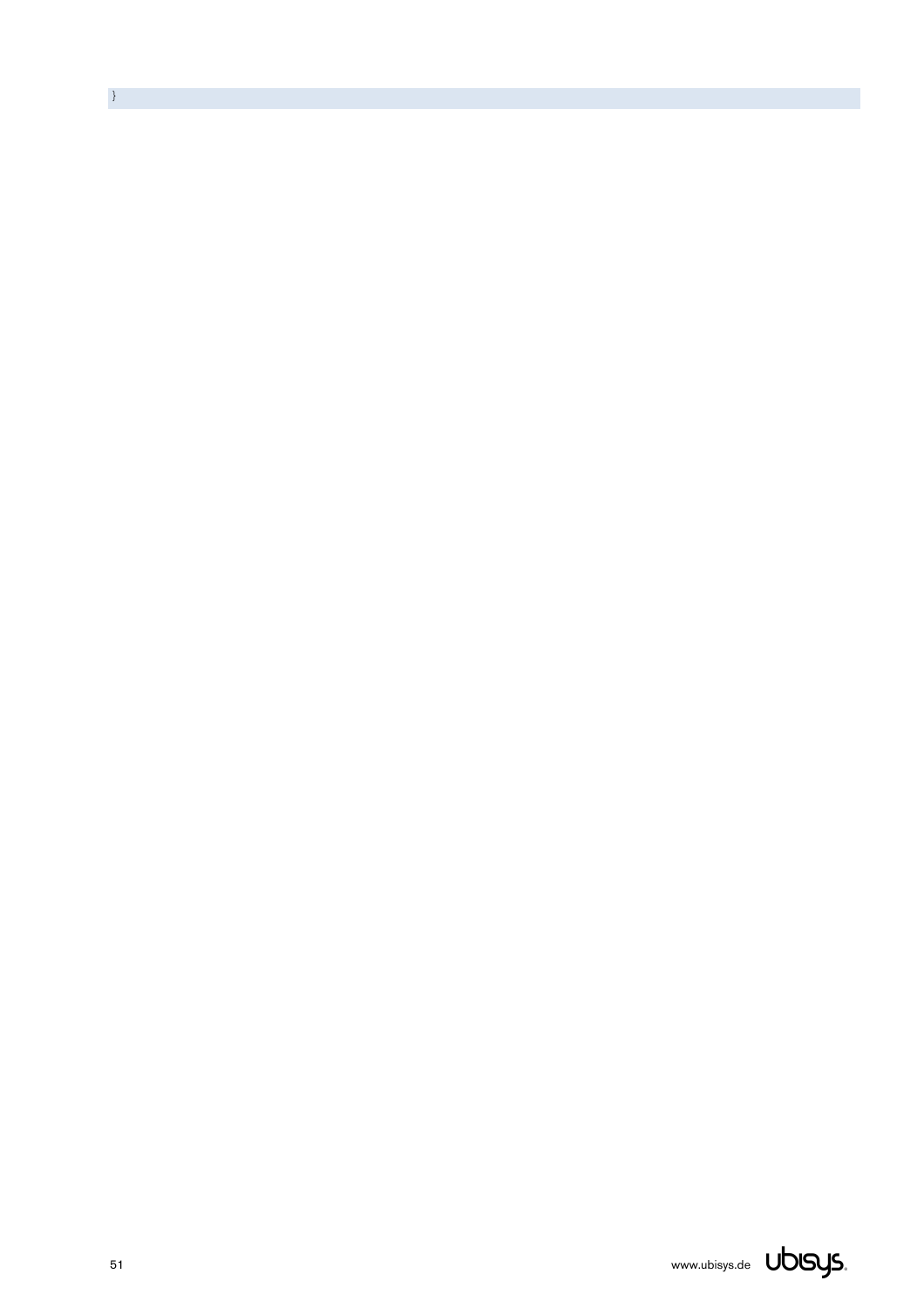

}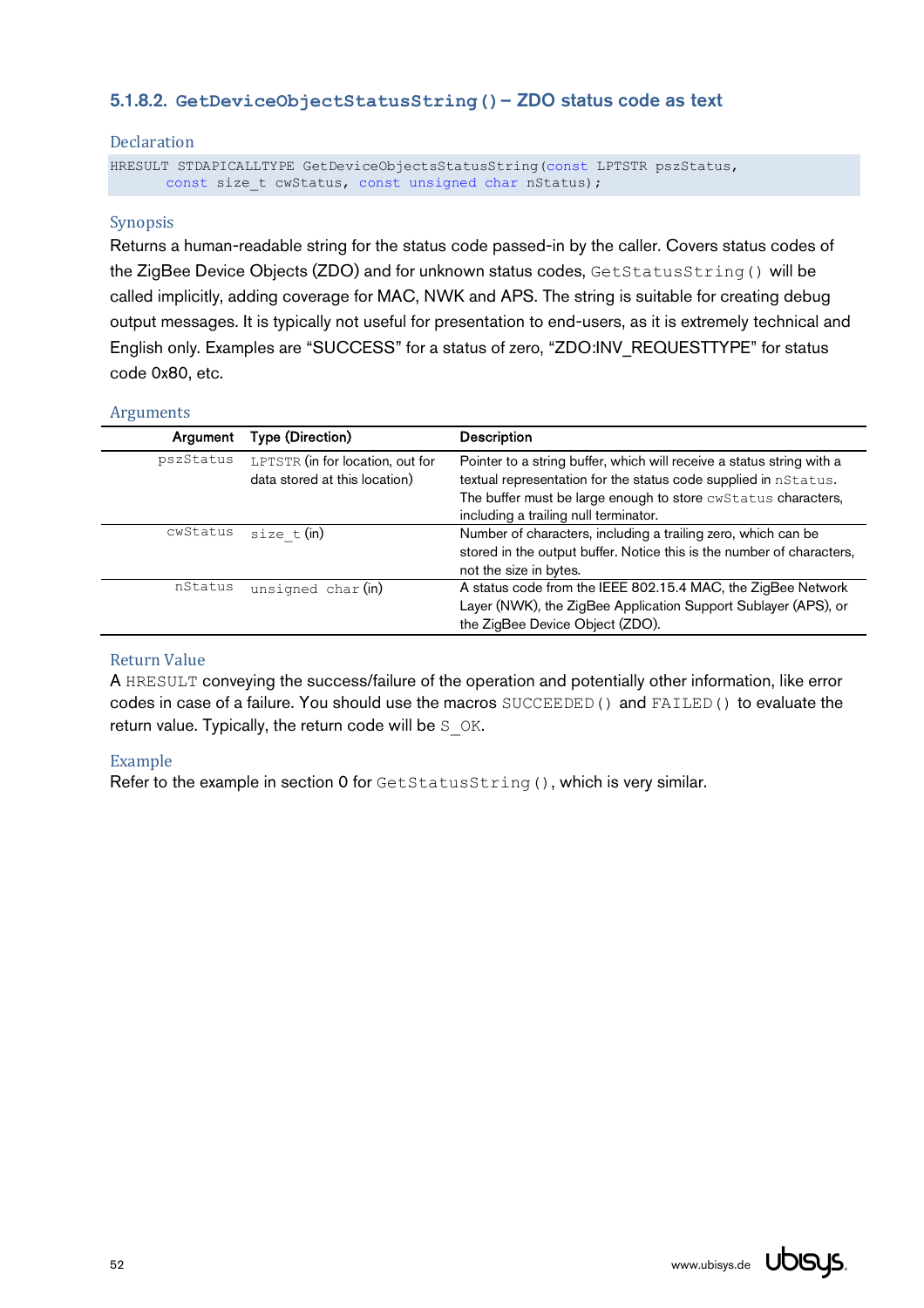# 5.1.8.2. **GetDeviceObjectStatusString()**– ZDO status code as text

#### Declaration

```
HRESULT STDAPICALLTYPE GetDeviceObjectsStatusString(const LPTSTR pszStatus,
      const size t cwStatus, const unsigned char nStatus);
```
# Synopsis

Returns a human-readable string for the status code passed-in by the caller. Covers status codes of the ZigBee Device Objects (ZDO) and for unknown status codes, GetStatusString() will be called implicitly, adding coverage for MAC, NWK and APS. The string is suitable for creating debug output messages. It is typically not useful for presentation to end-users, as it is extremely technical and English only. Examples are "SUCCESS" for a status of zero, "ZDO:INV\_REQUESTTYPE" for status code 0x80, etc.

# Arguments

| Argument  | Type (Direction)                                                  | <b>Description</b>                                                                                                                                                                                                                                 |
|-----------|-------------------------------------------------------------------|----------------------------------------------------------------------------------------------------------------------------------------------------------------------------------------------------------------------------------------------------|
| pszStatus | LPTSTR (in for location, out for<br>data stored at this location) | Pointer to a string buffer, which will receive a status string with a<br>textual representation for the status code supplied in nStatus.<br>The buffer must be large enough to store cwStatus characters,<br>including a trailing null terminator. |
| cwStatus  | size t(in)                                                        | Number of characters, including a trailing zero, which can be<br>stored in the output buffer. Notice this is the number of characters,<br>not the size in bytes.                                                                                   |
| nStatus   | unsigned $char(in)$                                               | A status code from the IEEE 802.15.4 MAC, the ZigBee Network<br>Layer (NWK), the ZigBee Application Support Sublayer (APS), or<br>the ZigBee Device Object (ZDO).                                                                                  |

# Return Value

A HRESULT conveying the success/failure of the operation and potentially other information, like error codes in case of a failure. You should use the macros SUCCEEDED() and FAILED() to evaluate the return value. Typically, the return code will be S\_OK.

## Example

Refer to the example in section 0 for GetStatusString(), which is very similar.

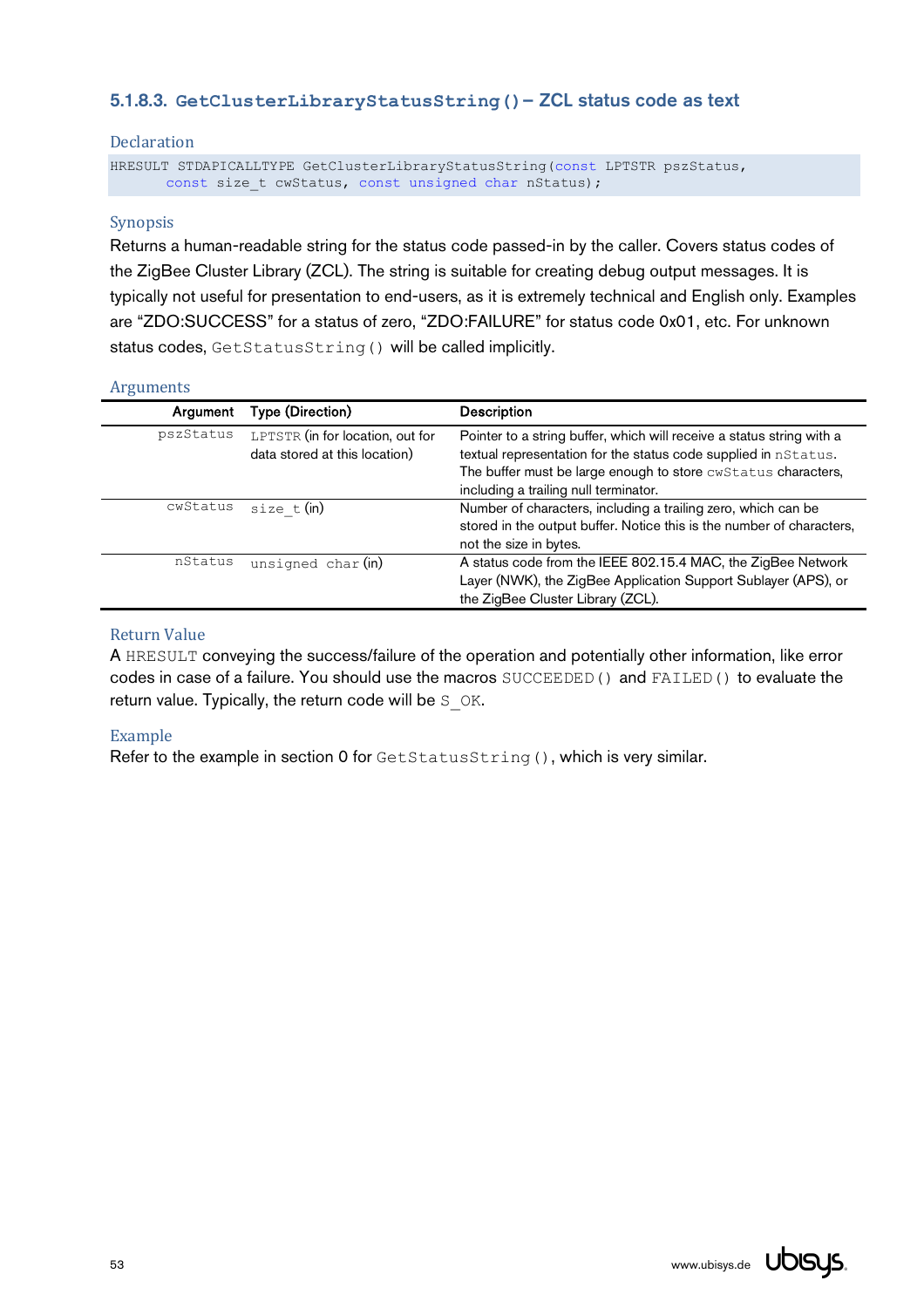# 5.1.8.3. **GetClusterLibraryStatusString()**– ZCL status code as text

#### Declaration

```
HRESULT STDAPICALLTYPE GetClusterLibraryStatusString(const LPTSTR pszStatus,
      const size t cwStatus, const unsigned char nStatus);
```
## Synopsis

Returns a human-readable string for the status code passed-in by the caller. Covers status codes of the ZigBee Cluster Library (ZCL). The string is suitable for creating debug output messages. It is typically not useful for presentation to end-users, as it is extremely technical and English only. Examples are "ZDO:SUCCESS" for a status of zero, "ZDO:FAILURE" for status code 0x01, etc. For unknown status codes, GetStatusString() will be called implicitly.

## Arguments

| Argument  | Type (Direction)                                                  | <b>Description</b>                                                                                                                                                                                        |
|-----------|-------------------------------------------------------------------|-----------------------------------------------------------------------------------------------------------------------------------------------------------------------------------------------------------|
| pszStatus | LPTSTR (in for location, out for<br>data stored at this location) | Pointer to a string buffer, which will receive a status string with a<br>textual representation for the status code supplied in nStatus.<br>The buffer must be large enough to store cwStatus characters, |
|           |                                                                   | including a trailing null terminator.                                                                                                                                                                     |
| cwStatus  | size $t$ (in)                                                     | Number of characters, including a trailing zero, which can be<br>stored in the output buffer. Notice this is the number of characters,<br>not the size in bytes.                                          |
| nStatus   | unsigned $char(in)$                                               | A status code from the IEEE 802.15.4 MAC, the ZigBee Network<br>Layer (NWK), the ZigBee Application Support Sublayer (APS), or<br>the ZigBee Cluster Library (ZCL).                                       |

## Return Value

A HRESULT conveying the success/failure of the operation and potentially other information, like error codes in case of a failure. You should use the macros SUCCEEDED() and FAILED() to evaluate the return value. Typically, the return code will be S OK.

## Example

Refer to the example in section 0 for GetStatusString(), which is very similar.

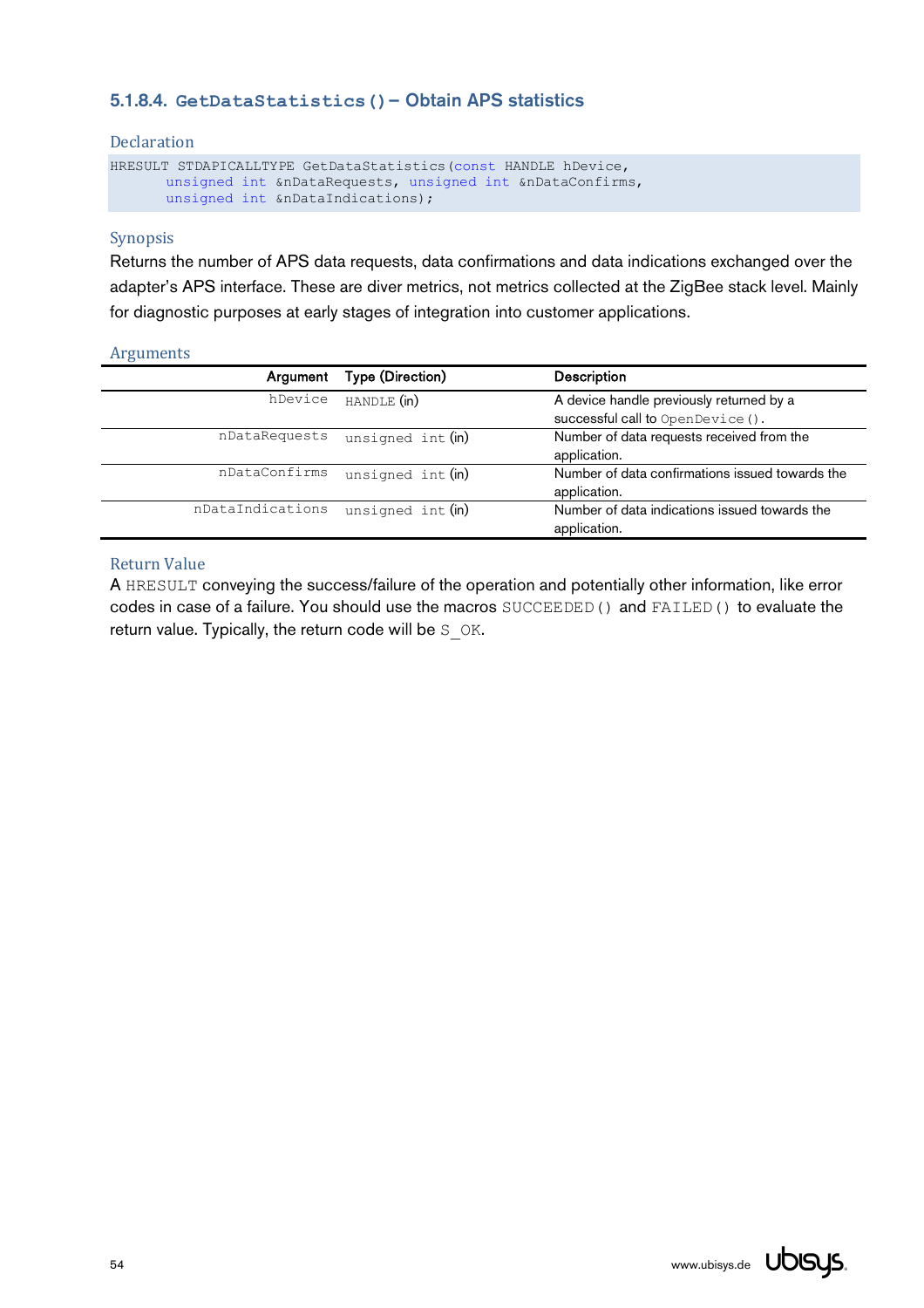# 5.1.8.4. **GetDataStatistics()**– Obtain APS statistics

#### Declaration

```
HRESULT STDAPICALLTYPE GetDataStatistics(const HANDLE hDevice,
      unsigned int &nDataRequests, unsigned int &nDataConfirms, 
      unsigned int &nDataIndications);
```
#### Synopsis

Returns the number of APS data requests, data confirmations and data indications exchanged over the adapter's APS interface. These are diver metrics, not metrics collected at the ZigBee stack level. Mainly for diagnostic purposes at early stages of integration into customer applications.

#### Arguments

| Argument         | Type (Direction)  | <b>Description</b>                                                            |
|------------------|-------------------|-------------------------------------------------------------------------------|
| hDevice          | HANDLE (in)       | A device handle previously returned by a                                      |
| nDataRequests    | unsigned int (in) | successful call to OpenDevice().<br>Number of data requests received from the |
|                  |                   | application.                                                                  |
| nDataConfirms    | unsigned int (in) | Number of data confirmations issued towards the<br>application.               |
| nDataIndications | unsigned int (in) | Number of data indications issued towards the<br>application.                 |

# Return Value

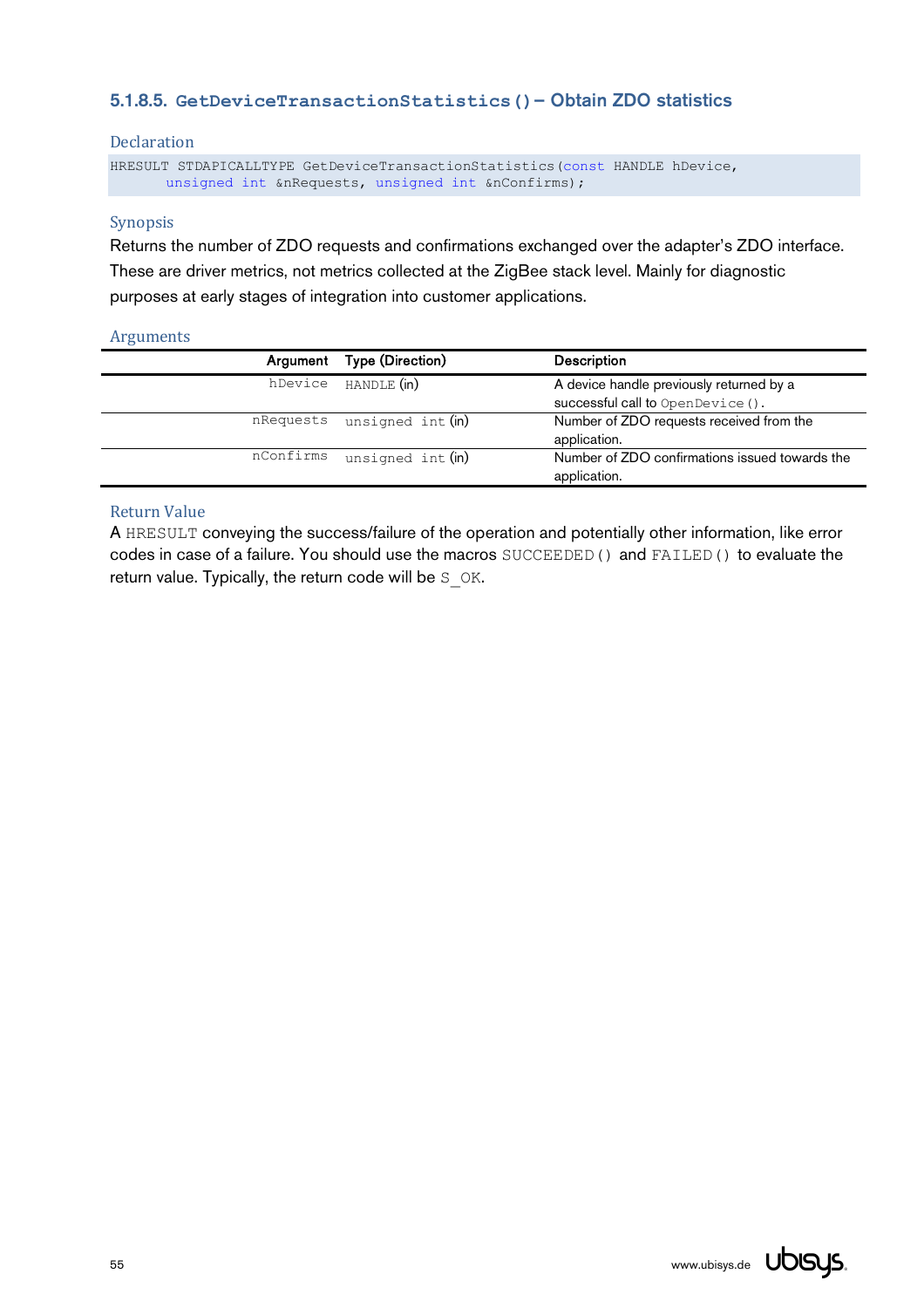# 5.1.8.5. **GetDeviceTransactionStatistics()**– Obtain ZDO statistics

#### Declaration

```
HRESULT STDAPICALLTYPE GetDeviceTransactionStatistics(const HANDLE hDevice,
      unsigned int &nRequests, unsigned int &nConfirms);
```
## Synopsis

Returns the number of ZDO requests and confirmations exchanged over the adapter's ZDO interface. These are driver metrics, not metrics collected at the ZigBee stack level. Mainly for diagnostic purposes at early stages of integration into customer applications.

## Arguments

| Argument  | Type (Direction)  | <b>Description</b>                             |
|-----------|-------------------|------------------------------------------------|
| hDevice   | HANDLE (in)       | A device handle previously returned by a       |
|           |                   | successful call to OpenDevice().               |
| nRequests | unsigned int (in) | Number of ZDO requests received from the       |
|           |                   | application.                                   |
| nConfirms | unsigned int (in) | Number of ZDO confirmations issued towards the |
|           |                   | application.                                   |

# Return Value

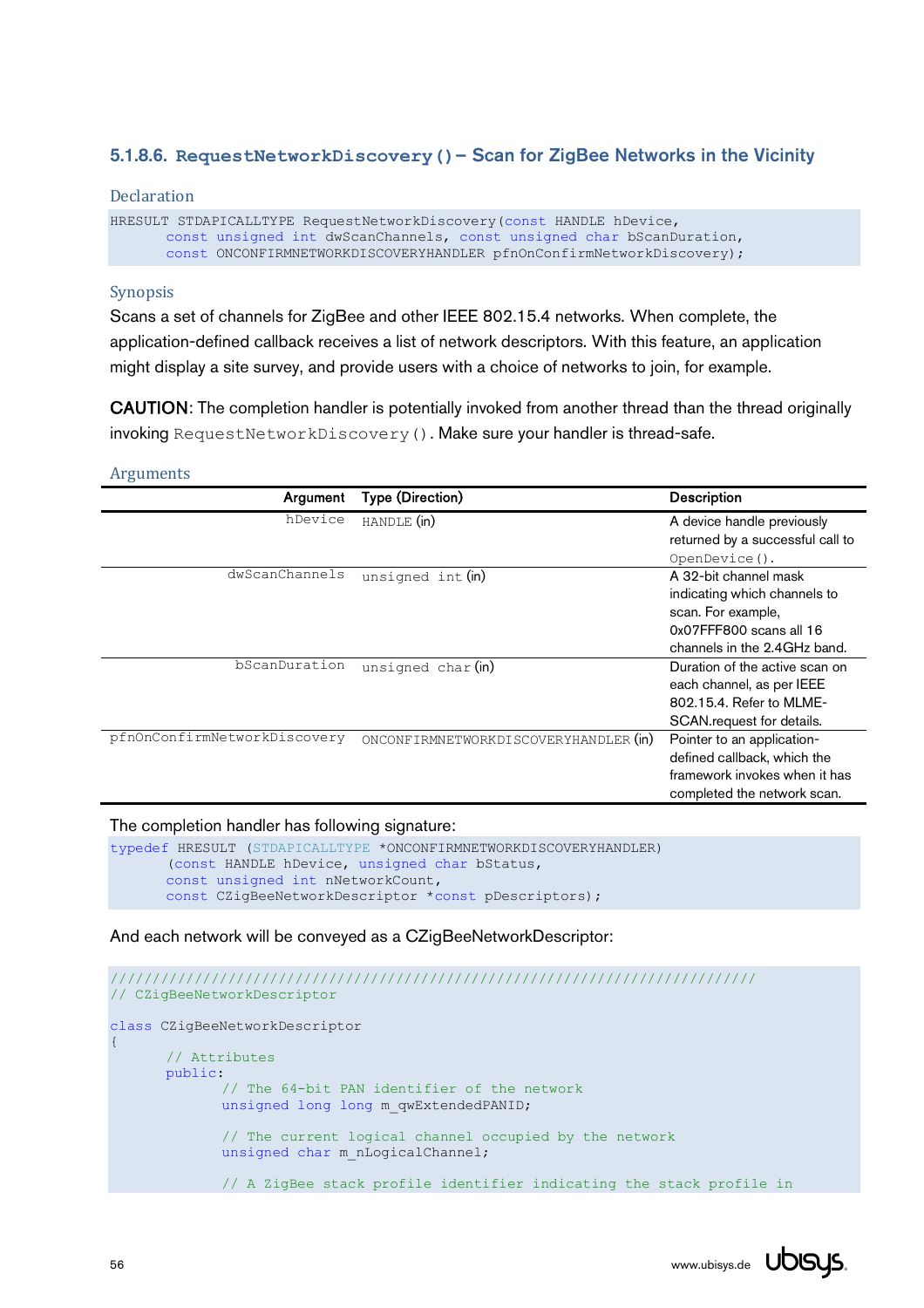# 5.1.8.6. **RequestNetworkDiscovery()**– Scan for ZigBee Networks in the Vicinity

### Declaration

HRESULT STDAPICALLTYPE RequestNetworkDiscovery(const HANDLE hDevice, const unsigned int dwScanChannels, const unsigned char bScanDuration, const ONCONFIRMNETWORKDISCOVERYHANDLER pfnOnConfirmNetworkDiscovery);

#### Synopsis

Scans a set of channels for ZigBee and other IEEE 802.15.4 networks. When complete, the application-defined callback receives a list of network descriptors. With this feature, an application might display a site survey, and provide users with a choice of networks to join, for example.

**CAUTION**: The completion handler is potentially invoked from another thread than the thread originally invoking RequestNetworkDiscovery(). Make sure your handler is thread-safe.

#### Arguments

| Argument                     | <b>Type (Direction)</b>               | <b>Description</b>                                                                                                        |
|------------------------------|---------------------------------------|---------------------------------------------------------------------------------------------------------------------------|
| hDevice                      | HANDLE (in)                           | A device handle previously<br>returned by a successful call to                                                            |
|                              |                                       | OpenDevice().                                                                                                             |
| dwScanChannels               | unsigned int (in)                     | A 32-bit channel mask<br>indicating which channels to                                                                     |
|                              |                                       | scan. For example,<br>0x07FFF800 scans all 16<br>channels in the 2.4GHz band.                                             |
| bScanDuration                | unsigned $char(in)$                   | Duration of the active scan on<br>each channel, as per IEEE<br>802.15.4. Refer to MLME-<br>SCAN request for details.      |
| pfnOnConfirmNetworkDiscovery | ONCONFIRMNETWORKDISCOVERYHANDLER (in) | Pointer to an application-<br>defined callback, which the<br>framework invokes when it has<br>completed the network scan. |

#### The completion handler has following signature:

typedef HRESULT (STDAPICALLTYPE \*ONCONFIRMNETWORKDISCOVERYHANDLER) (const HANDLE hDevice, unsigned char bStatus, const unsigned int nNetworkCount, const CZigBeeNetworkDescriptor \*const pDescriptors);

And each network will be conveyed as a CZigBeeNetworkDescriptor:

```
/////////////////////////////////////////////////////////////////////////////
// CZigBeeNetworkDescriptor
class CZigBeeNetworkDescriptor
{
      // Attributes
      public:
             // The 64-bit PAN identifier of the network
             unsigned long long m qwExtendedPANID;
             // The current logical channel occupied by the network
             unsigned char m nLogicalChannel;
             // A ZigBee stack profile identifier indicating the stack profile in
```
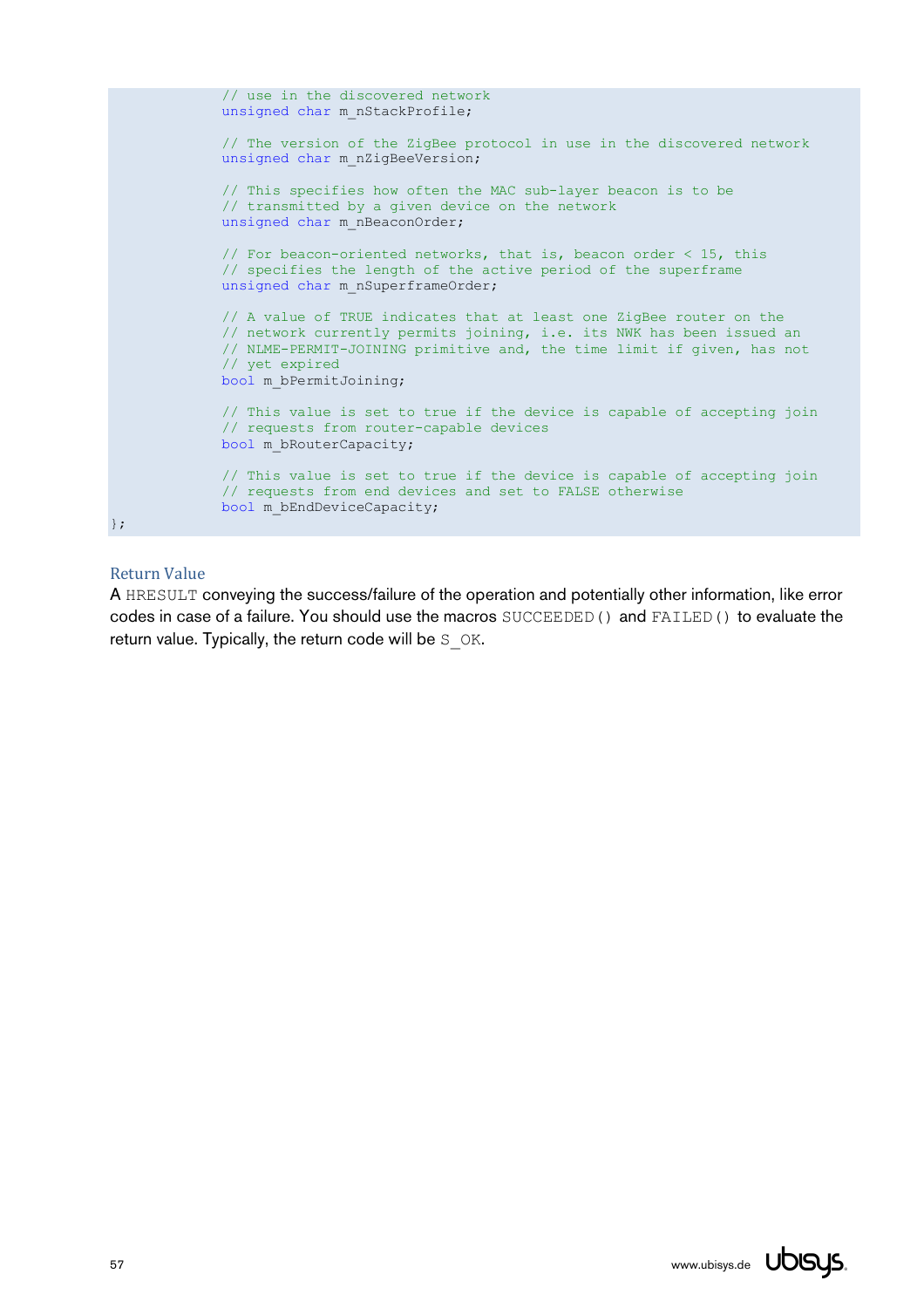```
// use in the discovered network
             unsigned char m nStackProfile;
             // The version of the ZigBee protocol in use in the discovered network
             unsigned char m_nZigBeeVersion;
             // This specifies how often the MAC sub-layer beacon is to be
             // transmitted by a given device on the network
             unsigned char m_nBeaconOrder;
             // For beacon-oriented networks, that is, beacon order < 15, this
             // specifies the length of the active period of the superframe
             unsigned char m_nSuperframeOrder;
             // A value of TRUE indicates that at least one ZigBee router on the
             // network currently permits joining, i.e. its NWK has been issued an
             // NLME-PERMIT-JOINING primitive and, the time limit if given, has not
             // yet expired
             bool m bPermitJoining;
             // This value is set to true if the device is capable of accepting join
             // requests from router-capable devices
             bool m bRouterCapacity;
             // This value is set to true if the device is capable of accepting join
             // requests from end devices and set to FALSE otherwise
             bool m bEndDeviceCapacity;
};
```
# Return Value

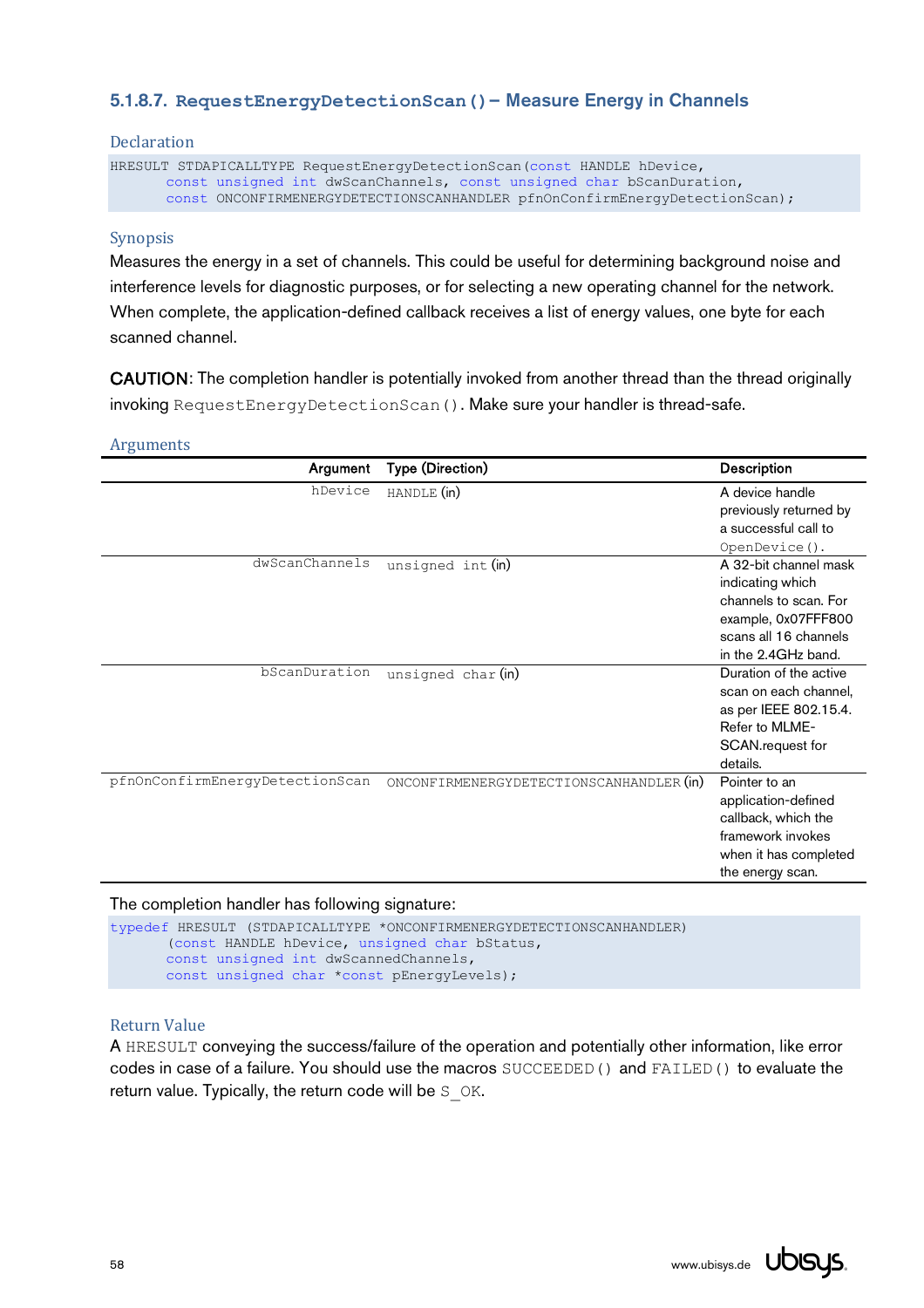# 5.1.8.7. **RequestEnergyDetectionScan()**– Measure Energy in Channels

#### Declaration

```
HRESULT STDAPICALLTYPE RequestEnergyDetectionScan(const HANDLE hDevice,
      const unsigned int dwScanChannels, const unsigned char bScanDuration,
      const ONCONFIRMENERGYDETECTIONSCANHANDLER pfnOnConfirmEnergyDetectionScan);
```
#### Synopsis

Measures the energy in a set of channels. This could be useful for determining background noise and interference levels for diagnostic purposes, or for selecting a new operating channel for the network. When complete, the application-defined callback receives a list of energy values, one byte for each scanned channel.

**CAUTION**: The completion handler is potentially invoked from another thread than the thread originally invoking RequestEnergyDetectionScan(). Make sure your handler is thread-safe.

#### Arguments

| Argument                        | <b>Type (Direction)</b>                  | Description                                                                                                                               |
|---------------------------------|------------------------------------------|-------------------------------------------------------------------------------------------------------------------------------------------|
| hDevice                         | HANDLE (in)                              | A device handle<br>previously returned by<br>a successful call to<br>OpenDevice().                                                        |
| dwScanChannels                  | unsigned int (in)                        | A 32-bit channel mask<br>indicating which<br>channels to scan. For<br>example, 0x07FFF800<br>scans all 16 channels<br>in the 2.4GHz band. |
| bScanDuration                   | unsigned char (in)                       | Duration of the active<br>scan on each channel,<br>as per IEEE 802.15.4.<br>Refer to MLMF-<br>SCAN.request for<br>details.                |
| pfnOnConfirmEnergyDetectionScan | ONCONFIRMENERGYDETECTIONSCANHANDLER (in) | Pointer to an<br>application-defined<br>callback, which the<br>framework invokes<br>when it has completed<br>the energy scan.             |

The completion handler has following signature:

typedef HRESULT (STDAPICALLTYPE \*ONCONFIRMENERGYDETECTIONSCANHANDLER) (const HANDLE hDevice, unsigned char bStatus, const unsigned int dwScannedChannels, const unsigned char \*const pEnergyLevels);

## Return Value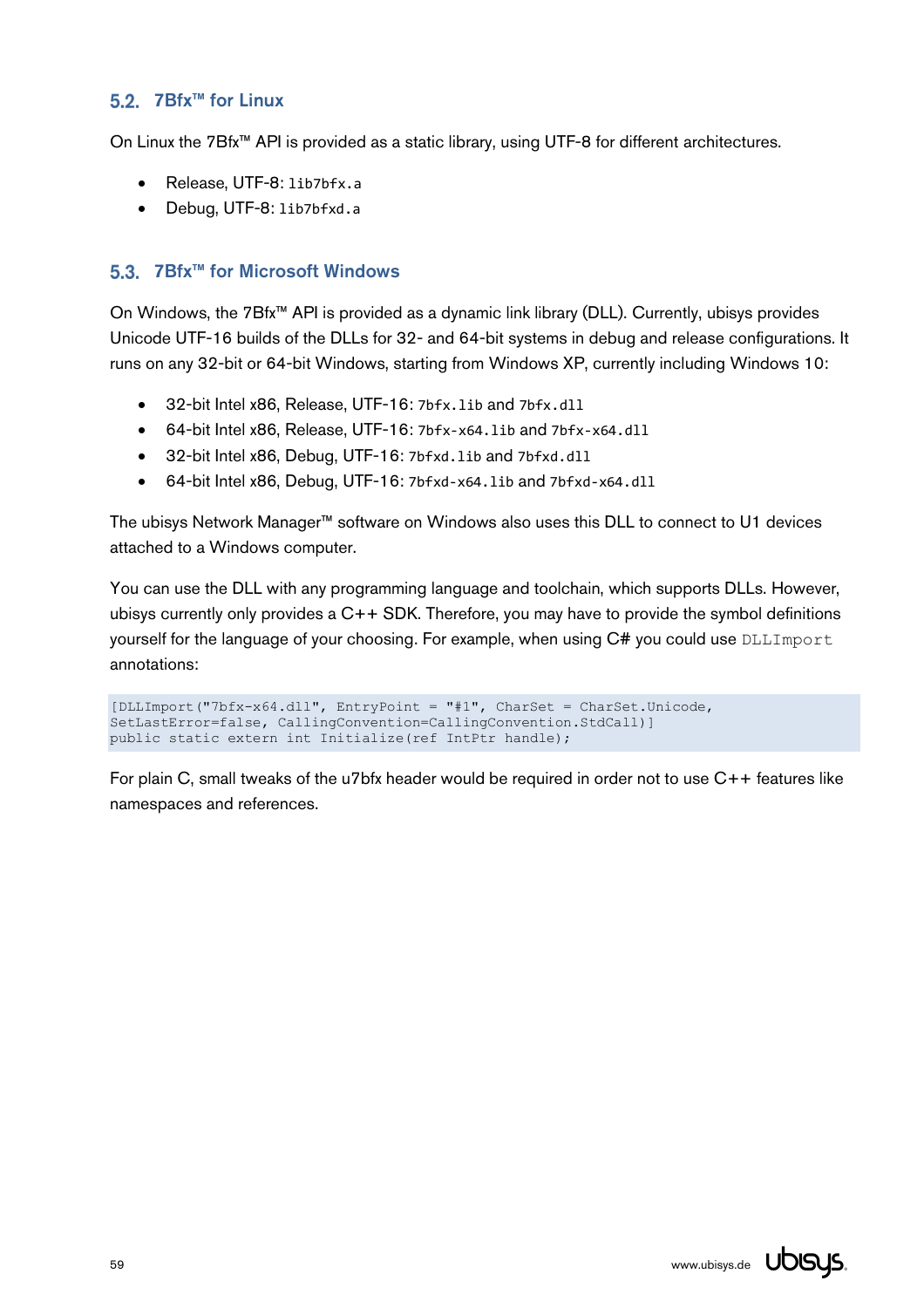# 5.2. 7Bfx<sup>™</sup> for Linux

On Linux the 7Bfx™ API is provided as a static library, using UTF-8 for different architectures.

- Release, UTF-8: lib7bfx.a
- Debug, UTF-8: lib7bfxd.a

# 5.3. 7Bfx<sup>™</sup> for Microsoft Windows

On Windows, the 7Bfx™ API is provided as a dynamic link library (DLL). Currently, ubisys provides Unicode UTF-16 builds of the DLLs for 32- and 64-bit systems in debug and release configurations. It runs on any 32-bit or 64-bit Windows, starting from Windows XP, currently including Windows 10:

- 32-bit Intel x86, Release, UTF-16: 7bfx.lib and 7bfx.dll
- 64-bit Intel x86, Release, UTF-16: 7bfx-x64.lib and 7bfx-x64.dll
- 32-bit Intel x86, Debug, UTF-16: 7bfxd.lib and 7bfxd.dll
- 64-bit Intel x86, Debug, UTF-16: 7bfxd-x64.lib and 7bfxd-x64.dll

The ubisys Network Manager™ software on Windows also uses this DLL to connect to U1 devices attached to a Windows computer.

You can use the DLL with any programming language and toolchain, which supports DLLs. However, ubisys currently only provides a  $C++$  SDK. Therefore, you may have to provide the symbol definitions yourself for the language of your choosing. For example, when using C# you could use DLLImport annotations:

```
[DLLImport("7bfx-x64.dll", EntryPoint = "#1", CharSet = CharSet.Unicode,
SetLastError=false, CallingConvention=CallingConvention.StdCall)]
public static extern int Initialize(ref IntPtr handle);
```
For plain C, small tweaks of the u7bfx header would be required in order not to use C++ features like namespaces and references.

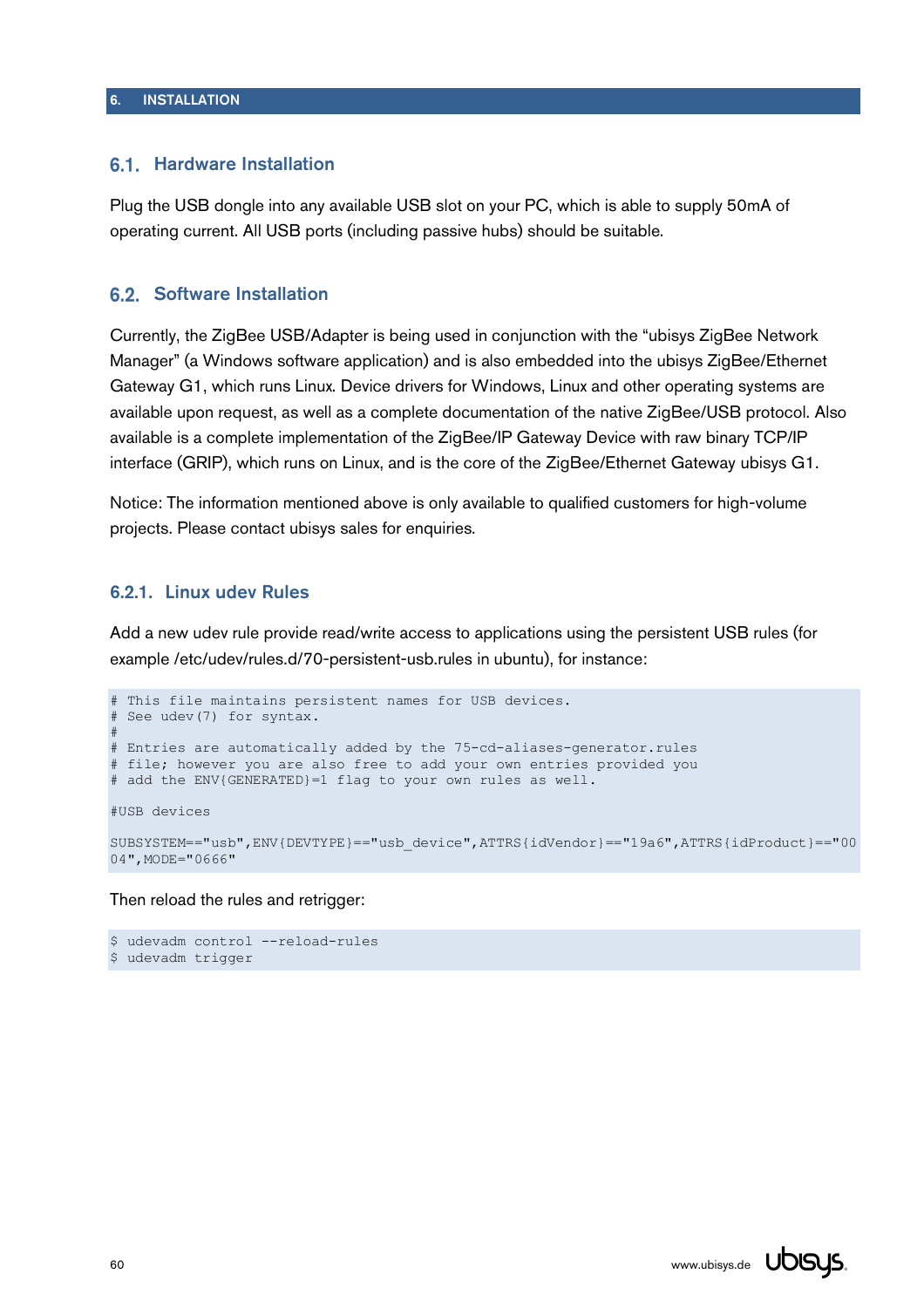# 6.1. Hardware Installation

Plug the USB dongle into any available USB slot on your PC, which is able to supply 50mA of operating current. All USB ports (including passive hubs) should be suitable.

## 6.2. Software Installation

Currently, the ZigBee USB/Adapter is being used in conjunction with the "ubisys ZigBee Network Manager" (a Windows software application) and is also embedded into the ubisys ZigBee/Ethernet Gateway G1, which runs Linux. Device drivers for Windows, Linux and other operating systems are available upon request, as well as a complete documentation of the native ZigBee/USB protocol. Also available is a complete implementation of the ZigBee/IP Gateway Device with raw binary TCP/IP interface (GRIP), which runs on Linux, and is the core of the ZigBee/Ethernet Gateway ubisys G1.

Notice: The information mentioned above is only available to qualified customers for high-volume projects. Please contact ubisys sales for enquiries.

## 6.2.1. Linux udev Rules

Add a new udev rule provide read/write access to applications using the persistent USB rules (for example /etc/udev/rules.d/70-persistent-usb.rules in ubuntu), for instance:

```
# This file maintains persistent names for USB devices.
# See udev(7) for syntax.
#
# Entries are automatically added by the 75-cd-aliases-generator.rules
# file; however you are also free to add your own entries provided you
# add the ENV{GENERATED}=1 flag to your own rules as well.
#USB devices
```

```
SUBSYSTEM=="usb",ENV{DEVTYPE}=="usb_device",ATTRS{idVendor}=="19a6",ATTRS{idProduct}=="00
04", MODE="0666"
```
Then reload the rules and retrigger:

```
$ udevadm control --reload-rules
$ udevadm trigger
```
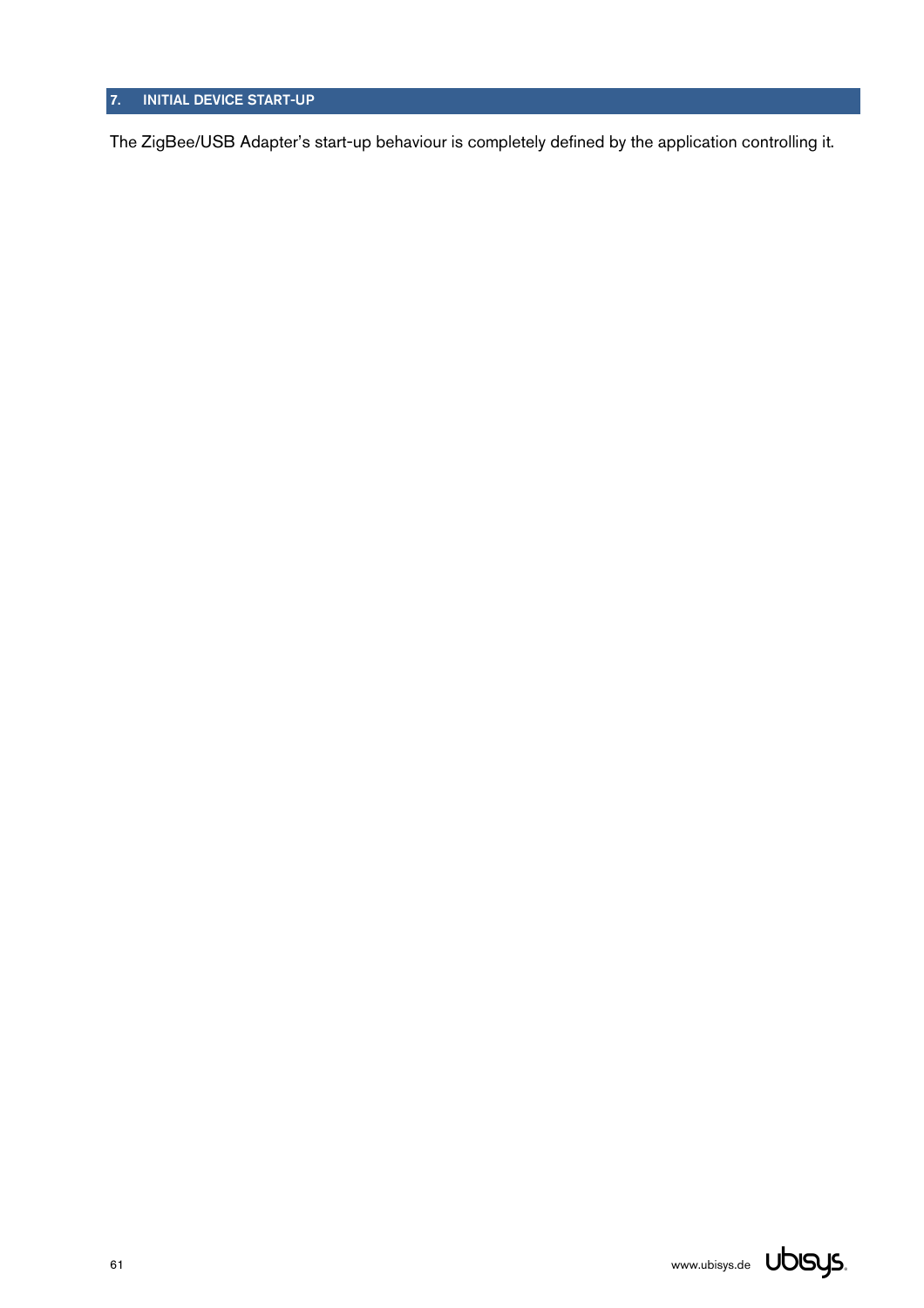# 7. INITIAL DEVICE START-UP

The ZigBee/USB Adapter's start-up behaviour is completely defined by the application controlling it.

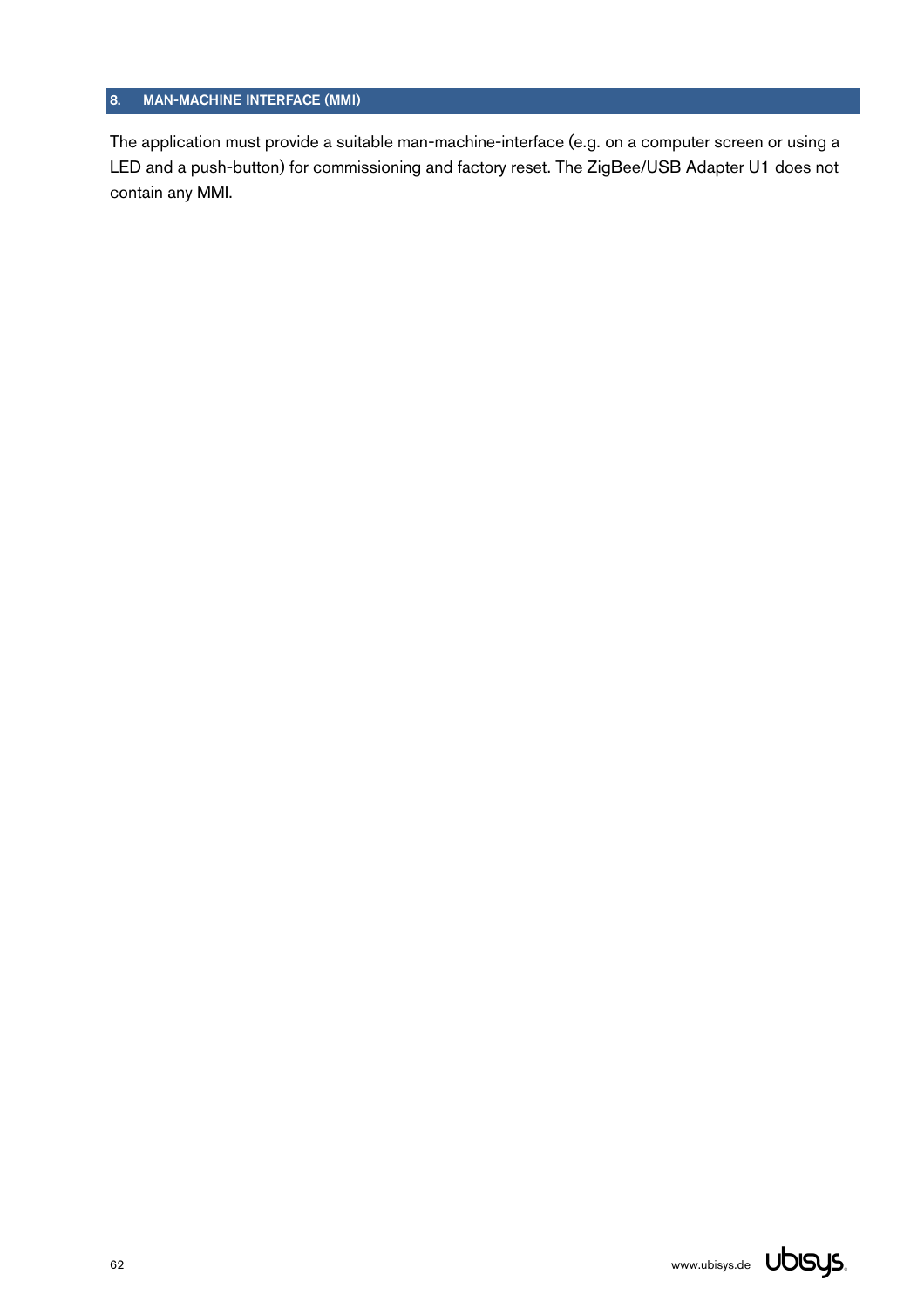# 8. MAN-MACHINE INTERFACE (MMI)

The application must provide a suitable man-machine-interface (e.g. on a computer screen or using a LED and a push-button) for commissioning and factory reset. The ZigBee/USB Adapter U1 does not contain any MMI.

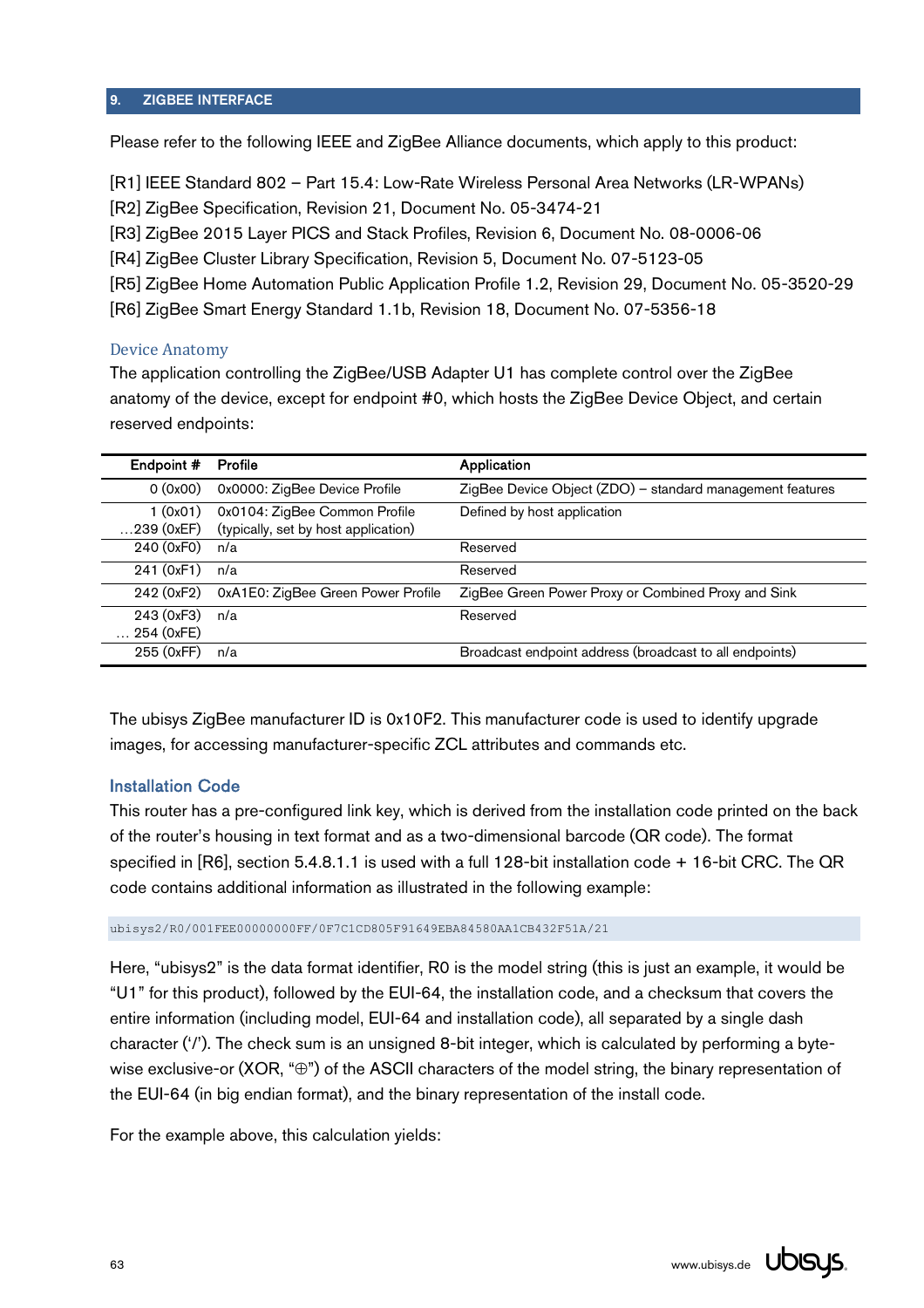## 9. ZIGBEE INTERFACE

Please refer to the following IEEE and ZigBee Alliance documents, which apply to this product:

[R1] IEEE Standard 802 – Part 15.4: Low-Rate Wireless Personal Area Networks (LR-WPANs)

[R2] ZigBee Specification, Revision 21, Document No. 05-3474-21

[R3] ZigBee 2015 Layer PICS and Stack Profiles, Revision 6, Document No. 08-0006-06

[R4] ZigBee Cluster Library Specification, Revision 5, Document No. 07-5123-05

[R5] ZigBee Home Automation Public Application Profile 1.2, Revision 29, Document No. 05-3520-29

[R6] ZigBee Smart Energy Standard 1.1b, Revision 18, Document No. 07-5356-18

# Device Anatomy

The application controlling the ZigBee/USB Adapter U1 has complete control over the ZigBee anatomy of the device, except for endpoint #0, which hosts the ZigBee Device Object, and certain reserved endpoints:

| Endpoint #          | Profile                              | Application                                               |
|---------------------|--------------------------------------|-----------------------------------------------------------|
| 0(0x00)             | 0x0000: ZigBee Device Profile        | ZigBee Device Object (ZDO) - standard management features |
| 1(0x01)             | 0x0104: ZigBee Common Profile        | Defined by host application                               |
| 239(0xEF)           | (typically, set by host application) |                                                           |
| 240 (0xF0)          | n/a                                  | Reserved                                                  |
| 241 (0xF1)          | n/a                                  | Reserved                                                  |
| 242 (0xF2)          | 0xA1E0: ZigBee Green Power Profile   | ZigBee Green Power Proxy or Combined Proxy and Sink       |
| 243 (0xF3)          | n/a                                  | Reserved                                                  |
| $\ldots$ 254 (OxFE) |                                      |                                                           |
| 255 (0xFF)          | n/a                                  | Broadcast endpoint address (broadcast to all endpoints)   |

The ubisys ZigBee manufacturer ID is 0x10F2. This manufacturer code is used to identify upgrade images, for accessing manufacturer-specific ZCL attributes and commands etc.

# **Installation Code**

This router has a pre-configured link key, which is derived from the installation code printed on the back of the router's housing in text format and as a two-dimensional barcode (QR code). The format specified in [R6], section 5.4.8.1.1 is used with a full 128-bit installation code + 16-bit CRC. The QR code contains additional information as illustrated in the following example:

ubisys2/R0/001FEE00000000FF/0F7C1CD805F91649EBA84580AA1CB432F51A/21

Here, "ubisys2" is the data format identifier, R0 is the model string (this is just an example, it would be "U1" for this product), followed by the EUI-64, the installation code, and a checksum that covers the entire information (including model, EUI-64 and installation code), all separated by a single dash character ('/'). The check sum is an unsigned 8-bit integer, which is calculated by performing a bytewise exclusive-or  $(XOR, " $\oplus$ ") of the ASCII characters of the model string, the binary representation of$ the EUI-64 (in big endian format), and the binary representation of the install code.

For the example above, this calculation yields: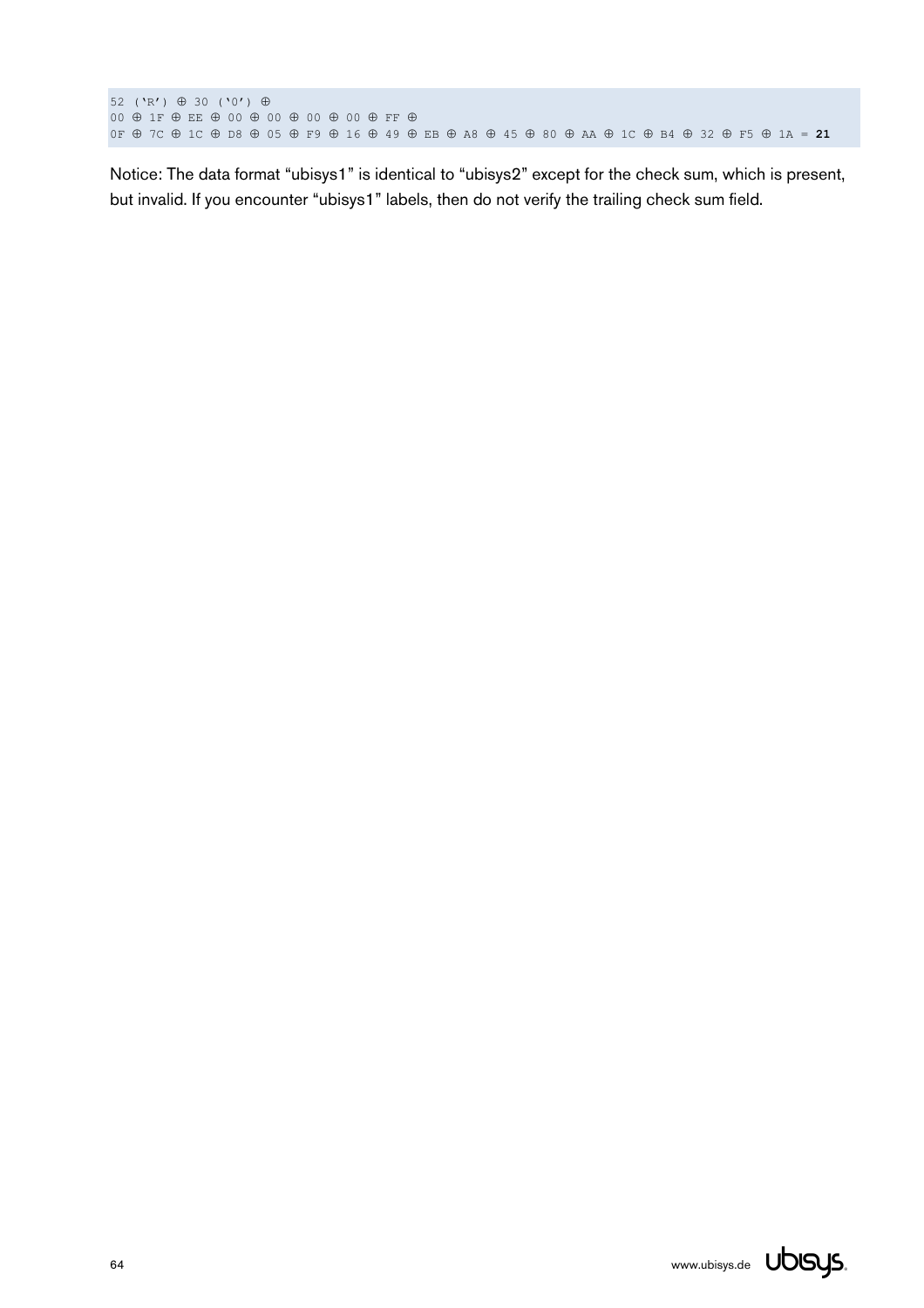52 ('R')  $\oplus$  30 ('0')  $\oplus$ 00  $\oplus$  1F  $\oplus$  EE  $\oplus$  00  $\oplus$  00  $\oplus$  00  $\oplus$  00  $\oplus$  FF  $\oplus$ OF  $\oplus$  7C  $\oplus$  1C  $\oplus$  D8  $\oplus$  05  $\oplus$  F9  $\oplus$  16  $\oplus$  49  $\oplus$  EB  $\oplus$  A8  $\oplus$  45  $\oplus$  80  $\oplus$  AA  $\oplus$  1C  $\oplus$  B4  $\oplus$  32  $\oplus$  F5  $\oplus$  1A = **21** 

Notice: The data format "ubisys1" is identical to "ubisys2" except for the check sum, which is present, but invalid. If you encounter "ubisys1" labels, then do not verify the trailing check sum field.

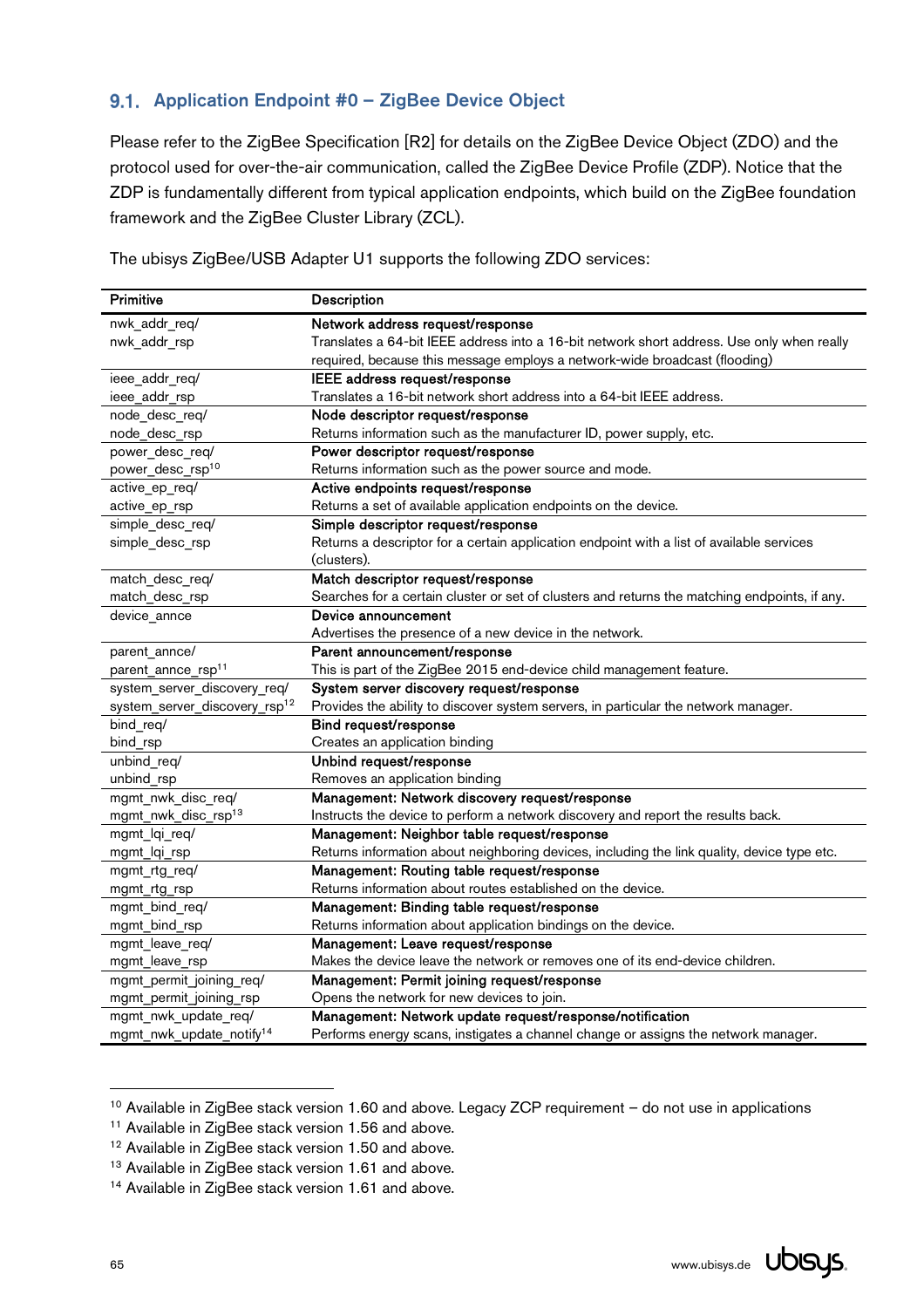# 9.1. Application Endpoint #0 – ZigBee Device Object

Please refer to the ZigBee Specification [R2] for details on the ZigBee Device Object (ZDO) and the protocol used for over-the-air communication, called the ZigBee Device Profile (ZDP). Notice that the ZDP is fundamentally different from typical application endpoints, which build on the ZigBee foundation framework and the ZigBee Cluster Library (ZCL).

| Primitive                                 | Description                                                                                   |
|-------------------------------------------|-----------------------------------------------------------------------------------------------|
| nwk_addr_req/                             | Network address request/response                                                              |
| nwk_addr_rsp                              | Translates a 64-bit IEEE address into a 16-bit network short address. Use only when really    |
|                                           | required, because this message employs a network-wide broadcast (flooding)                    |
| ieee_addr_req/                            | IEEE address request/response                                                                 |
| ieee_addr_rsp                             | Translates a 16-bit network short address into a 64-bit IEEE address.                         |
| node_desc_req/                            | Node descriptor request/response                                                              |
| node_desc_rsp                             | Returns information such as the manufacturer ID, power supply, etc.                           |
| power_desc_req/                           | Power descriptor request/response                                                             |
| power_desc_rsp <sup>10</sup>              | Returns information such as the power source and mode.                                        |
| active_ep_req/                            | Active endpoints request/response                                                             |
| active_ep_rsp                             | Returns a set of available application endpoints on the device.                               |
| simple_desc_req/                          | Simple descriptor request/response                                                            |
| simple_desc_rsp                           | Returns a descriptor for a certain application endpoint with a list of available services     |
|                                           | (clusters).                                                                                   |
| match_desc_req/                           | Match descriptor request/response                                                             |
| match_desc_rsp                            | Searches for a certain cluster or set of clusters and returns the matching endpoints, if any. |
| device_annce                              | Device announcement                                                                           |
|                                           | Advertises the presence of a new device in the network.                                       |
| parent_annce/                             | Parent announcement/response                                                                  |
| parent_annce_rsp <sup>11</sup>            | This is part of the ZigBee 2015 end-device child management feature.                          |
| system_server_discovery_req/              | System server discovery request/response                                                      |
| system_server_discovery_rsp <sup>12</sup> | Provides the ability to discover system servers, in particular the network manager.           |
| bind_req/                                 | Bind request/response                                                                         |
| bind_rsp                                  | Creates an application binding                                                                |
| unbind_req/                               | Unbind request/response                                                                       |
| unbind_rsp                                | Removes an application binding                                                                |
| mgmt_nwk_disc_req/                        | Management: Network discovery request/response                                                |
| mgmt_nwk_disc_rsp <sup>13</sup>           | Instructs the device to perform a network discovery and report the results back.              |
| mgmt_lqi_req/                             | Management: Neighbor table request/response                                                   |
| mgmt_lqi_rsp                              | Returns information about neighboring devices, including the link quality, device type etc.   |
| mgmt_rtg_req/                             | Management: Routing table request/response                                                    |
| mgmt_rtg_rsp                              | Returns information about routes established on the device.                                   |
| mgmt_bind_req/                            | Management: Binding table request/response                                                    |
| mgmt_bind_rsp                             | Returns information about application bindings on the device.                                 |
| mgmt_leave_req/                           | Management: Leave request/response                                                            |
| mgmt_leave_rsp                            | Makes the device leave the network or removes one of its end-device children.                 |
| mgmt_permit_joining_req/                  | Management: Permit joining request/response                                                   |
| mgmt_permit_joining_rsp                   | Opens the network for new devices to join.                                                    |
| mgmt_nwk_update_req/                      | Management: Network update request/response/notification                                      |
| mgmt_nwk_update_notify <sup>14</sup>      | Performs energy scans, instigates a channel change or assigns the network manager.            |

The ubisys ZigBee/USB Adapter U1 supports the following ZDO services:

 $\overline{a}$ 

<sup>10</sup> Available in ZigBee stack version 1.60 and above. Legacy ZCP requirement – do not use in applications

<sup>&</sup>lt;sup>11</sup> Available in ZigBee stack version 1.56 and above.

<sup>&</sup>lt;sup>12</sup> Available in ZigBee stack version 1.50 and above.

<sup>&</sup>lt;sup>13</sup> Available in ZigBee stack version 1.61 and above.

<sup>&</sup>lt;sup>14</sup> Available in ZigBee stack version 1.61 and above.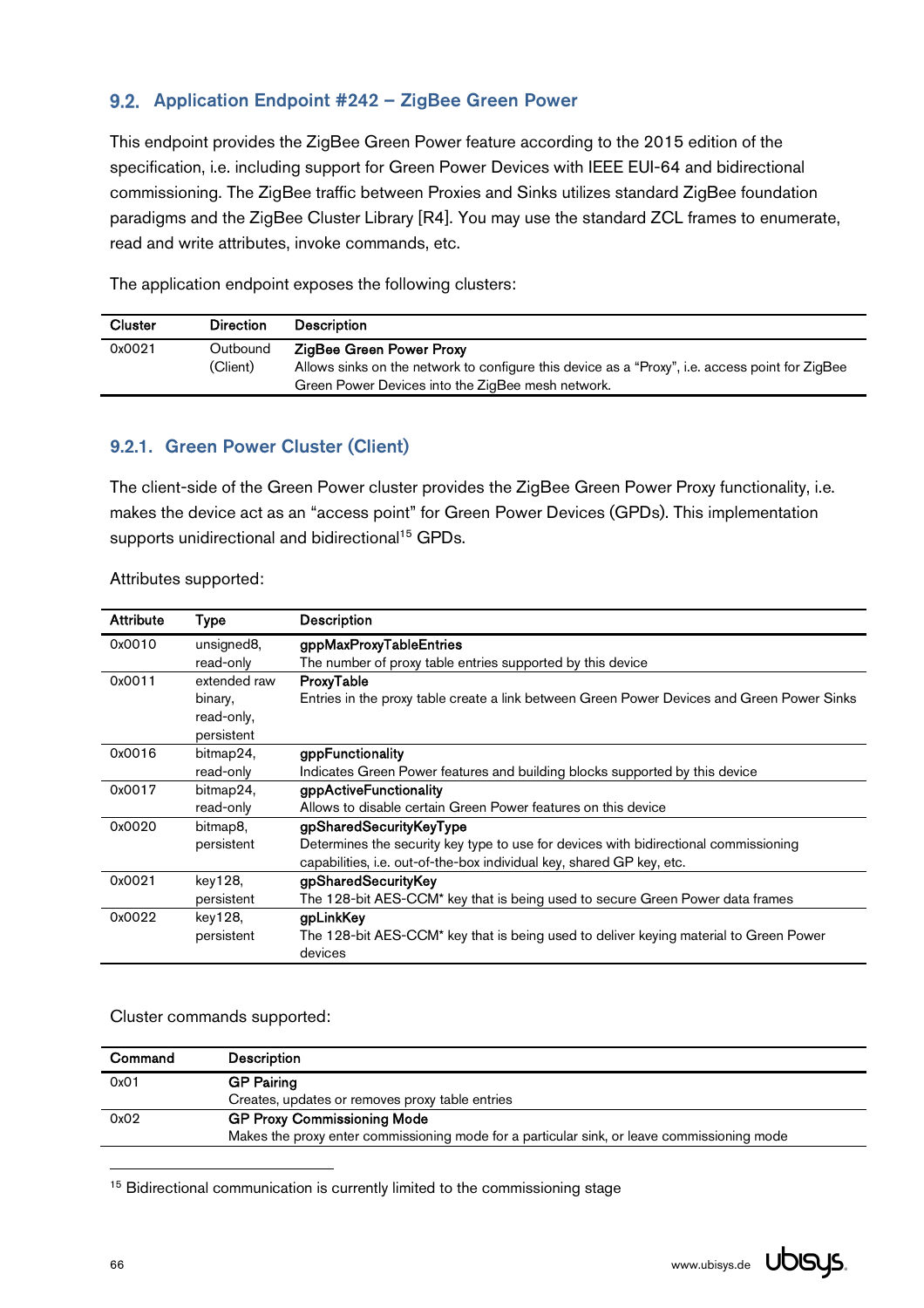# 9.2. Application Endpoint #242 - ZigBee Green Power

This endpoint provides the ZigBee Green Power feature according to the 2015 edition of the specification, i.e. including support for Green Power Devices with IEEE EUI-64 and bidirectional commissioning. The ZigBee traffic between Proxies and Sinks utilizes standard ZigBee foundation paradigms and the ZigBee Cluster Library [R4]. You may use the standard ZCL frames to enumerate, read and write attributes, invoke commands, etc.

The application endpoint exposes the following clusters:

| <b>Cluster</b> | <b>Direction</b>     | <b>Description</b>                                                                                                                                                               |
|----------------|----------------------|----------------------------------------------------------------------------------------------------------------------------------------------------------------------------------|
| 0x0021         | Outbound<br>(Client) | ZigBee Green Power Proxy<br>Allows sinks on the network to configure this device as a "Proxy", i.e. access point for ZigBee<br>Green Power Devices into the ZigBee mesh network. |

# 9.2.1. Green Power Cluster (Client)

The client-side of the Green Power cluster provides the ZigBee Green Power Proxy functionality, i.e. makes the device act as an "access point" for Green Power Devices (GPDs). This implementation supports unidirectional and bidirectional<sup>15</sup> GPDs.

Attributes supported:

| <b>Attribute</b> | Type                    | Description                                                                                |  |
|------------------|-------------------------|--------------------------------------------------------------------------------------------|--|
| 0x0010           | unsigned <sub>8</sub> , | gppMaxProxyTableEntries                                                                    |  |
|                  | read-only               | The number of proxy table entries supported by this device                                 |  |
| 0x0011           | extended raw            | ProxyTable                                                                                 |  |
|                  | binary,                 | Entries in the proxy table create a link between Green Power Devices and Green Power Sinks |  |
|                  | read-only,              |                                                                                            |  |
|                  | persistent              |                                                                                            |  |
| 0x0016           | bitmap24,               | gppFunctionality                                                                           |  |
|                  | read-only               | Indicates Green Power features and building blocks supported by this device                |  |
| 0x0017           | bitmap24,               | gppActiveFunctionality                                                                     |  |
|                  | read-only               | Allows to disable certain Green Power features on this device                              |  |
| 0x0020           | bitmap <sub>8</sub> ,   | gpSharedSecurityKeyType                                                                    |  |
|                  | persistent              | Determines the security key type to use for devices with bidirectional commissioning       |  |
|                  |                         | capabilities, i.e. out-of-the-box individual key, shared GP key, etc.                      |  |
| 0x0021           | key128,                 | gpSharedSecurityKey                                                                        |  |
|                  | persistent              | The 128-bit AES-CCM* key that is being used to secure Green Power data frames              |  |
| 0x0022           | key128,                 | gpLinkKey                                                                                  |  |
|                  | persistent              | The 128-bit AES-CCM* key that is being used to deliver keying material to Green Power      |  |
|                  |                         | devices                                                                                    |  |

Cluster commands supported:

| Command | <b>Description</b>                                                                          |
|---------|---------------------------------------------------------------------------------------------|
| 0x01    | <b>GP Pairing</b>                                                                           |
|         | Creates, updates or removes proxy table entries                                             |
| 0x02    | <b>GP Proxy Commissioning Mode</b>                                                          |
|         | Makes the proxy enter commissioning mode for a particular sink, or leave commissioning mode |
|         |                                                                                             |

<sup>15</sup> Bidirectional communication is currently limited to the commissioning stage



-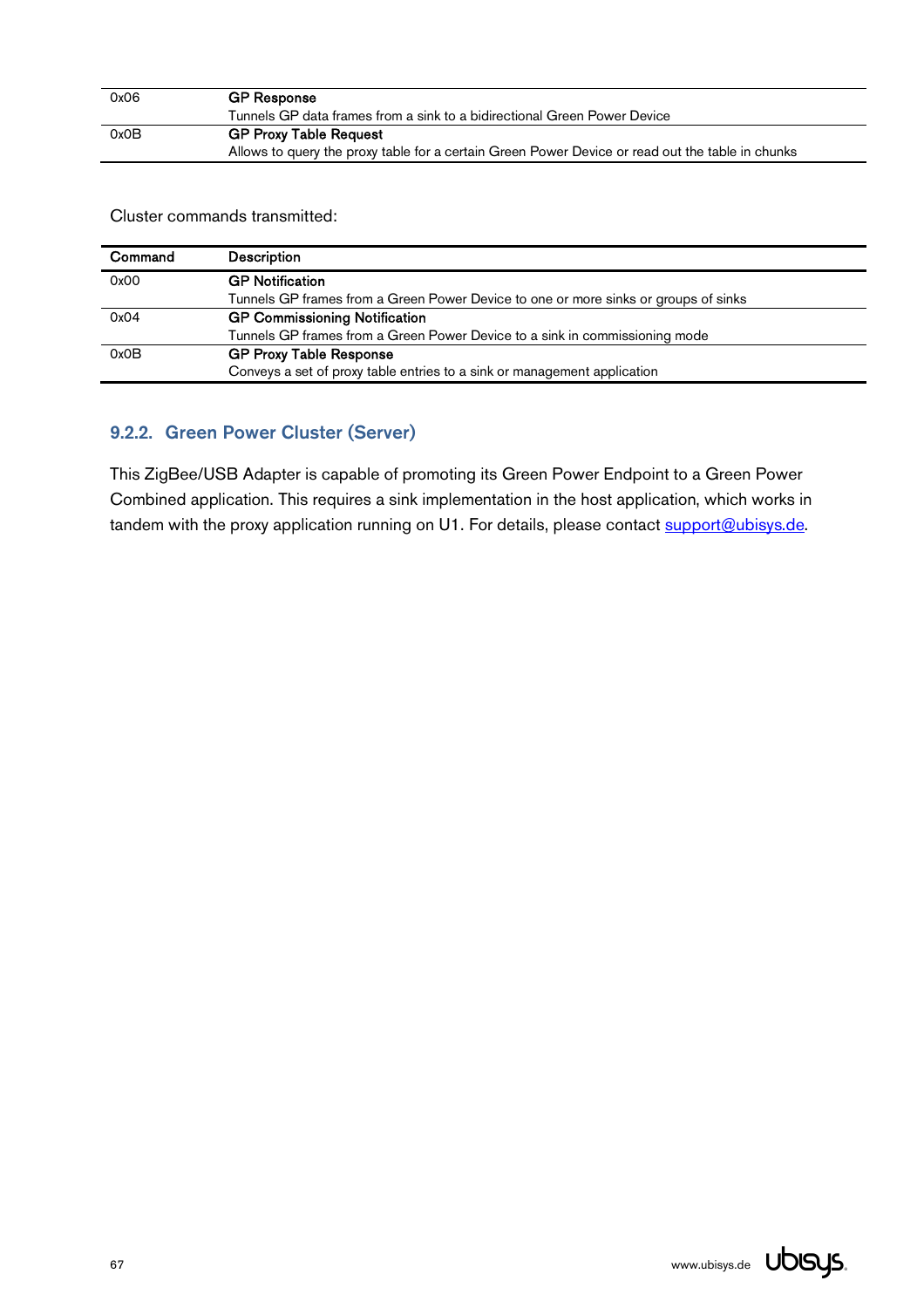| 0x06 | <b>GP Response</b>                                                                               |
|------|--------------------------------------------------------------------------------------------------|
|      | Tunnels GP data frames from a sink to a bidirectional Green Power Device                         |
| 0x0B | <b>GP Proxy Table Request</b>                                                                    |
|      | Allows to query the proxy table for a certain Green Power Device or read out the table in chunks |

Cluster commands transmitted:

| Command | Description                                                                         |
|---------|-------------------------------------------------------------------------------------|
| 0x00    | <b>GP</b> Notification                                                              |
|         | Tunnels GP frames from a Green Power Device to one or more sinks or groups of sinks |
| 0x04    | <b>GP Commissioning Notification</b>                                                |
|         | Tunnels GP frames from a Green Power Device to a sink in commissioning mode         |
| 0x0B    | <b>GP Proxy Table Response</b>                                                      |
|         | Conveys a set of proxy table entries to a sink or management application            |

# 9.2.2. Green Power Cluster (Server)

This ZigBee/USB Adapter is capable of promoting its Green Power Endpoint to a Green Power Combined application. This requires a sink implementation in the host application, which works in tandem with the proxy application running on U1. For details, please contact [support@ubisys.de.](mailto:support@ubisys.de.)

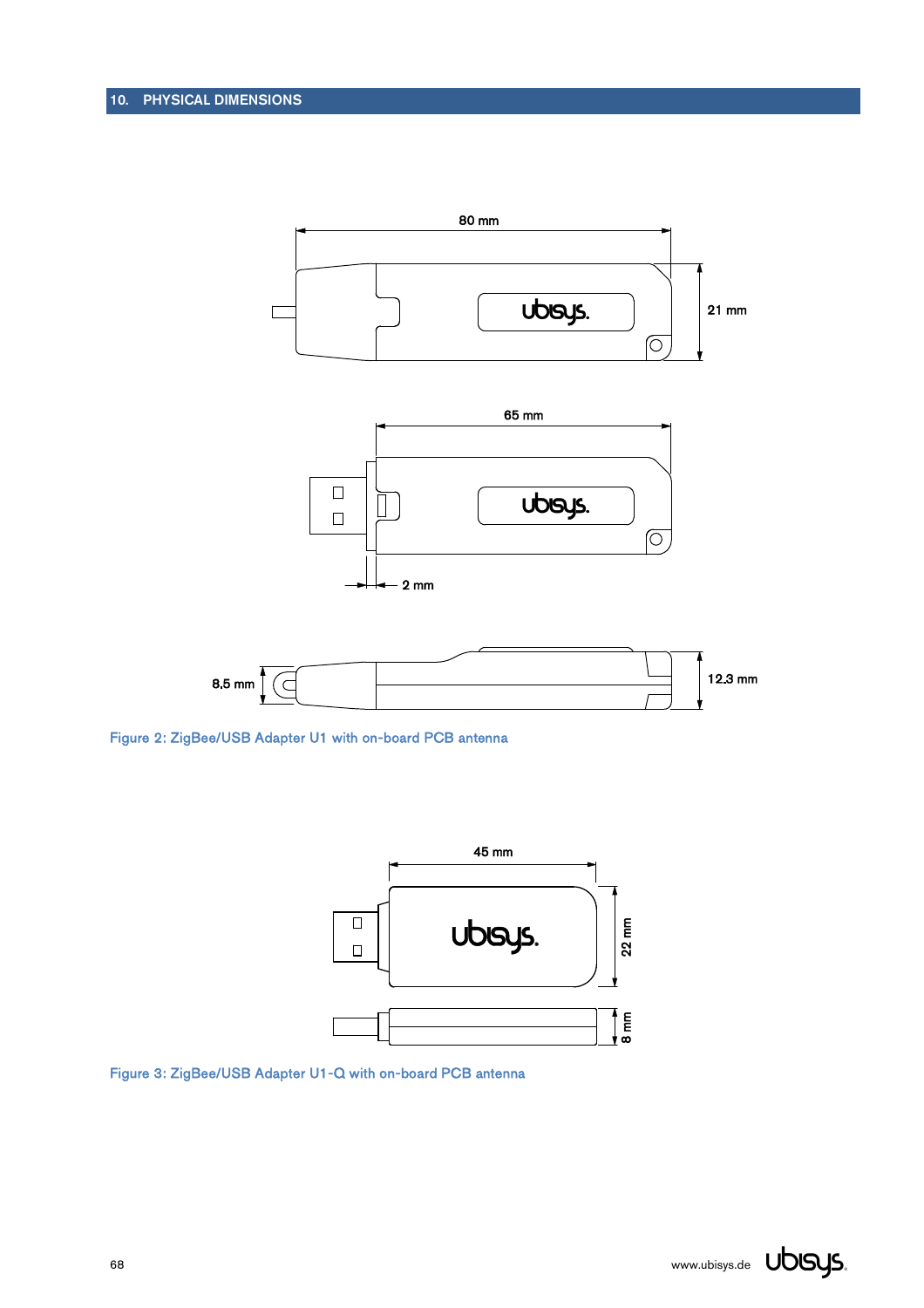

**Figure 2: ZigBee/USB Adapter U1 with on-board PCB antenna** 



**Figure 3: ZigBee/USB Adapter U1-Q with on-board PCB antenna**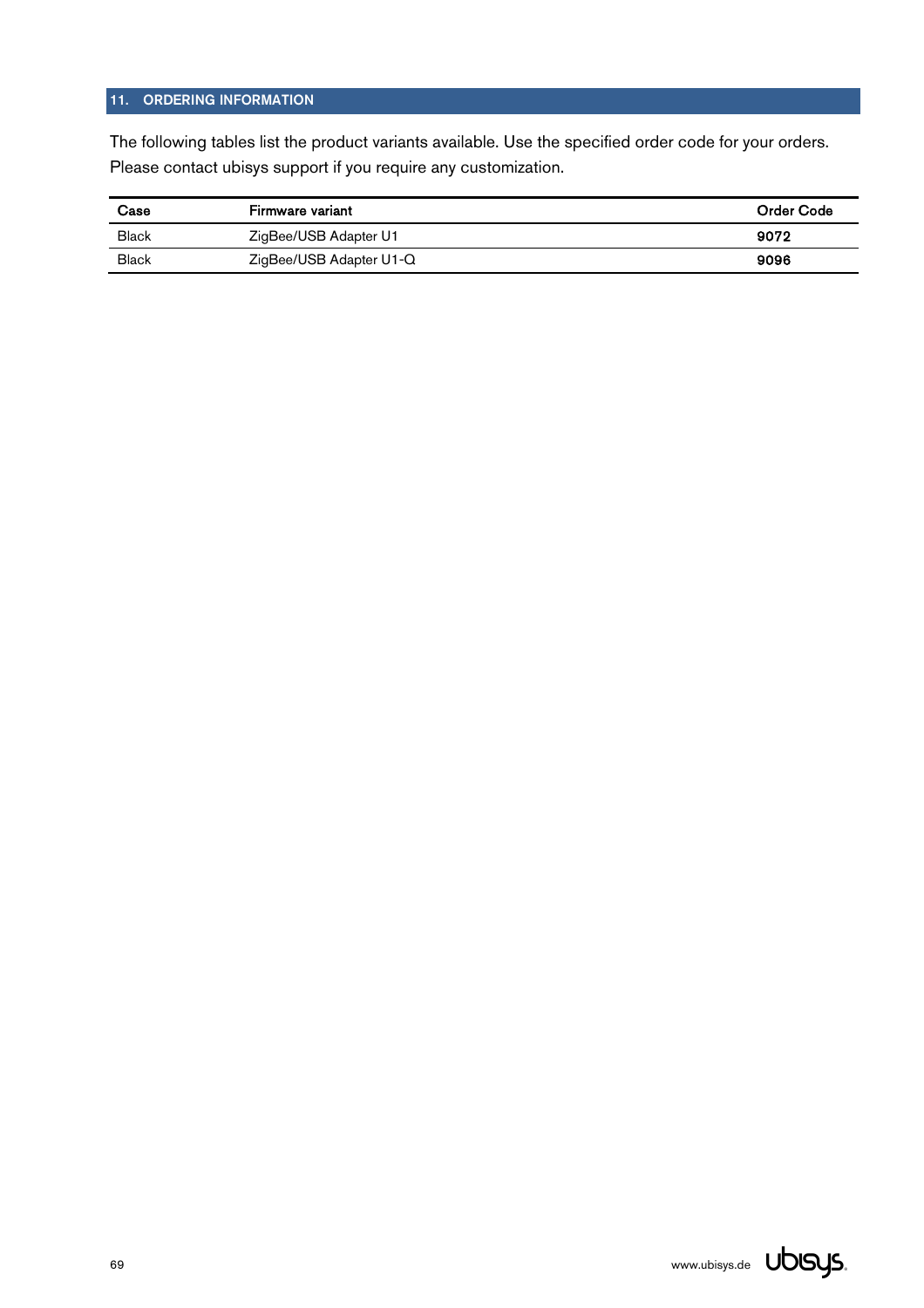# 11. ORDERING INFORMATION

The following tables list the product variants available. Use the specified order code for your orders. Please contact ubisys support if you require any customization.

| Case         | Firmware variant        | Order Code |
|--------------|-------------------------|------------|
| <b>Black</b> | ZigBee/USB Adapter U1   | 9072       |
| <b>Black</b> | ZigBee/USB Adapter U1-Q | 9096       |

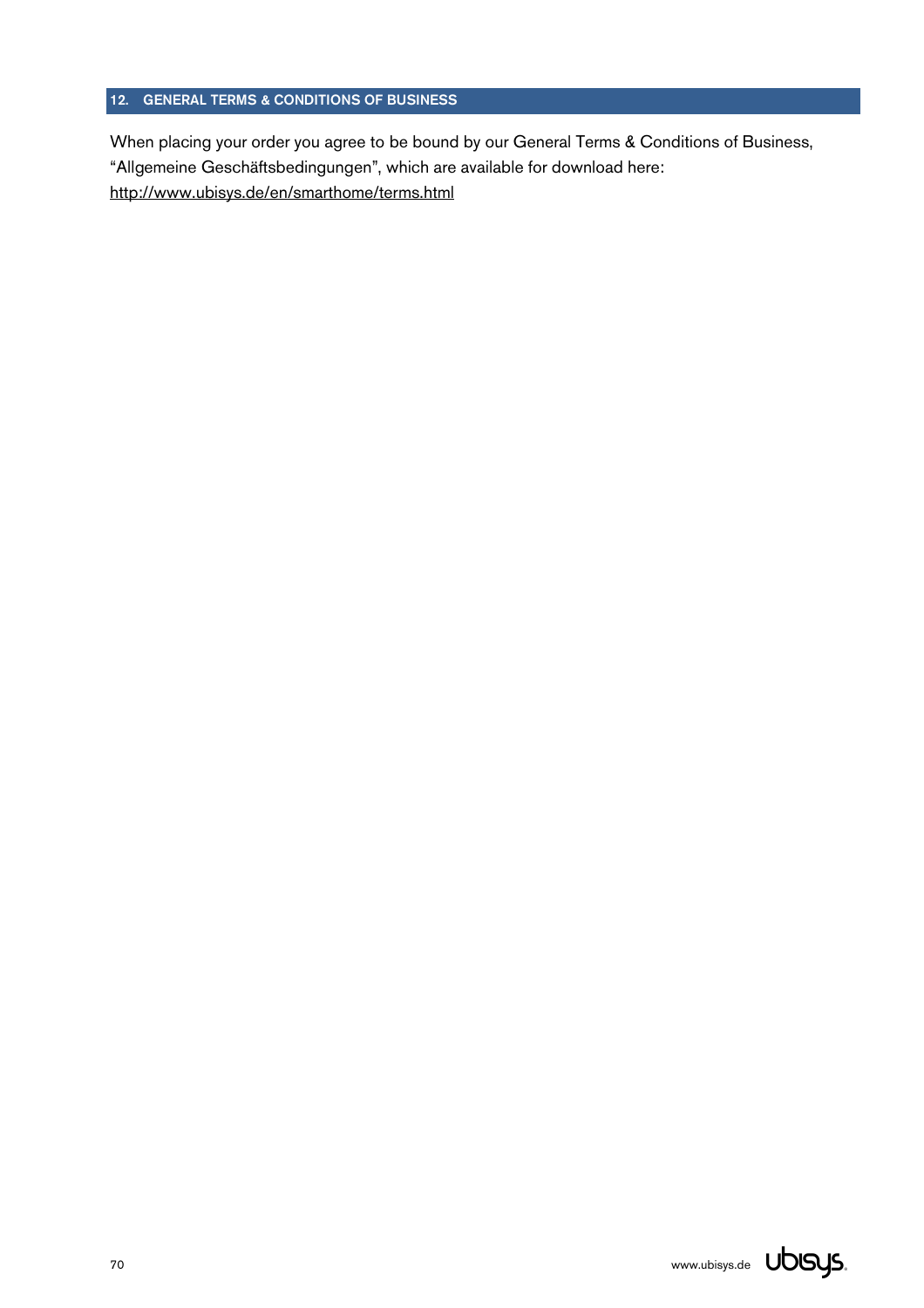# 12. GENERAL TERMS & CONDITIONS OF BUSINESS

When placing your order you agree to be bound by our General Terms & Conditions of Business, "Allgemeine Geschäftsbedingungen", which are available for download here: <http://www.ubisys.de/en/smarthome/terms.html>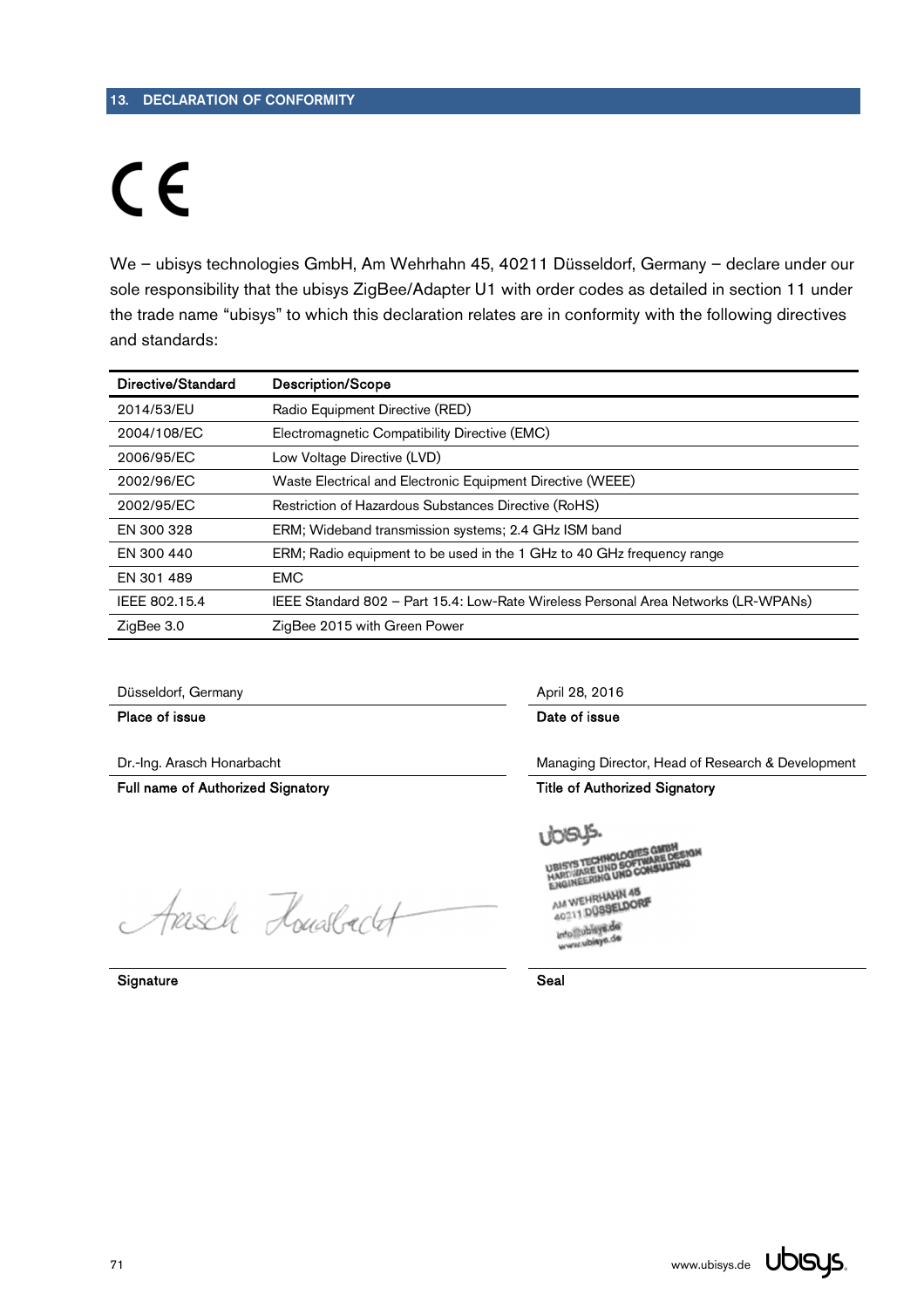# $C \in$

We – ubisys technologies GmbH, Am Wehrhahn 45, 40211 Düsseldorf, Germany – declare under our sole responsibility that the ubisys ZigBee/Adapter U1 with order codes as detailed in section 11 under the trade name "ubisys" to which this declaration relates are in conformity with the following directives and standards:

| Directive/Standard | <b>Description/Scope</b>                                                           |  |
|--------------------|------------------------------------------------------------------------------------|--|
| 2014/53/EU         | Radio Equipment Directive (RED)                                                    |  |
| 2004/108/EC        | Electromagnetic Compatibility Directive (EMC)                                      |  |
| 2006/95/EC         | Low Voltage Directive (LVD)                                                        |  |
| 2002/96/EC         | Waste Electrical and Electronic Equipment Directive (WEEE)                         |  |
| 2002/95/EC         | Restriction of Hazardous Substances Directive (RoHS)                               |  |
| EN 300 328         | ERM; Wideband transmission systems; 2.4 GHz ISM band                               |  |
| EN 300 440         | ERM; Radio equipment to be used in the 1 GHz to 40 GHz frequency range             |  |
| EN 301 489         | <b>EMC</b>                                                                         |  |
| IEEE 802.15.4      | IEEE Standard 802 - Part 15.4: Low-Rate Wireless Personal Area Networks (LR-WPANs) |  |
| ZigBee 3.0         | ZigBee 2015 with Green Power                                                       |  |

Düsseldorf, GermanyApril 28, 2016

**Place of issue** 

**Full name of Authorized Signatory Title of Authorized Signatory**

Arasch Housbackt

**Signature Seal**

 **Date of issue** 

Dr.-Ing. Arasch HonarbachtManaging Director, Head of Research & Development

JOOSS.

**ENGINEERING UND CONSULTER**<br>HARDIARE UND SOFTWARE DE<br>HARDIARE UND SOFTWARE DE<br>HARDIARE ERING UND CONSULTE<br>ENGINEERING UND 45 **MAN** AM WEHRHAHN 45 AM WEHRHAHN 49 www.ubinys.de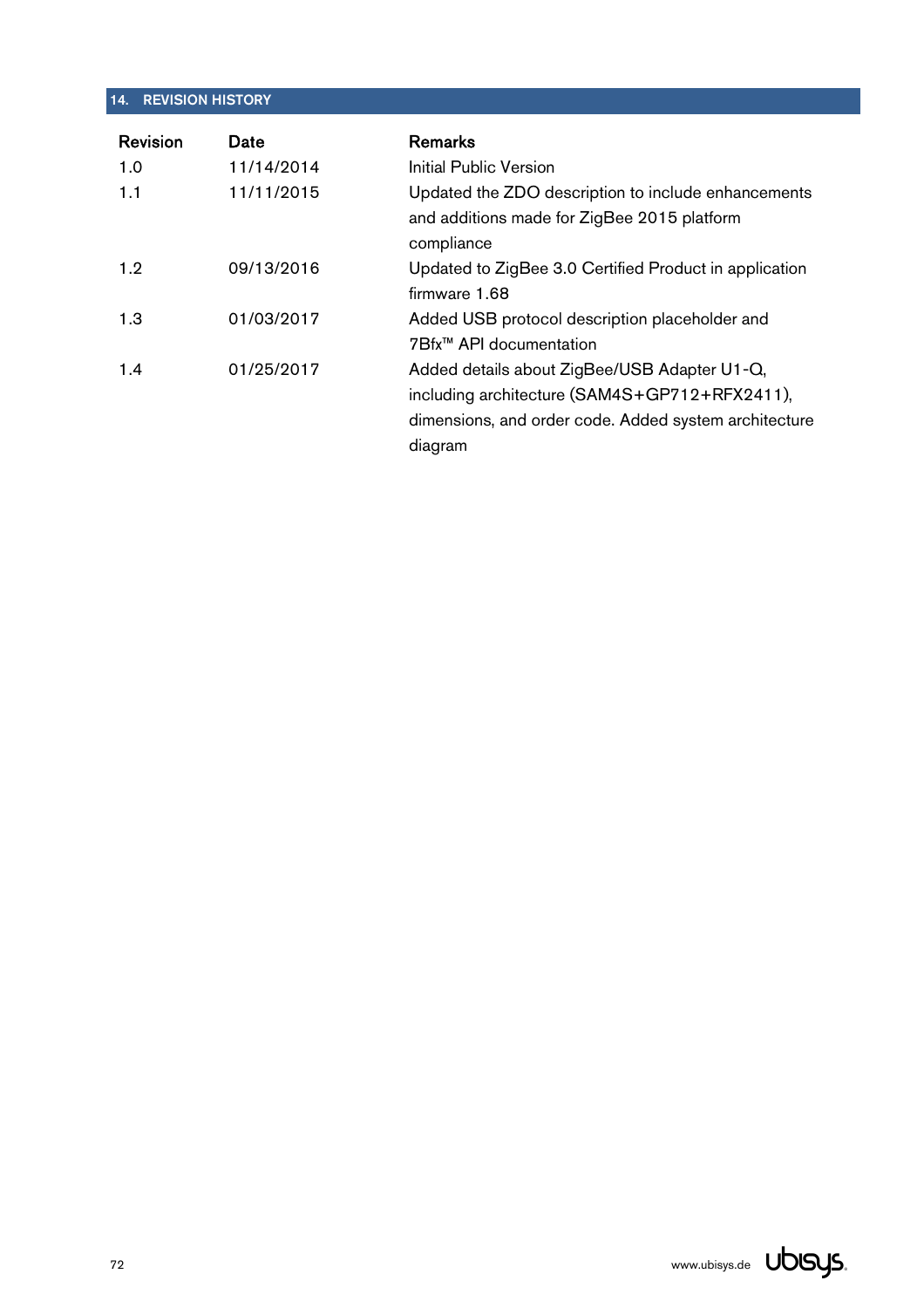# 14. REVISION HISTORY

| <b>Revision</b> | Date       | <b>Remarks</b>                                                                                                                                                    |
|-----------------|------------|-------------------------------------------------------------------------------------------------------------------------------------------------------------------|
| 1.0             | 11/14/2014 | Initial Public Version                                                                                                                                            |
| 1.1             | 11/11/2015 | Updated the ZDO description to include enhancements<br>and additions made for ZigBee 2015 platform<br>compliance                                                  |
| 1.2             | 09/13/2016 | Updated to ZigBee 3.0 Certified Product in application<br>firmware 1.68                                                                                           |
| 1.3             | 01/03/2017 | Added USB protocol description placeholder and<br>7Bfx <sup>™</sup> API documentation                                                                             |
| 1.4             | 01/25/2017 | Added details about ZigBee/USB Adapter U1-Q,<br>including architecture (SAM4S+GP712+RFX2411),<br>dimensions, and order code. Added system architecture<br>diagram |